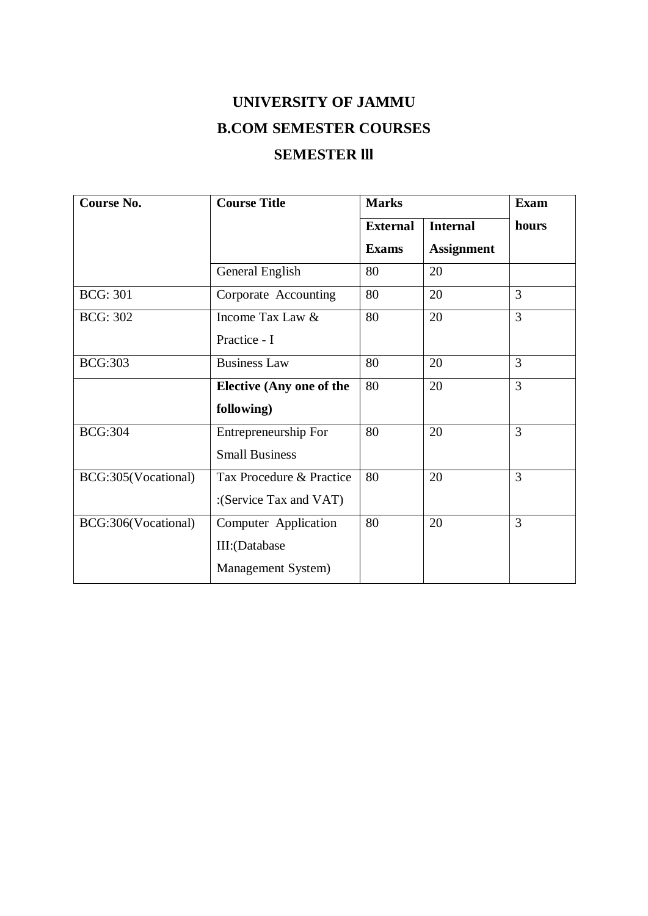# **UNIVERSITY OF JAMMU B.COM SEMESTER COURSES SEMESTER lll**

| <b>Course No.</b>   | <b>Course Title</b>             | <b>Marks</b>    |                   | <b>Exam</b>    |
|---------------------|---------------------------------|-----------------|-------------------|----------------|
|                     |                                 | <b>External</b> | <b>Internal</b>   | hours          |
|                     |                                 | <b>Exams</b>    | <b>Assignment</b> |                |
|                     | General English                 | 80              | 20                |                |
| <b>BCG: 301</b>     | Corporate Accounting            | 80              | 20                | 3              |
| <b>BCG: 302</b>     | Income Tax Law &                | 80              | 20                | 3              |
|                     | Practice - I                    |                 |                   |                |
| <b>BCG:303</b>      | <b>Business Law</b>             | 80              | 20                | 3              |
|                     | <b>Elective (Any one of the</b> | 80              | 20                | $\overline{3}$ |
|                     | following)                      |                 |                   |                |
| <b>BCG:304</b>      | Entrepreneurship For            | 80              | 20                | 3              |
|                     | <b>Small Business</b>           |                 |                   |                |
| BCG:305(Vocational) | Tax Procedure & Practice        | 80              | 20                | $\overline{3}$ |
|                     | :(Service Tax and VAT)          |                 |                   |                |
| BCG:306(Vocational) | Computer Application            | 80              | 20                | $\overline{3}$ |
|                     | III:(Database                   |                 |                   |                |
|                     | Management System)              |                 |                   |                |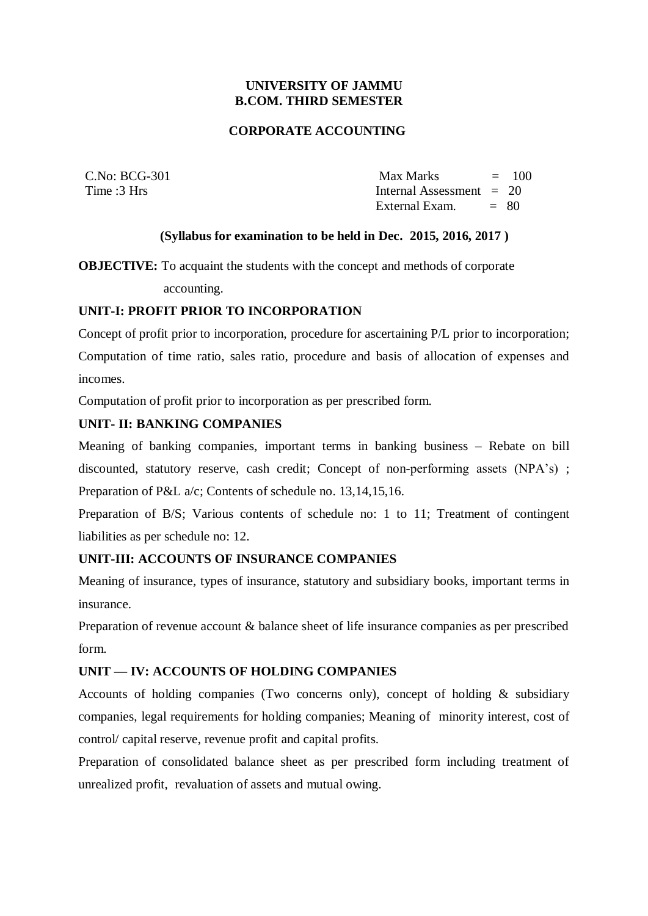# **UNIVERSITY OF JAMMU B.COM. THIRD SEMESTER**

# **CORPORATE ACCOUNTING**

 $C.No: BCG-301$  Max Marks  $= 100$ Time :3 Hrs Internal Assessment = 20 External Exam.  $= 80$ 

# **(Syllabus for examination to be held in Dec. 2015, 2016, 2017 )**

**OBJECTIVE:** To acquaint the students with the concept and methods of corporate

accounting.

# **UNIT-I: PROFIT PRIOR TO INCORPORATION**

Concept of profit prior to incorporation, procedure for ascertaining P/L prior to incorporation; Computation of time ratio, sales ratio, procedure and basis of allocation of expenses and incomes.

Computation of profit prior to incorporation as per prescribed form.

# **UNIT- II: BANKING COMPANIES**

Meaning of banking companies, important terms in banking business – Rebate on bill discounted, statutory reserve, cash credit; Concept of non-performing assets (NPA's) ; Preparation of P&L a/c; Contents of schedule no. 13,14,15,16.

Preparation of B/S; Various contents of schedule no: 1 to 11; Treatment of contingent liabilities as per schedule no: 12.

# **UNIT-III: ACCOUNTS OF INSURANCE COMPANIES**

Meaning of insurance, types of insurance, statutory and subsidiary books, important terms in insurance.

Preparation of revenue account & balance sheet of life insurance companies as per prescribed form.

# **UNIT — IV: ACCOUNTS OF HOLDING COMPANIES**

Accounts of holding companies (Two concerns only), concept of holding & subsidiary companies, legal requirements for holding companies; Meaning of minority interest, cost of control/ capital reserve, revenue profit and capital profits.

Preparation of consolidated balance sheet as per prescribed form including treatment of unrealized profit, revaluation of assets and mutual owing.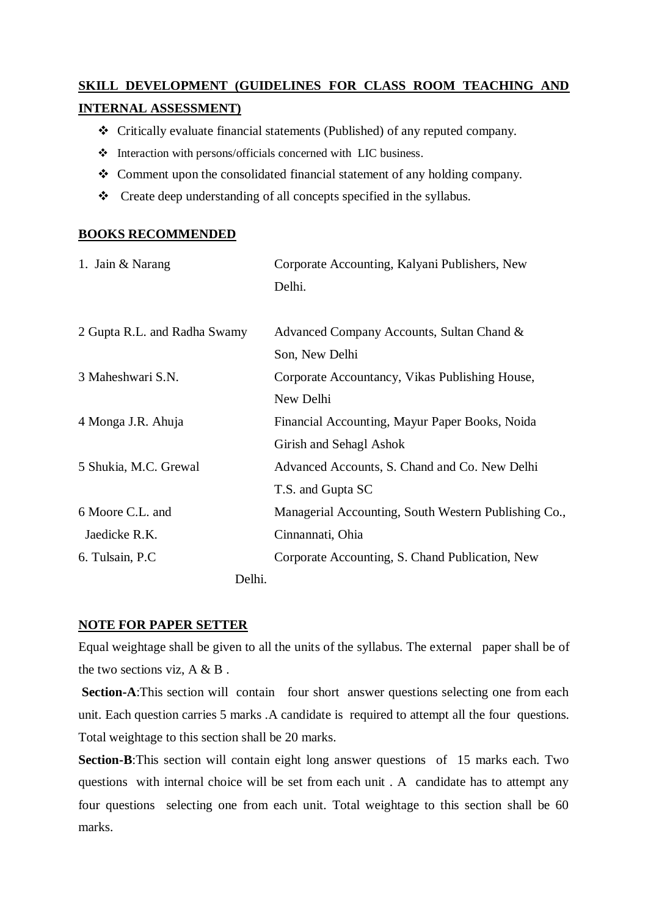# **SKILL DEVELOPMENT (GUIDELINES FOR CLASS ROOM TEACHING AND INTERNAL ASSESSMENT)**

- Critically evaluate financial statements (Published) of any reputed company.
- Interaction with persons/officials concerned with LIC business.
- Comment upon the consolidated financial statement of any holding company.
- $\triangleleft$  Create deep understanding of all concepts specified in the syllabus.

# **BOOKS RECOMMENDED**

| 1. Jain & Narang             | Corporate Accounting, Kalyani Publishers, New        |
|------------------------------|------------------------------------------------------|
|                              | Delhi.                                               |
|                              |                                                      |
| 2 Gupta R.L. and Radha Swamy | Advanced Company Accounts, Sultan Chand &            |
|                              | Son, New Delhi                                       |
| 3 Maheshwari S.N.            | Corporate Accountancy, Vikas Publishing House,       |
|                              | New Delhi                                            |
| 4 Monga J.R. Ahuja           | Financial Accounting, Mayur Paper Books, Noida       |
|                              | Girish and Sehagl Ashok                              |
| 5 Shukia, M.C. Grewal        | Advanced Accounts, S. Chand and Co. New Delhi        |
|                              | T.S. and Gupta SC                                    |
| 6 Moore C.L. and             | Managerial Accounting, South Western Publishing Co., |
| Jaedicke R.K.                | Cinnannati, Ohia                                     |
| 6. Tulsain, P.C.             | Corporate Accounting, S. Chand Publication, New      |
| Delhi.                       |                                                      |

# **NOTE FOR PAPER SETTER**

Equal weightage shall be given to all the units of the syllabus. The external paper shall be of the two sections viz,  $A \& B$ .

**Section-A**:This section will contain four short answer questions selecting one from each unit. Each question carries 5 marks .A candidate is required to attempt all the four questions. Total weightage to this section shall be 20 marks.

**Section-B**:This section will contain eight long answer questions of 15 marks each. Two questions with internal choice will be set from each unit . A candidate has to attempt any four questions selecting one from each unit. Total weightage to this section shall be 60 marks.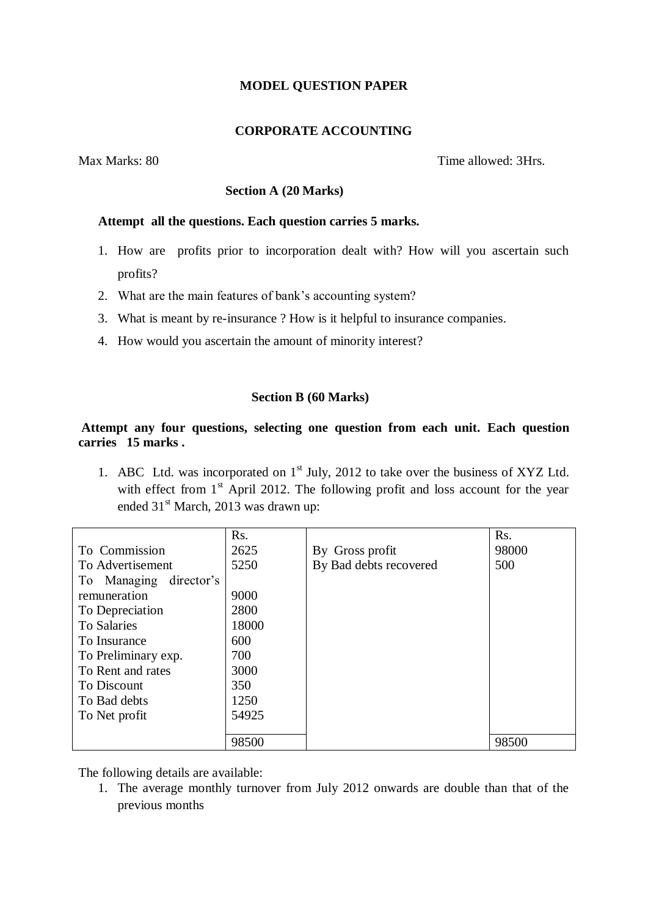### **MODEL QUESTION PAPER**

### **CORPORATE ACCOUNTING**

Max Marks: 80 Time allowed: 3Hrs.

#### **Section A (20 Marks)**

### **Attempt all the questions. Each question carries 5 marks.**

- 1. How are profits prior to incorporation dealt with? How will you ascertain such profits?
- 2. What are the main features of bank's accounting system?
- 3. What is meant by re-insurance ? How is it helpful to insurance companies.
- 4. How would you ascertain the amount of minority interest?

#### **Section B (60 Marks)**

# **Attempt any four questions, selecting one question from each unit. Each question carries 15 marks .**

1. ABC Ltd. was incorporated on  $1<sup>st</sup>$  July, 2012 to take over the business of XYZ Ltd. with effect from  $1<sup>st</sup>$  April 2012. The following profit and loss account for the year ended 31<sup>st</sup> March, 2013 was drawn up:

|                              | Rs.   |                        | Rs.   |
|------------------------------|-------|------------------------|-------|
| To Commission                | 2625  | By Gross profit        | 98000 |
| To Advertisement             | 5250  | By Bad debts recovered | 500   |
| director's<br>Managing<br>To |       |                        |       |
| remuneration                 | 9000  |                        |       |
| To Depreciation              | 2800  |                        |       |
| <b>To Salaries</b>           | 18000 |                        |       |
| To Insurance                 | 600   |                        |       |
| To Preliminary exp.          | 700   |                        |       |
| To Rent and rates            | 3000  |                        |       |
| To Discount                  | 350   |                        |       |
| To Bad debts                 | 1250  |                        |       |
| To Net profit                | 54925 |                        |       |
|                              |       |                        |       |
|                              | 98500 |                        | 98500 |

The following details are available:

1. The average monthly turnover from July 2012 onwards are double than that of the previous months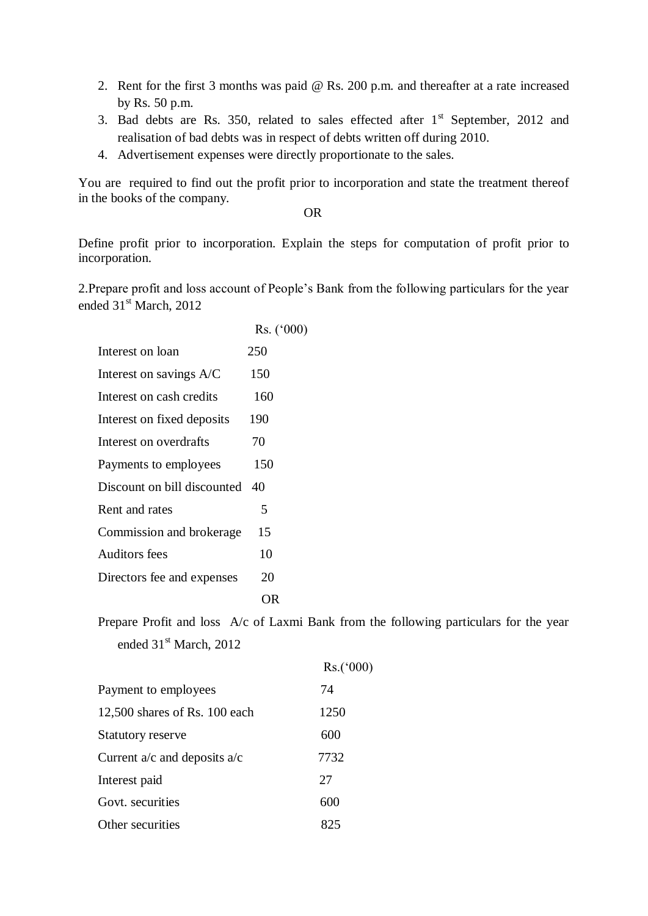- 2. Rent for the first 3 months was paid @ Rs. 200 p.m. and thereafter at a rate increased by Rs. 50 p.m.
- 3. Bad debts are Rs. 350, related to sales effected after  $1<sup>st</sup>$  September, 2012 and realisation of bad debts was in respect of debts written off during 2010.
- 4. Advertisement expenses were directly proportionate to the sales.

You are required to find out the profit prior to incorporation and state the treatment thereof in the books of the company.

**OR** STREET IN THE STREET IS NOT THE STREET IN THE STREET IS NOT THE STREET IN THE STREET IS NOT THE STREET IN THE STREET IS NOT THE STREET IN THE STREET IS NOT THE STREET IN THE STREET IS NOT THE STREET IN THE STREET IS N

Define profit prior to incorporation. Explain the steps for computation of profit prior to incorporation.

2.Prepare profit and loss account of People's Bank from the following particulars for the year ended 31<sup>st</sup> March, 2012

|                             | Rs. (°000) |
|-----------------------------|------------|
| Interest on loan            | 250        |
| Interest on savings A/C     | 150        |
| Interest on cash credits    | 160        |
| Interest on fixed deposits  | 190        |
| Interest on overdrafts      | 70         |
| Payments to employees       | 150        |
| Discount on bill discounted | 40         |
| Rent and rates              | 5          |
| Commission and brokerage    | 15         |
| Auditors fees               | 10         |
| Directors fee and expenses  | 20         |
|                             | OR.        |
|                             |            |

Prepare Profit and loss A/c of Laxmi Bank from the following particulars for the year ended 31<sup>st</sup> March, 2012

|                                  | Rs.(000) |
|----------------------------------|----------|
| Payment to employees             | 74       |
| 12,500 shares of Rs. 100 each    | 1250     |
| <b>Statutory reserve</b>         | 600      |
| Current $a/c$ and deposits $a/c$ | 7732     |
| Interest paid                    | 27       |
| Govt. securities                 | 600      |
| Other securities                 | 825      |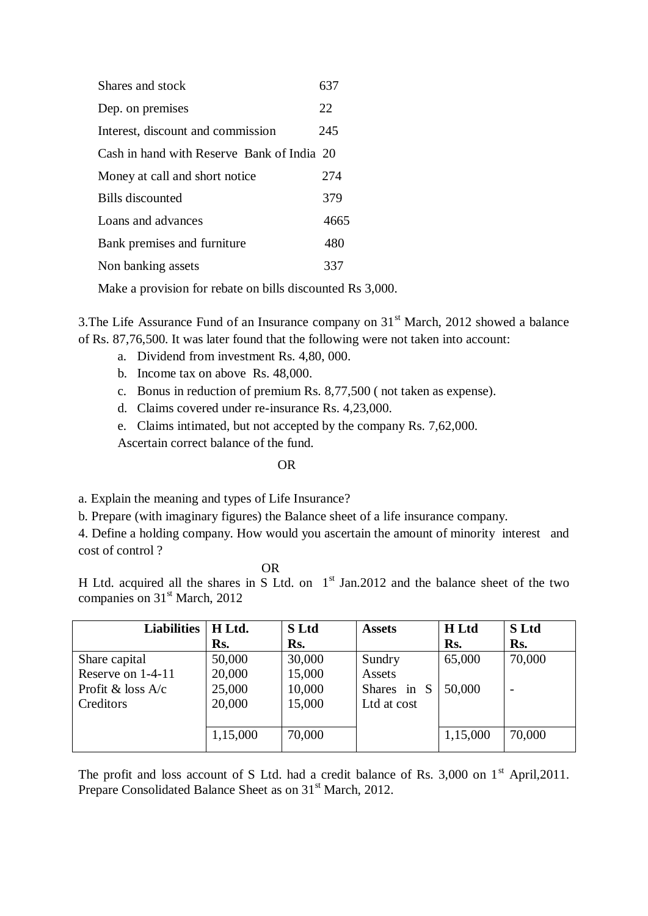| Shares and stock                           | 637  |
|--------------------------------------------|------|
| Dep. on premises                           | 22   |
| Interest, discount and commission          | 245  |
| Cash in hand with Reserve Bank of India 20 |      |
| Money at call and short notice.            | 274  |
| Bills discounted                           | 379  |
| Loans and advances                         | 4665 |
| Bank premises and furniture                | 480  |
| Non banking assets                         | 337  |
|                                            |      |

Make a provision for rebate on bills discounted Rs 3,000.

3. The Life Assurance Fund of an Insurance company on  $31<sup>st</sup>$  March, 2012 showed a balance of Rs. 87,76,500. It was later found that the following were not taken into account:

- a. Dividend from investment Rs. 4,80, 000.
- b. Income tax on above Rs. 48,000.
- c. Bonus in reduction of premium Rs. 8,77,500 ( not taken as expense).
- d. Claims covered under re-insurance Rs. 4,23,000.
- e. Claims intimated, but not accepted by the company Rs. 7,62,000.

Ascertain correct balance of the fund.

# **OR** OR

a. Explain the meaning and types of Life Insurance?

b. Prepare (with imaginary figures) the Balance sheet of a life insurance company.

4. Define a holding company. How would you ascertain the amount of minority interest and cost of control ?

**OR** Service Service Service Service Service Service Service Service Service Service Service Service Service Service Service Service Service Service Service Service Service Service Service Service Service Service Service S

H Ltd. acquired all the shares in S Ltd. on  $1<sup>st</sup>$  Jan.2012 and the balance sheet of the two companies on 31<sup>st</sup> March, 2012

| <b>Liabilities</b>  | H Ltd.   | S Ltd  | <b>Assets</b> | H Ltd    | <b>S</b> Ltd |
|---------------------|----------|--------|---------------|----------|--------------|
|                     | Rs.      | Rs.    |               | Rs.      | Rs.          |
| Share capital       | 50,000   | 30,000 | Sundry        | 65,000   | 70,000       |
| Reserve on $1-4-11$ | 20,000   | 15,000 | Assets        |          |              |
| Profit & $\log A/c$ | 25,000   | 10,000 | Shares in S   | 50,000   |              |
| Creditors           | 20,000   | 15,000 | Ltd at cost   |          |              |
|                     |          |        |               |          |              |
|                     | 1,15,000 | 70,000 |               | 1,15,000 | 70,000       |
|                     |          |        |               |          |              |

The profit and loss account of S Ltd. had a credit balance of Rs. 3,000 on  $1<sup>st</sup>$  April, 2011. Prepare Consolidated Balance Sheet as on 31<sup>st</sup> March, 2012.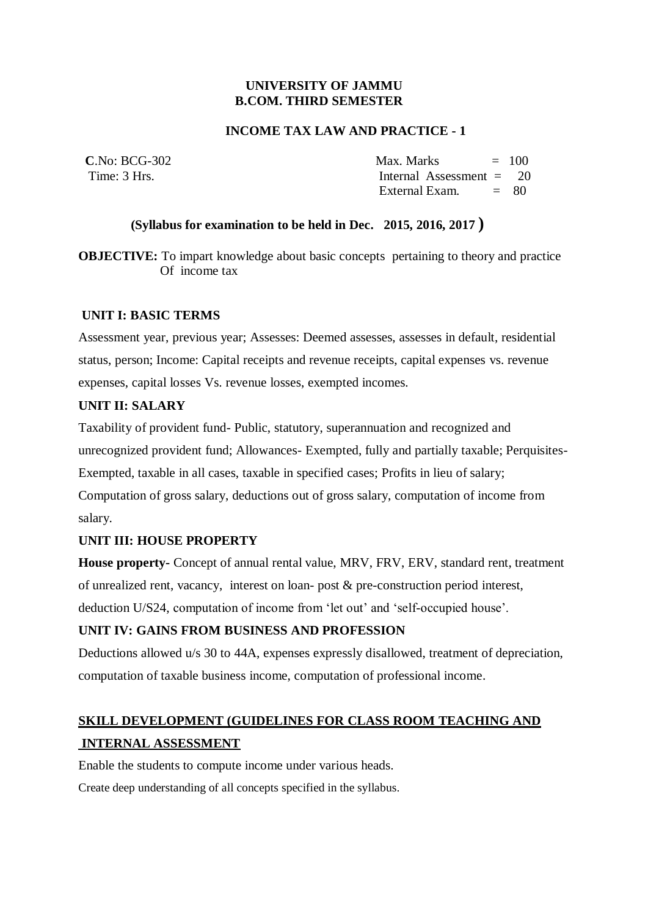### **UNIVERSITY OF JAMMU B.COM. THIRD SEMESTER**

# **INCOME TAX LAW AND PRACTICE - 1**

**C**.No:  $BCG-302$  Max. Marks  $= 100$ Time: 3 Hrs. Internal Assessment = 20 External Exam.  $= 80$ 

#### **(Syllabus for examination to be held in Dec. 2015, 2016, 2017 )**

**OBJECTIVE:** To impart knowledge about basic concepts pertaining to theory and practice Of income tax

#### **UNIT I: BASIC TERMS**

Assessment year, previous year; Assesses: Deemed assesses, assesses in default, residential status, person; Income: Capital receipts and revenue receipts, capital expenses vs. revenue expenses, capital losses Vs. revenue losses, exempted incomes.

# **UNIT II: SALARY**

Taxability of provident fund- Public, statutory, superannuation and recognized and unrecognized provident fund; Allowances- Exempted, fully and partially taxable; Perquisites-Exempted, taxable in all cases, taxable in specified cases; Profits in lieu of salary; Computation of gross salary, deductions out of gross salary, computation of income from salary.

#### **UNIT III: HOUSE PROPERTY**

**House property-** Concept of annual rental value, MRV, FRV, ERV, standard rent, treatment of unrealized rent, vacancy, interest on loan- post & pre-construction period interest, deduction U/S24, computation of income from 'let out' and 'self-occupied house'.

#### **UNIT IV: GAINS FROM BUSINESS AND PROFESSION**

Deductions allowed u/s 30 to 44A, expenses expressly disallowed, treatment of depreciation, computation of taxable business income, computation of professional income.

# **SKILL DEVELOPMENT (GUIDELINES FOR CLASS ROOM TEACHING AND INTERNAL ASSESSMENT**

Enable the students to compute income under various heads.

Create deep understanding of all concepts specified in the syllabus.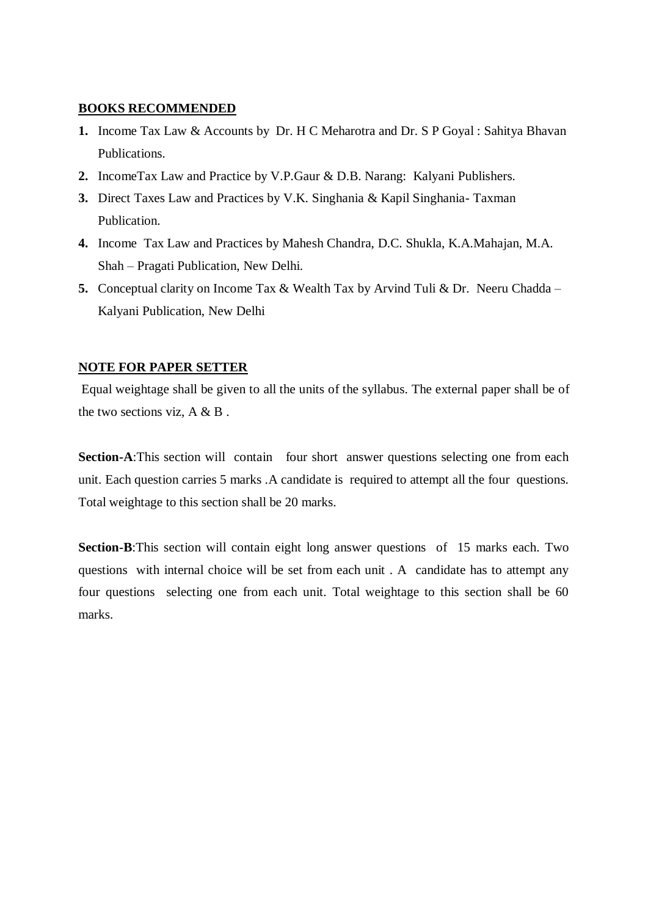### **BOOKS RECOMMENDED**

- **1.** Income Tax Law & Accounts by Dr. H C Meharotra and Dr. S P Goyal : Sahitya Bhavan Publications.
- **2.** IncomeTax Law and Practice by V.P.Gaur & D.B. Narang: Kalyani Publishers.
- **3.** Direct Taxes Law and Practices by V.K. Singhania & Kapil Singhania- Taxman Publication.
- **4.** Income Tax Law and Practices by Mahesh Chandra, D.C. Shukla, K.A.Mahajan, M.A. Shah – Pragati Publication, New Delhi.
- **5.** Conceptual clarity on Income Tax & Wealth Tax by Arvind Tuli & Dr. Neeru Chadda Kalyani Publication, New Delhi

# **NOTE FOR PAPER SETTER**

Equal weightage shall be given to all the units of the syllabus. The external paper shall be of the two sections viz, A & B .

**Section-A**:This section will contain four short answer questions selecting one from each unit. Each question carries 5 marks .A candidate is required to attempt all the four questions. Total weightage to this section shall be 20 marks.

**Section-B**:This section will contain eight long answer questions of 15 marks each. Two questions with internal choice will be set from each unit . A candidate has to attempt any four questions selecting one from each unit. Total weightage to this section shall be 60 marks.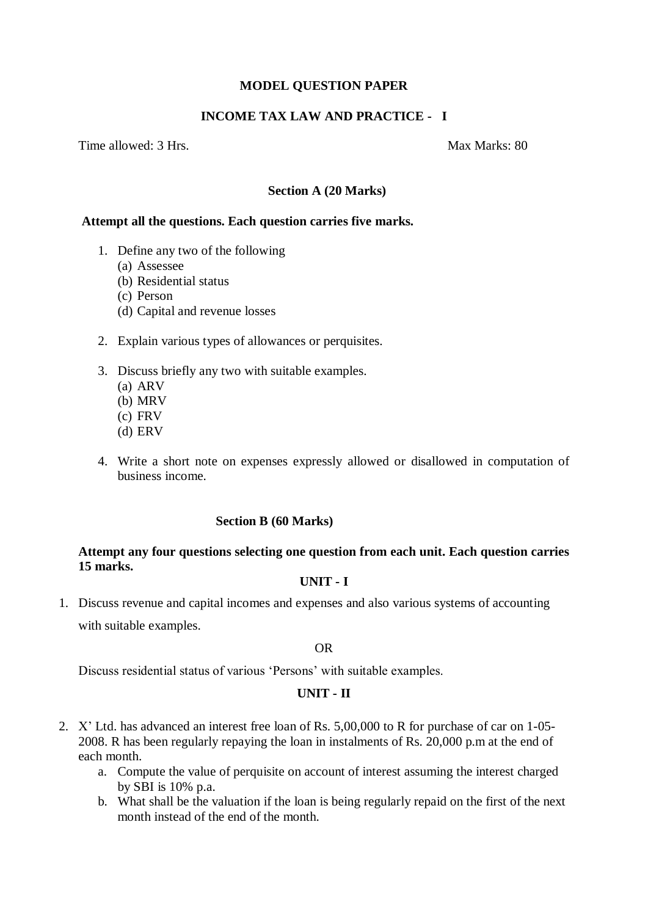#### **MODEL QUESTION PAPER**

#### **INCOME TAX LAW AND PRACTICE - I**

#### Time allowed: 3 Hrs. Max Marks: 80

#### **Section A (20 Marks)**

#### **Attempt all the questions. Each question carries five marks.**

- 1. Define any two of the following
	- (a) Assessee
	- (b) Residential status
	- (c) Person
	- (d) Capital and revenue losses
- 2. Explain various types of allowances or perquisites.
- 3. Discuss briefly any two with suitable examples.
	- (a) ARV
	- (b) MRV
	- (c) FRV
	- (d) ERV
- 4. Write a short note on expenses expressly allowed or disallowed in computation of business income.

#### **Section B (60 Marks)**

# **Attempt any four questions selecting one question from each unit. Each question carries 15 marks.**

#### **UNIT - I**

1. Discuss revenue and capital incomes and expenses and also various systems of accounting with suitable examples.

#### OR

Discuss residential status of various 'Persons' with suitable examples.

#### **UNIT - II**

- 2. X' Ltd. has advanced an interest free loan of Rs. 5,00,000 to R for purchase of car on 1-05- 2008. R has been regularly repaying the loan in instalments of Rs. 20,000 p.m at the end of each month.
	- a. Compute the value of perquisite on account of interest assuming the interest charged by SBI is 10% p.a.
	- b. What shall be the valuation if the loan is being regularly repaid on the first of the next month instead of the end of the month.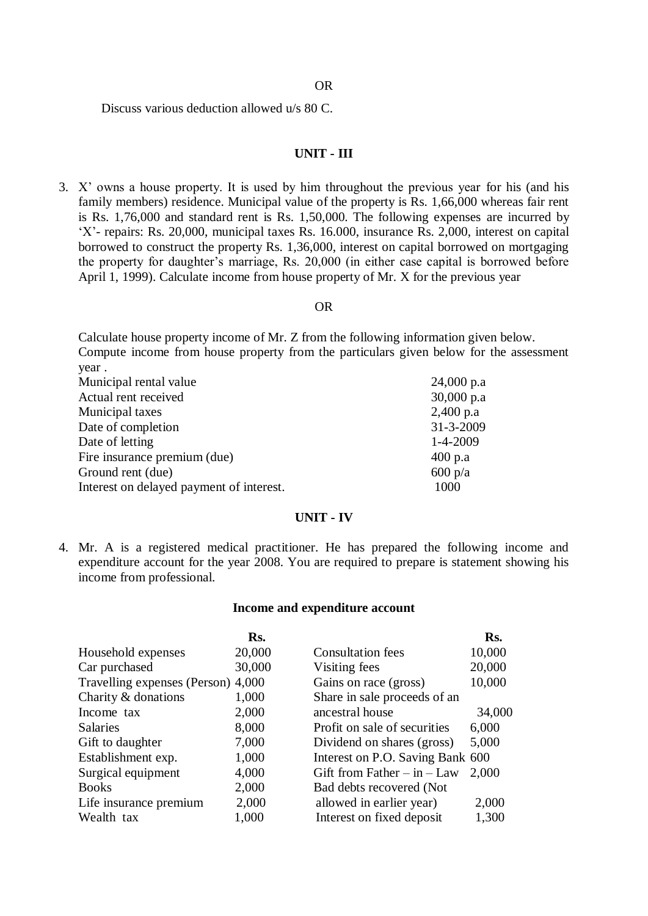Discuss various deduction allowed u/s 80 C.

#### **UNIT - III**

3. X' owns a house property. It is used by him throughout the previous year for his (and his family members) residence. Municipal value of the property is Rs. 1,66,000 whereas fair rent is Rs. 1,76,000 and standard rent is Rs. 1,50,000. The following expenses are incurred by 'X'- repairs: Rs. 20,000, municipal taxes Rs. 16.000, insurance Rs. 2,000, interest on capital borrowed to construct the property Rs. 1,36,000, interest on capital borrowed on mortgaging the property for daughter's marriage, Rs. 20,000 (in either case capital is borrowed before April 1, 1999). Calculate income from house property of Mr. X for the previous year

#### OR

Calculate house property income of Mr. Z from the following information given below. Compute income from house property from the particulars given below for the assessment year .

| Municipal rental value                   | 24,000 p.a        |
|------------------------------------------|-------------------|
| Actual rent received                     | 30,000 p.a        |
| Municipal taxes                          | $2,400$ p.a       |
| Date of completion                       | 31-3-2009         |
| Date of letting                          | $1 - 4 - 2009$    |
| Fire insurance premium (due)             | $400$ p.a         |
| Ground rent (due)                        | $600 \text{ p/a}$ |
| Interest on delayed payment of interest. | 1000              |
|                                          |                   |

#### **UNIT - IV**

4. Mr. A is a registered medical practitioner. He has prepared the following income and expenditure account for the year 2008. You are required to prepare is statement showing his income from professional.

#### **Income and expenditure account**

|                                    | Rs.    |                                  | Rs.    |
|------------------------------------|--------|----------------------------------|--------|
| Household expenses                 | 20,000 | <b>Consultation fees</b>         | 10,000 |
| Car purchased                      | 30,000 | Visiting fees                    | 20,000 |
| Travelling expenses (Person) 4,000 |        | Gains on race (gross)            | 10,000 |
| Charity & donations                | 1,000  | Share in sale proceeds of an     |        |
| Income tax                         | 2,000  | ancestral house                  | 34,000 |
| <b>Salaries</b>                    | 8,000  | Profit on sale of securities     | 6,000  |
| Gift to daughter                   | 7,000  | Dividend on shares (gross)       | 5,000  |
| Establishment exp.                 | 1,000  | Interest on P.O. Saving Bank 600 |        |
| Surgical equipment                 | 4,000  | Gift from Father $-$ in $-$ Law  | 2,000  |
| <b>Books</b>                       | 2,000  | Bad debts recovered (Not         |        |
| Life insurance premium             | 2,000  | allowed in earlier year)         | 2,000  |
| Wealth tax                         | 1,000  | Interest on fixed deposit        | 1,300  |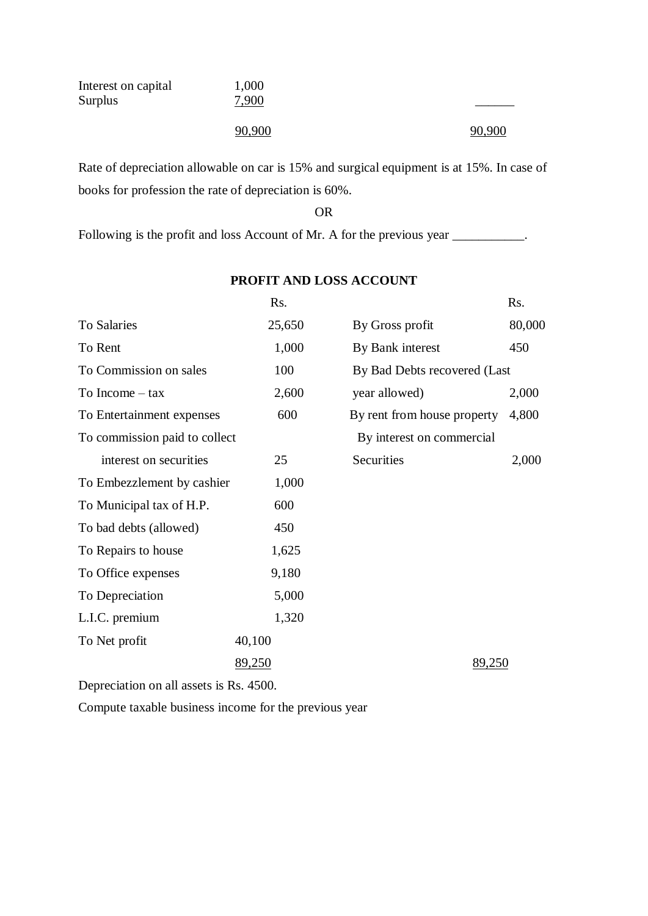| Interest on capital | 1,000  |        |  |
|---------------------|--------|--------|--|
| Surplus             | 7,900  |        |  |
|                     | 90,900 | 90,900 |  |

Rate of depreciation allowable on car is 15% and surgical equipment is at 15%. In case of books for profession the rate of depreciation is 60%.

# OR

Following is the profit and loss Account of Mr. A for the previous year \_\_\_\_\_\_\_\_\_.

|                               | Rs.           |                              | Rs.    |
|-------------------------------|---------------|------------------------------|--------|
| To Salaries                   | 25,650        | By Gross profit              | 80,000 |
| To Rent                       | 1,000         | By Bank interest             | 450    |
| To Commission on sales        | 100           | By Bad Debts recovered (Last |        |
| To Income $-$ tax             | 2,600         | year allowed)                | 2,000  |
| To Entertainment expenses     | 600           | By rent from house property  | 4,800  |
| To commission paid to collect |               | By interest on commercial    |        |
| interest on securities        | 25            | Securities                   | 2,000  |
| To Embezzlement by cashier    | 1,000         |                              |        |
| To Municipal tax of H.P.      | 600           |                              |        |
| To bad debts (allowed)        | 450           |                              |        |
| To Repairs to house           | 1,625         |                              |        |
| To Office expenses            | 9,180         |                              |        |
| To Depreciation               | 5,000         |                              |        |
| L.I.C. premium                | 1,320         |                              |        |
| To Net profit                 | 40,100        |                              |        |
|                               | <u>89,250</u> | 89,250                       |        |
|                               |               |                              |        |

#### **PROFIT AND LOSS ACCOUNT**

Depreciation on all assets is Rs. 4500.

Compute taxable business income for the previous year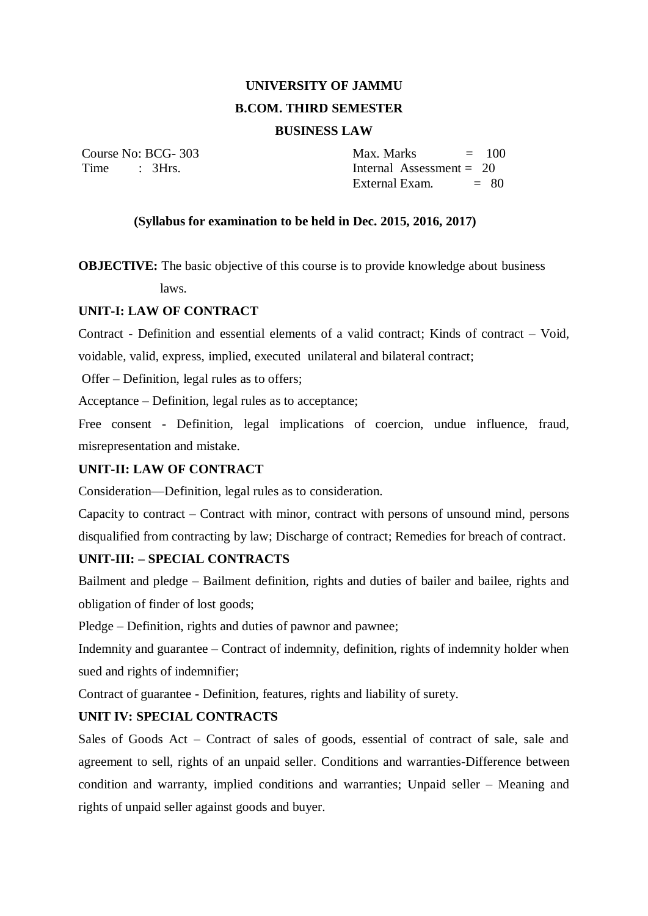# **UNIVERSITY OF JAMMU B.COM. THIRD SEMESTER**

#### **BUSINESS LAW**

 $\text{Course No: BCG-303}$   $\text{Max Marks}$  = 100 Time : 3Hrs. Internal Assessment = 20 External Exam.  $= 80$ 

### **(Syllabus for examination to be held in Dec. 2015, 2016, 2017)**

**OBJECTIVE:** The basic objective of this course is to provide knowledge about business

laws.

# **UNIT-I: LAW OF CONTRACT**

Contract - Definition and essential elements of a valid contract; Kinds of contract – Void, voidable, valid, express, implied, executed unilateral and bilateral contract;

Offer – Definition, legal rules as to offers;

Acceptance – Definition, legal rules as to acceptance;

Free consent - Definition, legal implications of coercion, undue influence, fraud, misrepresentation and mistake.

# **UNIT-II: LAW OF CONTRACT**

Consideration—Definition, legal rules as to consideration.

Capacity to contract – Contract with minor, contract with persons of unsound mind, persons disqualified from contracting by law; Discharge of contract; Remedies for breach of contract.

### **UNIT-III: – SPECIAL CONTRACTS**

Bailment and pledge – Bailment definition, rights and duties of bailer and bailee, rights and obligation of finder of lost goods;

Pledge – Definition, rights and duties of pawnor and pawnee;

Indemnity and guarantee – Contract of indemnity, definition, rights of indemnity holder when sued and rights of indemnifier;

Contract of guarantee - Definition, features, rights and liability of surety.

# **UNIT IV: SPECIAL CONTRACTS**

Sales of Goods Act – Contract of sales of goods, essential of contract of sale, sale and agreement to sell, rights of an unpaid seller. Conditions and warranties-Difference between condition and warranty, implied conditions and warranties; Unpaid seller – Meaning and rights of unpaid seller against goods and buyer.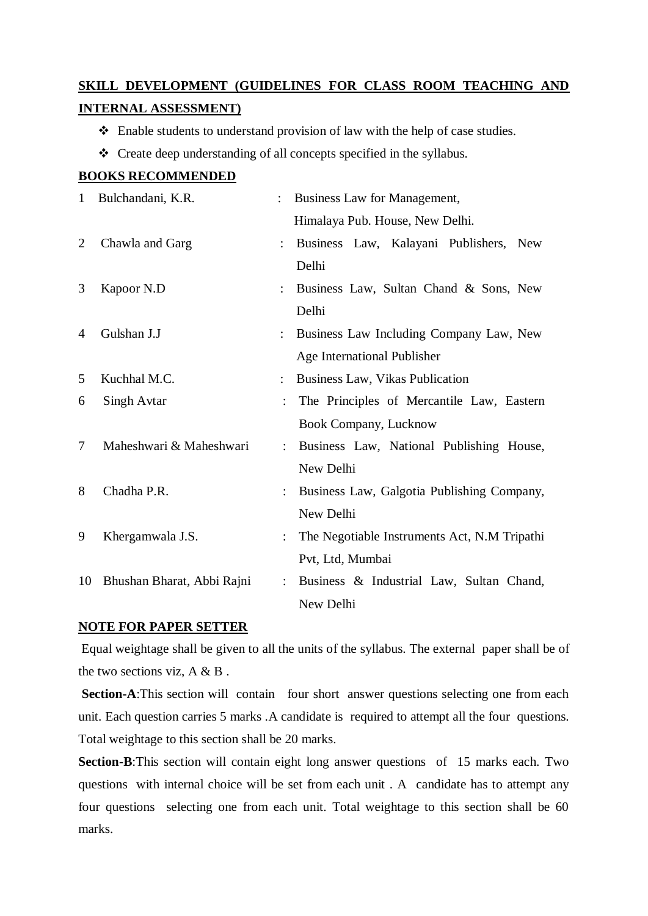# **SKILL DEVELOPMENT (GUIDELINES FOR CLASS ROOM TEACHING AND INTERNAL ASSESSMENT)**

- Enable students to understand provision of law with the help of case studies.
- $\triangleleft$  Create deep understanding of all concepts specified in the syllabus.

# **BOOKS RECOMMENDED**

| $\mathbf{1}$ | Bulchandani, K.R.          |                      | Business Law for Management,                 |
|--------------|----------------------------|----------------------|----------------------------------------------|
|              |                            |                      | Himalaya Pub. House, New Delhi.              |
| 2            | Chawla and Garg            | ÷                    | Business Law, Kalayani Publishers, New       |
|              |                            |                      | Delhi                                        |
| 3            | Kapoor N.D                 |                      | Business Law, Sultan Chand & Sons, New       |
|              |                            |                      | Delhi                                        |
| 4            | Gulshan J.J                |                      | Business Law Including Company Law, New      |
|              |                            |                      | Age International Publisher                  |
| 5            | Kuchhal M.C.               |                      | Business Law, Vikas Publication              |
| 6            | <b>Singh Avtar</b>         |                      | The Principles of Mercantile Law, Eastern    |
|              |                            |                      | Book Company, Lucknow                        |
| 7            | Maheshwari & Maheshwari    | $\mathbf{L}$         | Business Law, National Publishing House,     |
|              |                            |                      | New Delhi                                    |
| 8            | Chadha P.R.                |                      | Business Law, Galgotia Publishing Company,   |
|              |                            |                      | New Delhi                                    |
| 9            | Khergamwala J.S.           | $\ddot{\cdot}$       | The Negotiable Instruments Act, N.M Tripathi |
|              |                            |                      | Pvt, Ltd, Mumbai                             |
| 10           | Bhushan Bharat, Abbi Rajni | $\ddot{\phantom{0}}$ | Business & Industrial Law, Sultan Chand,     |
|              |                            |                      | New Delhi                                    |

#### **NOTE FOR PAPER SETTER**

Equal weightage shall be given to all the units of the syllabus. The external paper shall be of the two sections viz, A & B .

**Section-A**:This section will contain four short answer questions selecting one from each unit. Each question carries 5 marks .A candidate is required to attempt all the four questions. Total weightage to this section shall be 20 marks.

**Section-B**:This section will contain eight long answer questions of 15 marks each. Two questions with internal choice will be set from each unit . A candidate has to attempt any four questions selecting one from each unit. Total weightage to this section shall be 60 marks.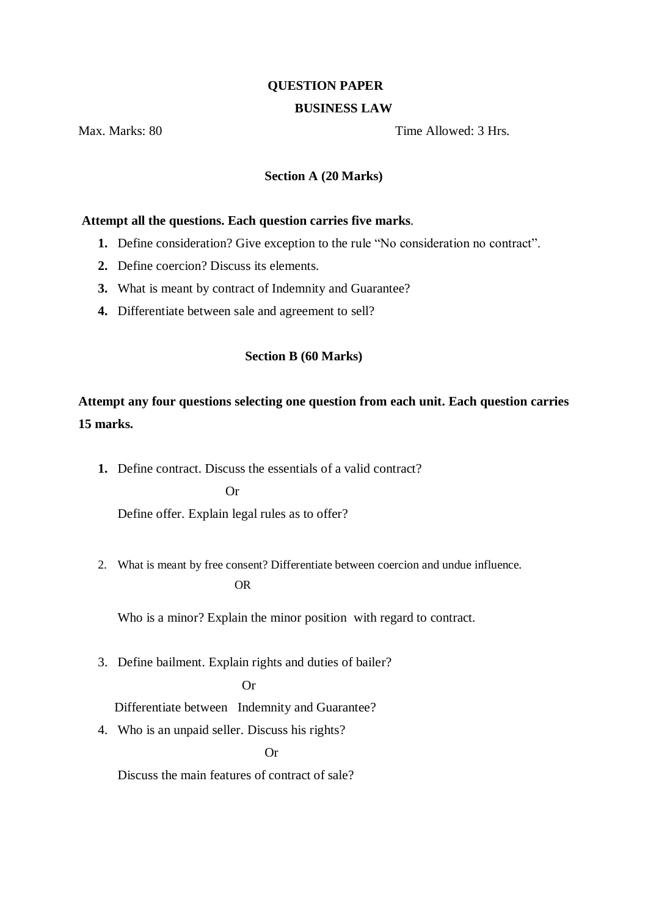# **QUESTION PAPER**

# **BUSINESS LAW**

Max. Marks: 80 Time Allowed: 3 Hrs.

### **Section A (20 Marks)**

### **Attempt all the questions. Each question carries five marks**.

- **1.** Define consideration? Give exception to the rule "No consideration no contract".
- **2.** Define coercion? Discuss its elements.
- **3.** What is meant by contract of Indemnity and Guarantee?
- **4.** Differentiate between sale and agreement to sell?

#### **Section B (60 Marks)**

**Attempt any four questions selecting one question from each unit. Each question carries 15 marks.**

**1.** Define contract. Discuss the essentials of a valid contract?

# **Or** Or

Define offer. Explain legal rules as to offer?

2. What is meant by free consent? Differentiate between coercion and undue influence.

# OR

Who is a minor? Explain the minor position with regard to contract.

3. Define bailment. Explain rights and duties of bailer?

# **Or** Or

Differentiate between Indemnity and Guarantee?

4. Who is an unpaid seller. Discuss his rights?

#### **Or** Or

Discuss the main features of contract of sale?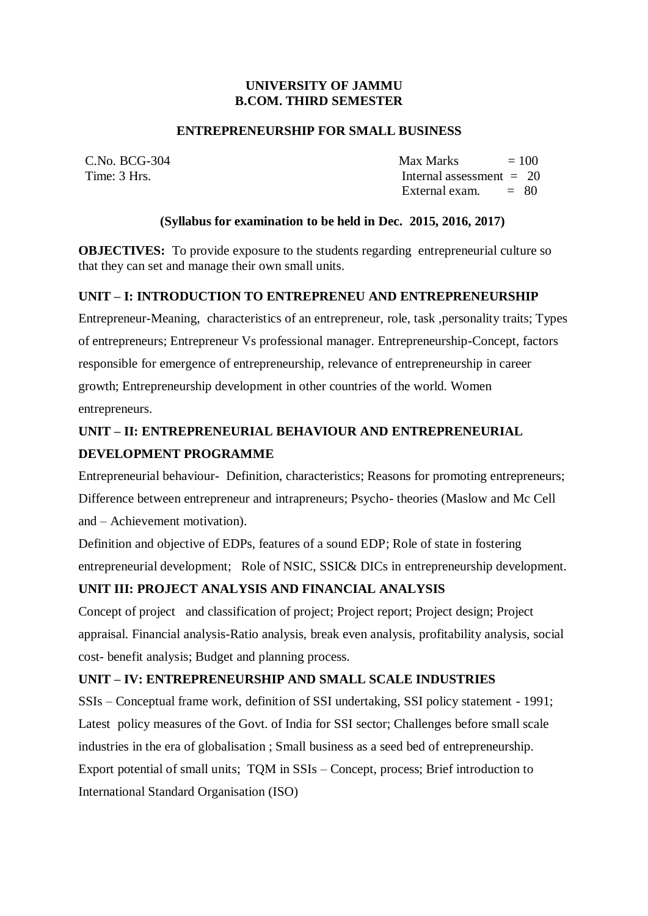# **UNIVERSITY OF JAMMU B.COM. THIRD SEMESTER**

### **ENTREPRENEURSHIP FOR SMALL BUSINESS**

 $C.No. BCG-304$  Max Marks  $= 100$ Time:  $3 \text{ Hrs.}$  Internal assessment =  $20$ External exam.  $= 80$ 

### **(Syllabus for examination to be held in Dec. 2015, 2016, 2017)**

**OBJECTIVES:** To provide exposure to the students regarding entrepreneurial culture so that they can set and manage their own small units.

# **UNIT – I: INTRODUCTION TO ENTREPRENEU AND ENTREPRENEURSHIP**

Entrepreneur-Meaning, characteristics of an entrepreneur, role, task ,personality traits; Types of entrepreneurs; Entrepreneur Vs professional manager. Entrepreneurship-Concept, factors responsible for emergence of entrepreneurship, relevance of entrepreneurship in career growth; Entrepreneurship development in other countries of the world. Women entrepreneurs.

# **UNIT – II: ENTREPRENEURIAL BEHAVIOUR AND ENTREPRENEURIAL DEVELOPMENT PROGRAMME**

Entrepreneurial behaviour- Definition, characteristics; Reasons for promoting entrepreneurs; Difference between entrepreneur and intrapreneurs; Psycho- theories (Maslow and Mc Cell and – Achievement motivation).

Definition and objective of EDPs, features of a sound EDP; Role of state in fostering entrepreneurial development; Role of NSIC, SSIC& DICs in entrepreneurship development.

# **UNIT III: PROJECT ANALYSIS AND FINANCIAL ANALYSIS**

Concept of project and classification of project; Project report; Project design; Project appraisal. Financial analysis-Ratio analysis, break even analysis, profitability analysis, social cost- benefit analysis; Budget and planning process.

# **UNIT – IV: ENTREPRENEURSHIP AND SMALL SCALE INDUSTRIES**

SSIs – Conceptual frame work, definition of SSI undertaking, SSI policy statement - 1991; Latest policy measures of the Govt. of India for SSI sector; Challenges before small scale industries in the era of globalisation ; Small business as a seed bed of entrepreneurship. Export potential of small units; TQM in SSIs – Concept, process; Brief introduction to International Standard Organisation (ISO)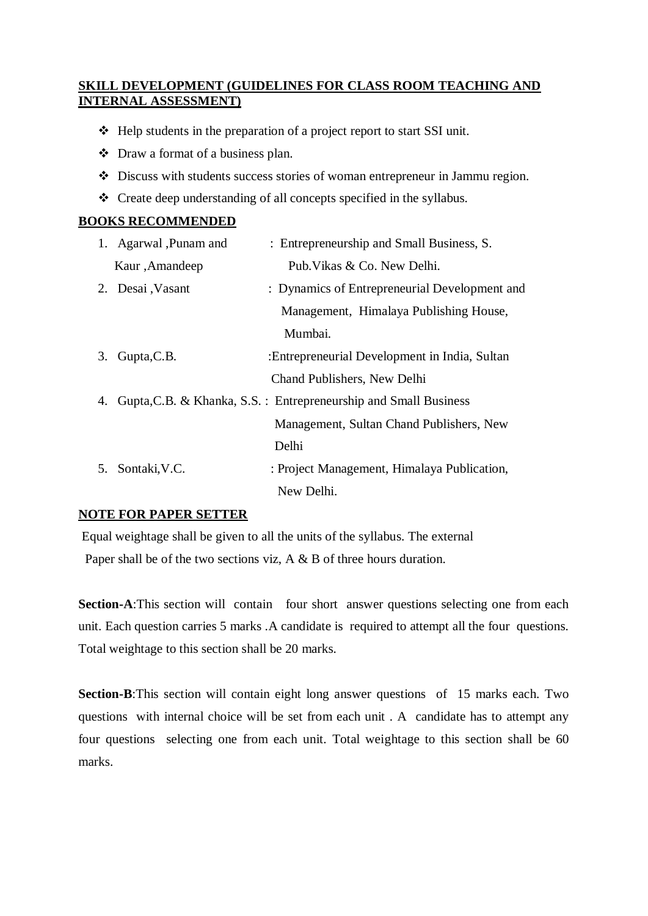# **SKILL DEVELOPMENT (GUIDELINES FOR CLASS ROOM TEACHING AND INTERNAL ASSESSMENT)**

- Help students in the preparation of a project report to start SSI unit.
- Draw a format of a business plan.
- Discuss with students success stories of woman entrepreneur in Jammu region.
- $\triangle$  Create deep understanding of all concepts specified in the syllabus.

# **BOOKS RECOMMENDED**

|    | 1. Agarwal , Punam and | : Entrepreneurship and Small Business, S.                        |
|----|------------------------|------------------------------------------------------------------|
|    | Kaur, Amandeep         | Pub. Vikas & Co. New Delhi.                                      |
|    | 2. Desai , Vasant      | : Dynamics of Entrepreneurial Development and                    |
|    |                        | Management, Himalaya Publishing House,                           |
|    |                        | Mumbai.                                                          |
| 3. | Gupta, C.B.            | : Entrepreneurial Development in India, Sultan                   |
|    |                        | Chand Publishers, New Delhi                                      |
| 4. |                        | Gupta, C.B. & Khanka, S.S. : Entrepreneurship and Small Business |
|    |                        | Management, Sultan Chand Publishers, New                         |
|    |                        | Delhi                                                            |
| 5. | Sontaki, V.C.          | : Project Management, Himalaya Publication,                      |
|    |                        | New Delhi.                                                       |

# **NOTE FOR PAPER SETTER**

Equal weightage shall be given to all the units of the syllabus. The external Paper shall be of the two sections viz, A & B of three hours duration.

**Section-A**:This section will contain four short answer questions selecting one from each unit. Each question carries 5 marks .A candidate is required to attempt all the four questions. Total weightage to this section shall be 20 marks.

**Section-B**:This section will contain eight long answer questions of 15 marks each. Two questions with internal choice will be set from each unit . A candidate has to attempt any four questions selecting one from each unit. Total weightage to this section shall be 60 marks.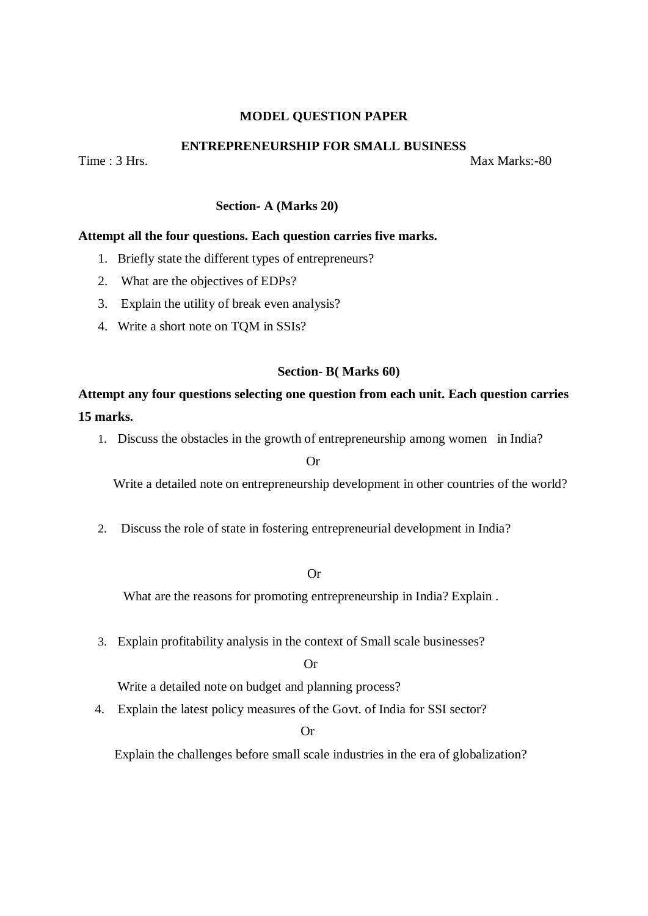#### **MODEL QUESTION PAPER**

#### **ENTREPRENEURSHIP FOR SMALL BUSINESS**

Time : 3 Hrs. Max Marks:-80

#### **Section- A (Marks 20)**

### **Attempt all the four questions. Each question carries five marks.**

- 1. Briefly state the different types of entrepreneurs?
- 2. What are the objectives of EDPs?
- 3. Explain the utility of break even analysis?
- 4. Write a short note on TQM in SSIs?

#### **Section- B( Marks 60)**

**Attempt any four questions selecting one question from each unit. Each question carries 15 marks.**

1. Discuss the obstacles in the growth of entrepreneurship among women in India?

Or

Write a detailed note on entrepreneurship development in other countries of the world?

2. Discuss the role of state in fostering entrepreneurial development in India?

**Or** 

What are the reasons for promoting entrepreneurship in India? Explain .

3. Explain profitability analysis in the context of Small scale businesses?

**Or** 

Write a detailed note on budget and planning process?

4. Explain the latest policy measures of the Govt. of India for SSI sector?

Or

Explain the challenges before small scale industries in the era of globalization?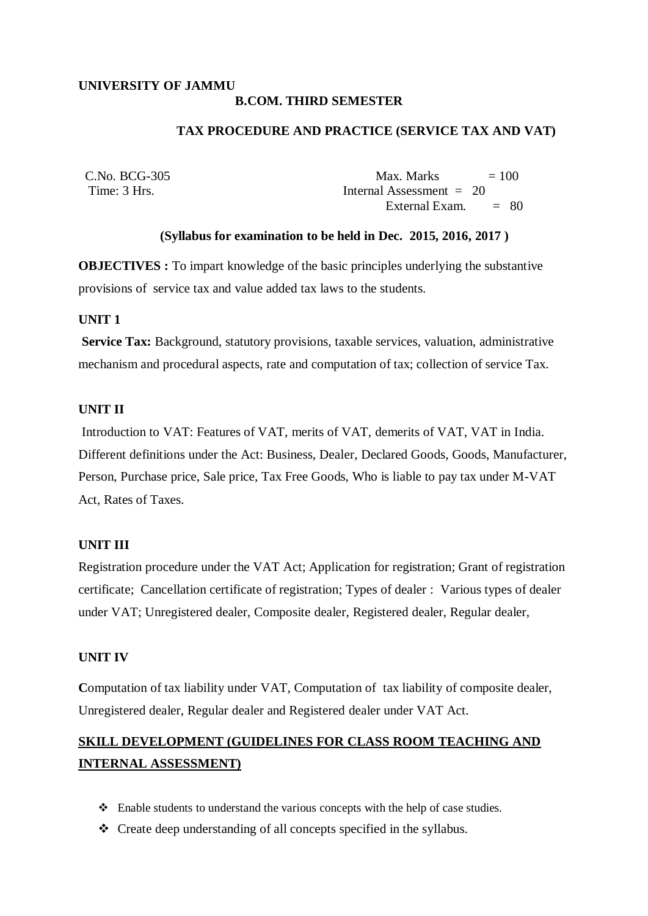# **UNIVERSITY OF JAMMU B.COM. THIRD SEMESTER**

# **TAX PROCEDURE AND PRACTICE (SERVICE TAX AND VAT)**

| C.No. BCG-305 | Max. Marks                 | $= 100$ |
|---------------|----------------------------|---------|
| Time: 3 Hrs.  | Internal Assessment $= 20$ |         |
|               | External Exam.             | $= 80$  |

# **(Syllabus for examination to be held in Dec. 2015, 2016, 2017 )**

**OBJECTIVES :** To impart knowledge of the basic principles underlying the substantive provisions of service tax and value added tax laws to the students.

#### **UNIT 1**

**Service Tax:** Background, statutory provisions, taxable services, valuation, administrative mechanism and procedural aspects, rate and computation of tax; collection of service Tax.

# **UNIT II**

Introduction to VAT: Features of VAT, merits of VAT, demerits of VAT, VAT in India. Different definitions under the Act: Business, Dealer, Declared Goods, Goods, Manufacturer, Person, Purchase price, Sale price, Tax Free Goods, Who is liable to pay tax under M-VAT Act, Rates of Taxes.

# **UNIT III**

Registration procedure under the VAT Act; Application for registration; Grant of registration certificate; Cancellation certificate of registration; Types of dealer : Various types of dealer under VAT; Unregistered dealer, Composite dealer, Registered dealer, Regular dealer,

# **UNIT IV**

**C**omputation of tax liability under VAT, Computation of tax liability of composite dealer, Unregistered dealer, Regular dealer and Registered dealer under VAT Act.

# **SKILL DEVELOPMENT (GUIDELINES FOR CLASS ROOM TEACHING AND INTERNAL ASSESSMENT)**

- Enable students to understand the various concepts with the help of case studies.
- $\triangleleft$  Create deep understanding of all concepts specified in the syllabus.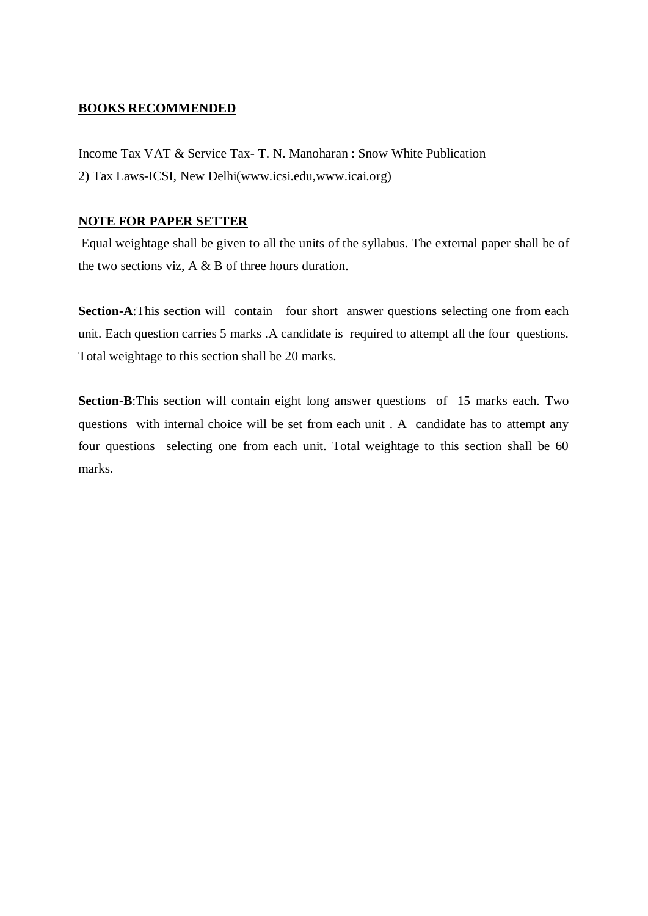# **BOOKS RECOMMENDED**

Income Tax VAT & Service Tax- T. N. Manoharan : Snow White Publication 2) Tax Laws-ICSI, New Delhi(www.icsi.edu,www.icai.org)

# **NOTE FOR PAPER SETTER**

Equal weightage shall be given to all the units of the syllabus. The external paper shall be of the two sections viz, A & B of three hours duration.

**Section-A**:This section will contain four short answer questions selecting one from each unit. Each question carries 5 marks .A candidate is required to attempt all the four questions. Total weightage to this section shall be 20 marks.

**Section-B**:This section will contain eight long answer questions of 15 marks each. Two questions with internal choice will be set from each unit . A candidate has to attempt any four questions selecting one from each unit. Total weightage to this section shall be 60 marks.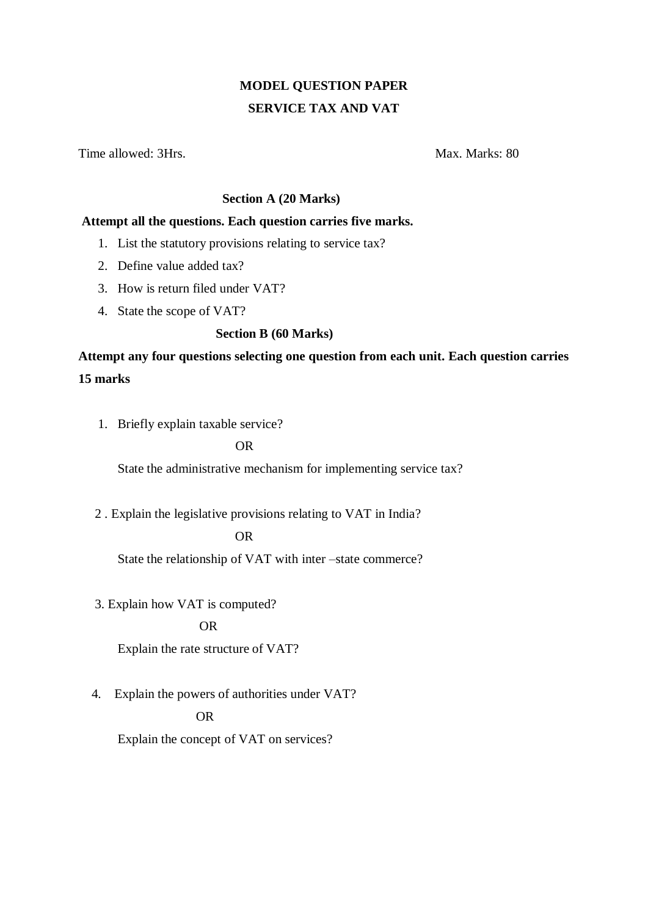# **MODEL QUESTION PAPER SERVICE TAX AND VAT**

Time allowed: 3Hrs. Max. Marks: 80

#### **Section A (20 Marks)**

#### **Attempt all the questions. Each question carries five marks.**

- 1. List the statutory provisions relating to service tax?
- 2. Define value added tax?
- 3. How is return filed under VAT?
- 4. State the scope of VAT?

#### **Section B (60 Marks)**

# **Attempt any four questions selecting one question from each unit. Each question carries 15 marks**

1. Briefly explain taxable service?

#### OR

State the administrative mechanism for implementing service tax?

2 . Explain the legislative provisions relating to VAT in India?

# OR

State the relationship of VAT with inter –state commerce?

3. Explain how VAT is computed?

# OR

Explain the rate structure of VAT?

# 4. Explain the powers of authorities under VAT?

#### OR

Explain the concept of VAT on services?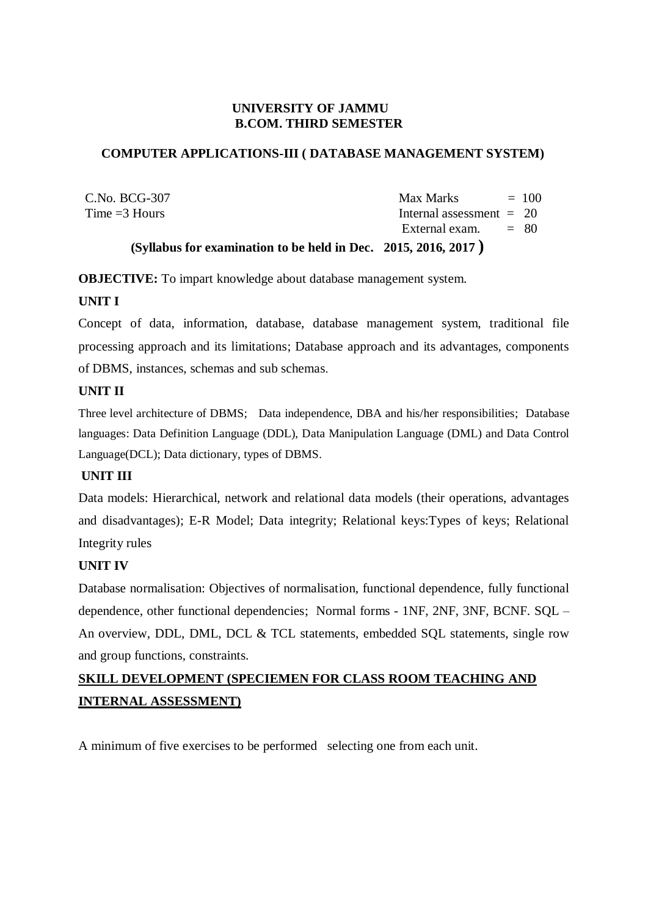# **UNIVERSITY OF JAMMU B.COM. THIRD SEMESTER**

# **COMPUTER APPLICATIONS-III ( DATABASE MANAGEMENT SYSTEM)**

 $C$ . No. BCG-307 Time  $=3$  Hours

| <b>Max Marks</b>           |     | $= 100$ |
|----------------------------|-----|---------|
| Internal assessment $= 20$ |     |         |
| External exam.             | $=$ | -80     |

**(Syllabus for examination to be held in Dec. 2015, 2016, 2017 )**

**OBJECTIVE:** To impart knowledge about database management system.

# **UNIT I**

Concept of data, information, database, database management system, traditional file processing approach and its limitations; Database approach and its advantages, components of DBMS, instances, schemas and sub schemas.

# **UNIT II**

Three level architecture of DBMS; Data independence, DBA and his/her responsibilities; Database languages: Data Definition Language (DDL), Data Manipulation Language (DML) and Data Control Language(DCL); Data dictionary, types of DBMS.

# **UNIT III**

Data models: Hierarchical, network and relational data models (their operations, advantages and disadvantages); E-R Model; Data integrity; Relational keys:Types of keys; Relational Integrity rules

# **UNIT IV**

Database normalisation: Objectives of normalisation, functional dependence, fully functional dependence, other functional dependencies; Normal forms - 1NF, 2NF, 3NF, BCNF. SQL – An overview, DDL, DML, DCL & TCL statements, embedded SQL statements, single row and group functions, constraints.

# **SKILL DEVELOPMENT (SPECIEMEN FOR CLASS ROOM TEACHING AND INTERNAL ASSESSMENT)**

A minimum of five exercises to be performed selecting one from each unit.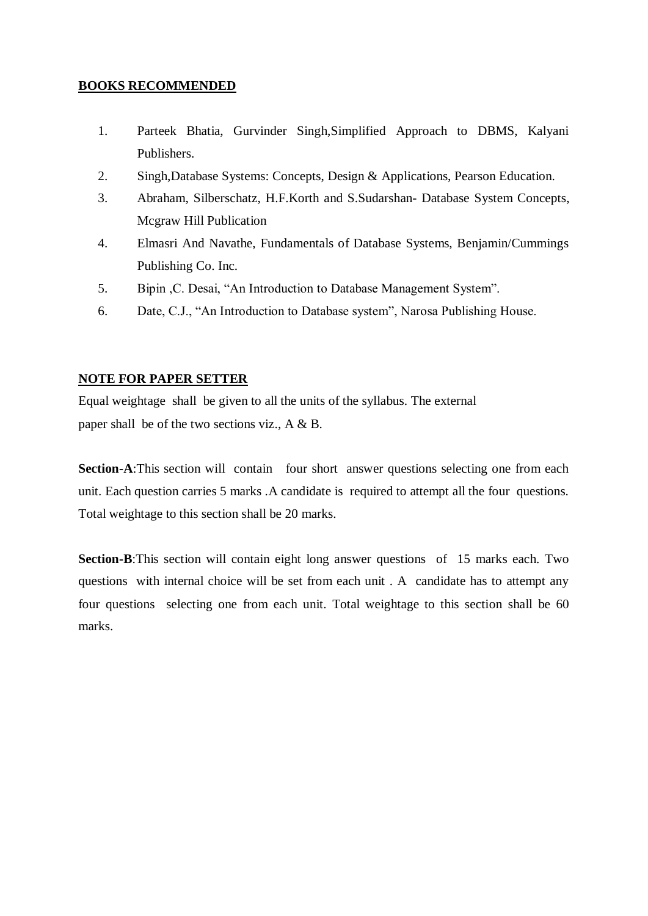# **BOOKS RECOMMENDED**

- 1. Parteek Bhatia, Gurvinder Singh,Simplified Approach to DBMS, Kalyani Publishers.
- 2. Singh,Database Systems: Concepts, Design & Applications, Pearson Education.
- 3. Abraham, Silberschatz, H.F.Korth and S.Sudarshan- Database System Concepts, Mcgraw Hill Publication
- 4. Elmasri And Navathe, Fundamentals of Database Systems, Benjamin/Cummings Publishing Co. Inc.
- 5. Bipin ,C. Desai, "An Introduction to Database Management System".
- 6. Date, C.J., "An Introduction to Database system", Narosa Publishing House.

# **NOTE FOR PAPER SETTER**

Equal weightage shall be given to all the units of the syllabus. The external paper shall be of the two sections viz., A & B.

**Section-A**:This section will contain four short answer questions selecting one from each unit. Each question carries 5 marks .A candidate is required to attempt all the four questions. Total weightage to this section shall be 20 marks.

**Section-B**:This section will contain eight long answer questions of 15 marks each. Two questions with internal choice will be set from each unit . A candidate has to attempt any four questions selecting one from each unit. Total weightage to this section shall be 60 marks.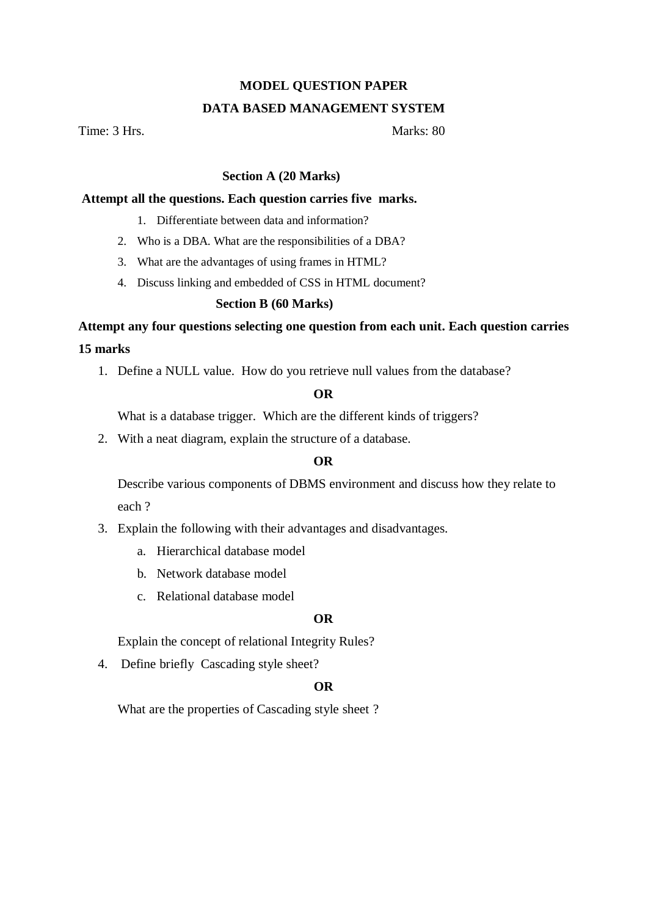#### **MODEL QUESTION PAPER**

#### **DATA BASED MANAGEMENT SYSTEM**

Time: 3 Hrs. Marks: 80

#### **Section A (20 Marks)**

#### **Attempt all the questions. Each question carries five marks.**

- 1. Differentiate between data and information?
- 2. Who is a DBA. What are the responsibilities of a DBA?
- 3. What are the advantages of using frames in HTML?
- 4. Discuss linking and embedded of CSS in HTML document?

# **Section B (60 Marks)**

# **Attempt any four questions selecting one question from each unit. Each question carries**

### **15 marks**

1. Define a NULL value. How do you retrieve null values from the database?

#### **OR**

What is a database trigger. Which are the different kinds of triggers?

2. With a neat diagram, explain the structure of a database.

# **OR**

Describe various components of DBMS environment and discuss how they relate to each ?

- 3. Explain the following with their advantages and disadvantages.
	- a. Hierarchical database model
	- b. Network database model
	- c. Relational database model

# **OR**

Explain the concept of relational Integrity Rules?

4. Define briefly Cascading style sheet?

#### *OR*

What are the properties of Cascading style sheet ?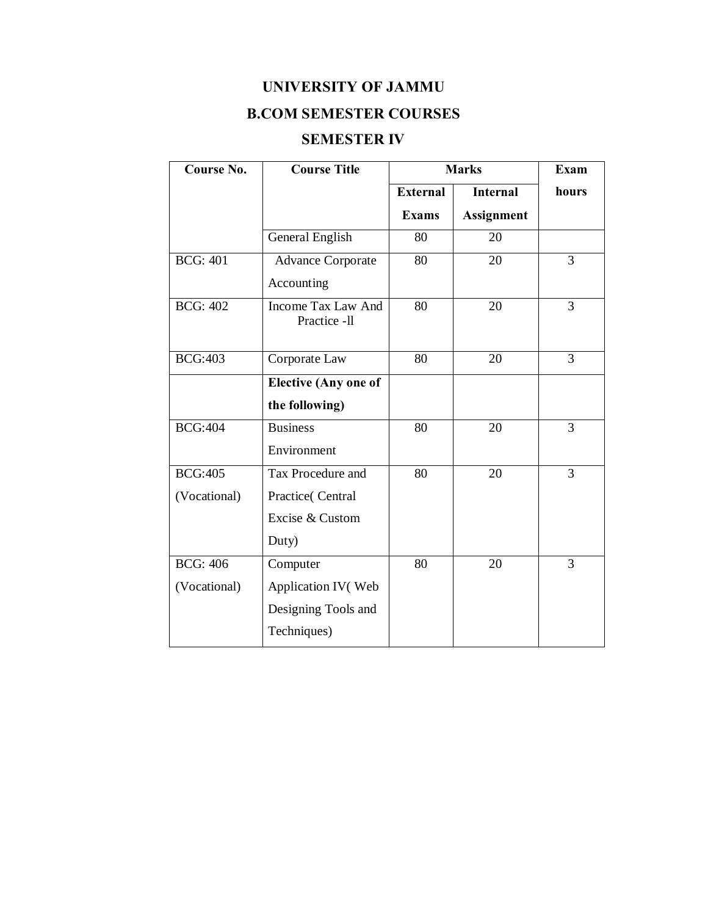# **UNIVERSITY OF JAMMU**

# **B.COM SEMESTER COURSES**

# **SEMESTER IV**

| Course No.      | <b>Course Title</b>                    | <b>Marks</b>    |                   | <b>Exam</b> |
|-----------------|----------------------------------------|-----------------|-------------------|-------------|
|                 |                                        | <b>External</b> | <b>Internal</b>   | hours       |
|                 |                                        | <b>Exams</b>    | <b>Assignment</b> |             |
|                 | General English                        | 80              | 20                |             |
| <b>BCG: 401</b> | <b>Advance Corporate</b><br>Accounting | 80              | 20                | 3           |
| <b>BCG: 402</b> | Income Tax Law And<br>Practice -11     | 80              | 20                | 3           |
| <b>BCG:403</b>  | Corporate Law                          | 80              | 20                | 3           |
|                 | <b>Elective (Any one of</b>            |                 |                   |             |
|                 | the following)                         |                 |                   |             |
| <b>BCG:404</b>  | <b>Business</b>                        | 80              | 20                | 3           |
|                 | Environment                            |                 |                   |             |
| <b>BCG:405</b>  | Tax Procedure and                      | 80              | 20                | 3           |
| (Vocational)    | Practice(Central                       |                 |                   |             |
|                 | Excise & Custom                        |                 |                   |             |
|                 | Duty)                                  |                 |                   |             |
| <b>BCG: 406</b> | Computer                               | 80              | 20                | 3           |
| (Vocational)    | Application IV(Web                     |                 |                   |             |
|                 | Designing Tools and                    |                 |                   |             |
|                 | Techniques)                            |                 |                   |             |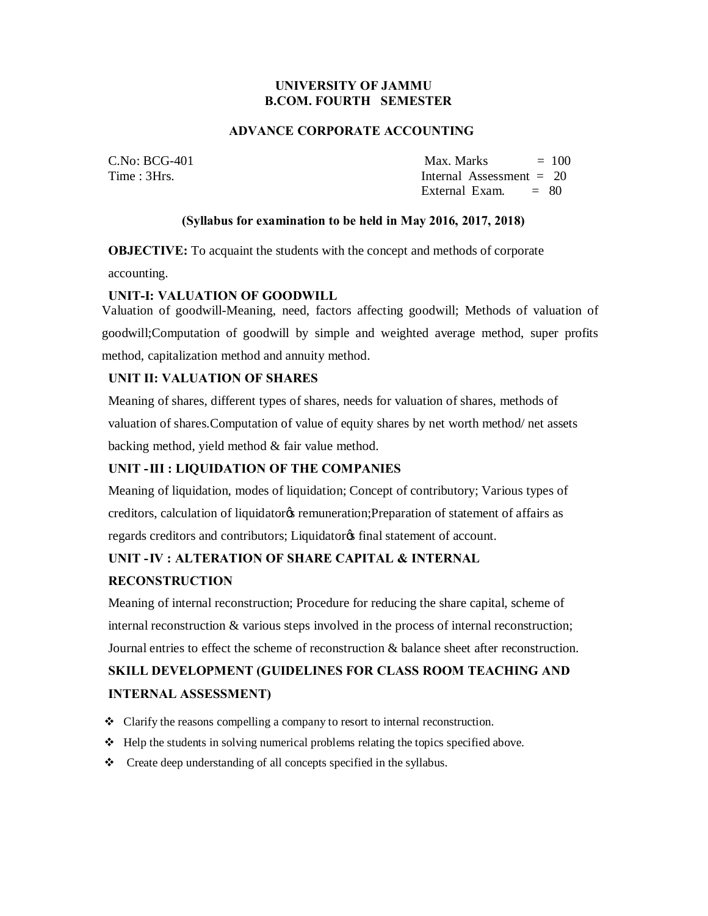#### **UNIVERSITY OF JAMMU B.COM. FOURTH SEMESTER**

#### **ADVANCE CORPORATE ACCOUNTING**

 $C.No: BCG-401$  Max. Marks  $= 100$ Time : 3Hrs. Internal Assessment = 20 External Exam. = 80

#### **(Syllabus for examination to be held in May 2016, 2017, 2018)**

**OBJECTIVE:** To acquaint the students with the concept and methods of corporate

accounting.

#### **UNIT-I: VALUATION OF GOODWILL**

Valuation of goodwill-Meaning, need, factors affecting goodwill; Methods of valuation of goodwill;Computation of goodwill by simple and weighted average method, super profits method, capitalization method and annuity method.

#### **UNIT II: VALUATION OF SHARES**

Meaning of shares, different types of shares, needs for valuation of shares, methods of valuation of shares.Computation of value of equity shares by net worth method/ net assets backing method, yield method & fair value method.

#### **UNIT -III : LIQUIDATION OF THE COMPANIES**

Meaning of liquidation, modes of liquidation; Concept of contributory; Various types of creditors, calculation of liquidator as remuneration; Preparation of statement of affairs as regards creditors and contributors; Liquidator<sub>of</sub> final statement of account.

#### **UNIT -IV : ALTERATION OF SHARE CAPITAL & INTERNAL**

#### **RECONSTRUCTION**

Meaning of internal reconstruction; Procedure for reducing the share capital, scheme of internal reconstruction & various steps involved in the process of internal reconstruction; Journal entries to effect the scheme of reconstruction & balance sheet after reconstruction.

# **SKILL DEVELOPMENT (GUIDELINES FOR CLASS ROOM TEACHING AND INTERNAL ASSESSMENT)**

- v Clarify the reasons compelling a company to resort to internal reconstruction.
- $\div$  Help the students in solving numerical problems relating the topics specified above.
- \* Create deep understanding of all concepts specified in the syllabus.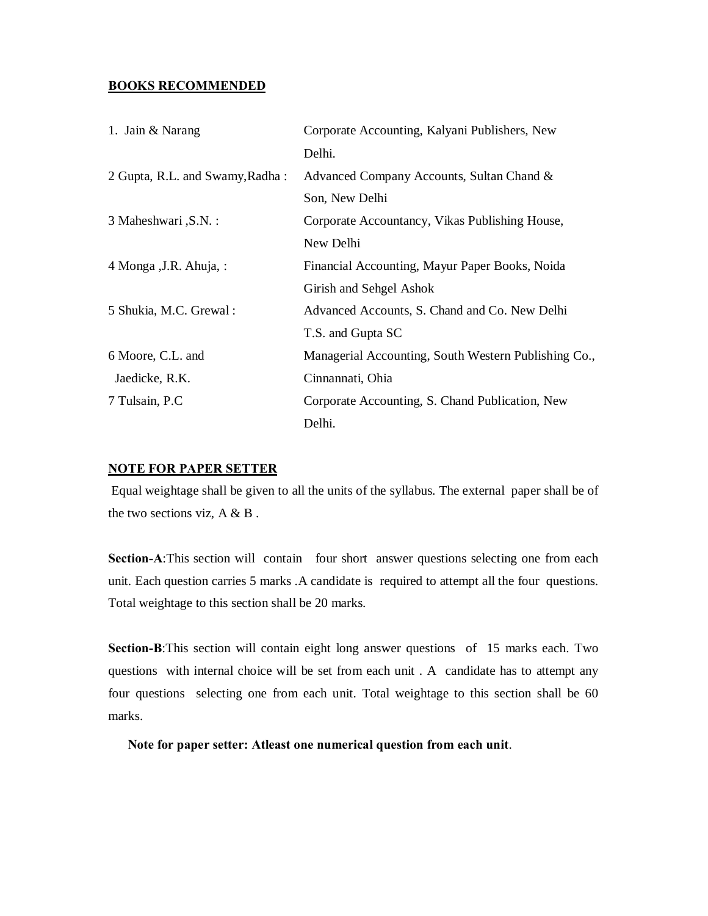#### **BOOKS RECOMMENDED**

| 1. Jain & Narang                | Corporate Accounting, Kalyani Publishers, New        |  |
|---------------------------------|------------------------------------------------------|--|
|                                 | Delhi.                                               |  |
| 2 Gupta, R.L. and Swamy, Radha: | Advanced Company Accounts, Sultan Chand &            |  |
|                                 | Son, New Delhi                                       |  |
| 3 Maheshwari, S.N. :            | Corporate Accountancy, Vikas Publishing House,       |  |
|                                 | New Delhi                                            |  |
| 4 Monga , J.R. Ahuja, :         | Financial Accounting, Mayur Paper Books, Noida       |  |
|                                 | Girish and Sehgel Ashok                              |  |
| 5 Shukia, M.C. Grewal:          | Advanced Accounts, S. Chand and Co. New Delhi        |  |
|                                 | T.S. and Gupta SC                                    |  |
| 6 Moore, C.L. and               | Managerial Accounting, South Western Publishing Co., |  |
| Jaedicke, R.K.                  | Cinnannati, Ohia                                     |  |
| 7 Tulsain, P.C.                 | Corporate Accounting, S. Chand Publication, New      |  |
|                                 | Delhi.                                               |  |

#### **NOTE FOR PAPER SETTER**

Equal weightage shall be given to all the units of the syllabus. The external paper shall be of the two sections viz,  $A \& B$ .

**Section-A**:This section will contain four short answer questions selecting one from each unit. Each question carries 5 marks .A candidate is required to attempt all the four questions. Total weightage to this section shall be 20 marks.

**Section-B**:This section will contain eight long answer questions of 15 marks each. Two questions with internal choice will be set from each unit . A candidate has to attempt any four questions selecting one from each unit. Total weightage to this section shall be 60 marks.

**Note for paper setter: Atleast one numerical question from each unit**.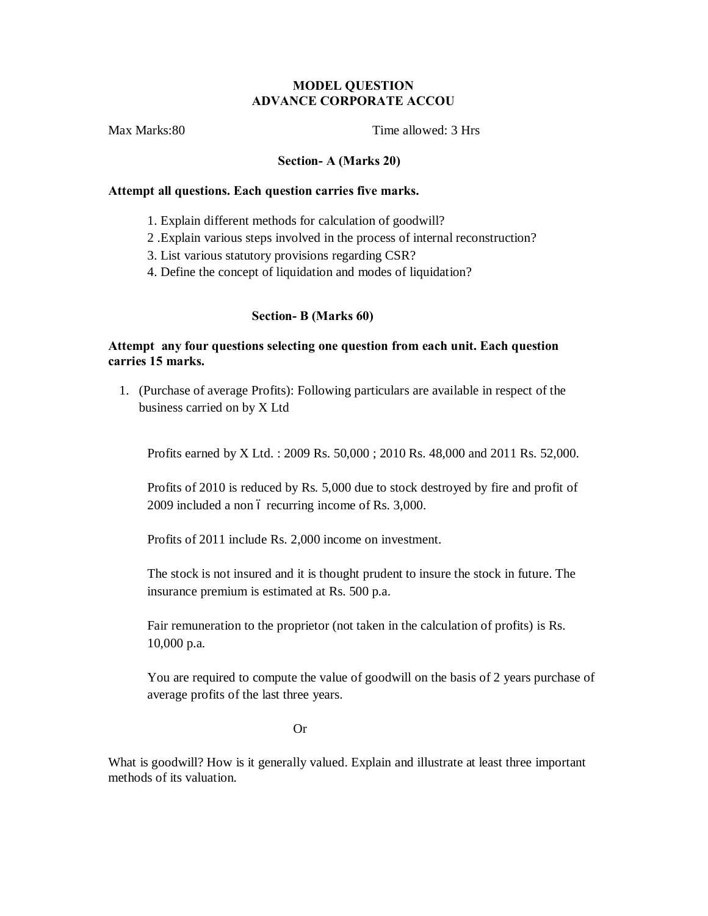#### **MODEL QUESTION ADVANCE CORPORATE ACCOU**

Max Marks:80 Time allowed: 3 Hrs

#### **Section- A (Marks 20)**

#### **Attempt all questions. Each question carries five marks.**

- 1. Explain different methods for calculation of goodwill?
- 2 .Explain various steps involved in the process of internal reconstruction?
- 3. List various statutory provisions regarding CSR?
- 4. Define the concept of liquidation and modes of liquidation?

#### **Section- B (Marks 60)**

#### **Attempt any four questions selecting one question from each unit. Each question carries 15 marks.**

1. (Purchase of average Profits): Following particulars are available in respect of the business carried on by X Ltd

Profits earned by X Ltd. : 2009 Rs. 50,000 ; 2010 Rs. 48,000 and 2011 Rs. 52,000.

Profits of 2010 is reduced by Rs. 5,000 due to stock destroyed by fire and profit of  $2009$  included a non ó recurring income of Rs. 3,000.

Profits of 2011 include Rs. 2,000 income on investment.

The stock is not insured and it is thought prudent to insure the stock in future. The insurance premium is estimated at Rs. 500 p.a.

Fair remuneration to the proprietor (not taken in the calculation of profits) is Rs. 10,000 p.a.

You are required to compute the value of goodwill on the basis of 2 years purchase of average profits of the last three years.

**Or** Or

What is goodwill? How is it generally valued. Explain and illustrate at least three important methods of its valuation.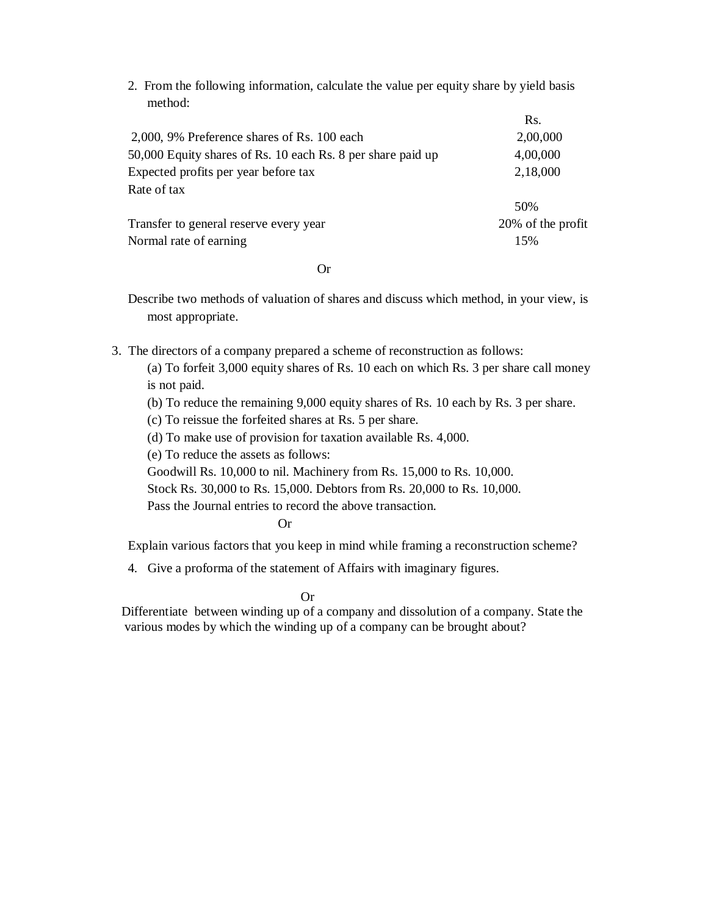2. From the following information, calculate the value per equity share by yield basis method:

|                                                             | Rs.               |
|-------------------------------------------------------------|-------------------|
| 2,000, 9% Preference shares of Rs. 100 each                 | 2,00,000          |
| 50,000 Equity shares of Rs. 10 each Rs. 8 per share paid up | 4,00,000          |
| Expected profits per year before tax                        | 2,18,000          |
| Rate of tax                                                 |                   |
|                                                             | 50%               |
| Transfer to general reserve every year                      | 20% of the profit |
| Normal rate of earning                                      | 15%               |
|                                                             |                   |

**Or** 

Describe two methods of valuation of shares and discuss which method, in your view, is most appropriate.

3. The directors of a company prepared a scheme of reconstruction as follows:

(a) To forfeit 3,000 equity shares of Rs. 10 each on which Rs. 3 per share call money is not paid.

- (b) To reduce the remaining 9,000 equity shares of Rs. 10 each by Rs. 3 per share.
- (c) To reissue the forfeited shares at Rs. 5 per share.
- (d) To make use of provision for taxation available Rs. 4,000.
- (e) To reduce the assets as follows:
- Goodwill Rs. 10,000 to nil. Machinery from Rs. 15,000 to Rs. 10,000.
- Stock Rs. 30,000 to Rs. 15,000. Debtors from Rs. 20,000 to Rs. 10,000.

Pass the Journal entries to record the above transaction.

Or

Explain various factors that you keep in mind while framing a reconstruction scheme?

4. Give a proforma of the statement of Affairs with imaginary figures.

Or

 Differentiate between winding up of a company and dissolution of a company. State the various modes by which the winding up of a company can be brought about?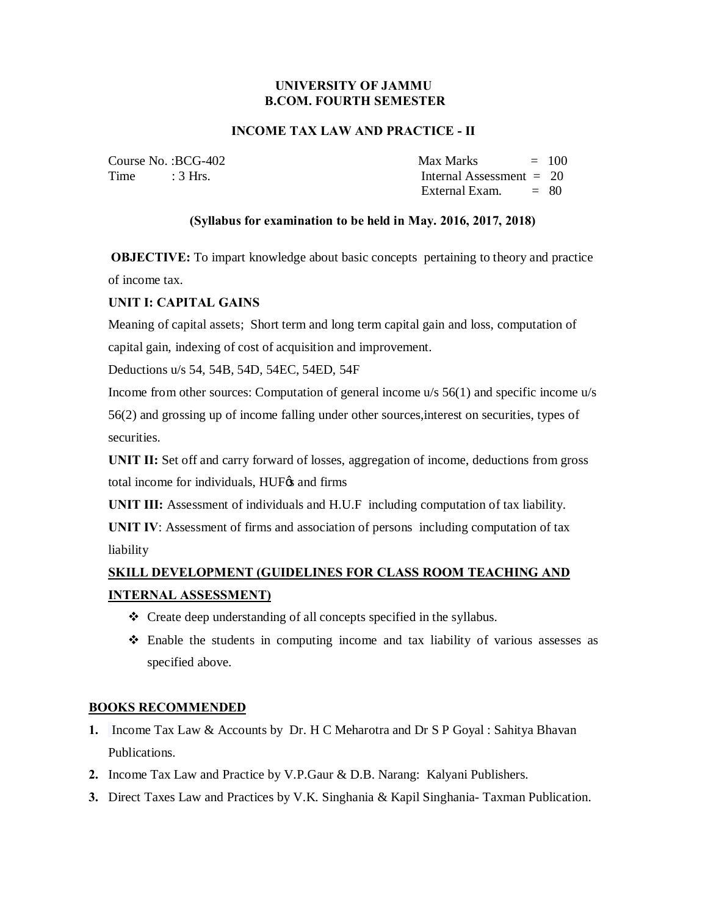#### **UNIVERSITY OF JAMMU B.COM. FOURTH SEMESTER**

#### **INCOME TAX LAW AND PRACTICE - II**

Course No. : BCG-402 Max Marks  $= 100$ Time : 3 Hrs. Internal Assessment = 20 External Exam.  $= 80$ 

#### **(Syllabus for examination to be held in May. 2016, 2017, 2018)**

**OBJECTIVE:** To impart knowledge about basic concepts pertaining to theory and practice of income tax.

#### **UNIT I: CAPITAL GAINS**

Meaning of capital assets; Short term and long term capital gain and loss, computation of capital gain, indexing of cost of acquisition and improvement.

Deductions u/s 54, 54B, 54D, 54EC, 54ED, 54F

Income from other sources: Computation of general income u/s 56(1) and specific income u/s

56(2) and grossing up of income falling under other sources,interest on securities, types of securities.

**UNIT II:** Set off and carry forward of losses, aggregation of income, deductions from gross total income for individuals, HUF<sub>®</sub> and firms

**UNIT III:** Assessment of individuals and H.U.F including computation of tax liability.

**UNIT IV**: Assessment of firms and association of persons including computation of tax liability

# **SKILL DEVELOPMENT (GUIDELINES FOR CLASS ROOM TEACHING AND INTERNAL ASSESSMENT)**

- $\triangleleft$  Create deep understanding of all concepts specified in the syllabus.
- $\div$  Enable the students in computing income and tax liability of various assesses as specified above.

#### **BOOKS RECOMMENDED**

- **1.** Income Tax Law & Accounts by Dr. H C Meharotra and Dr S P Goyal : Sahitya Bhavan Publications.
- **2.** Income Tax Law and Practice by V.P.Gaur & D.B. Narang: Kalyani Publishers.
- **3.** Direct Taxes Law and Practices by V.K. Singhania & Kapil Singhania- Taxman Publication.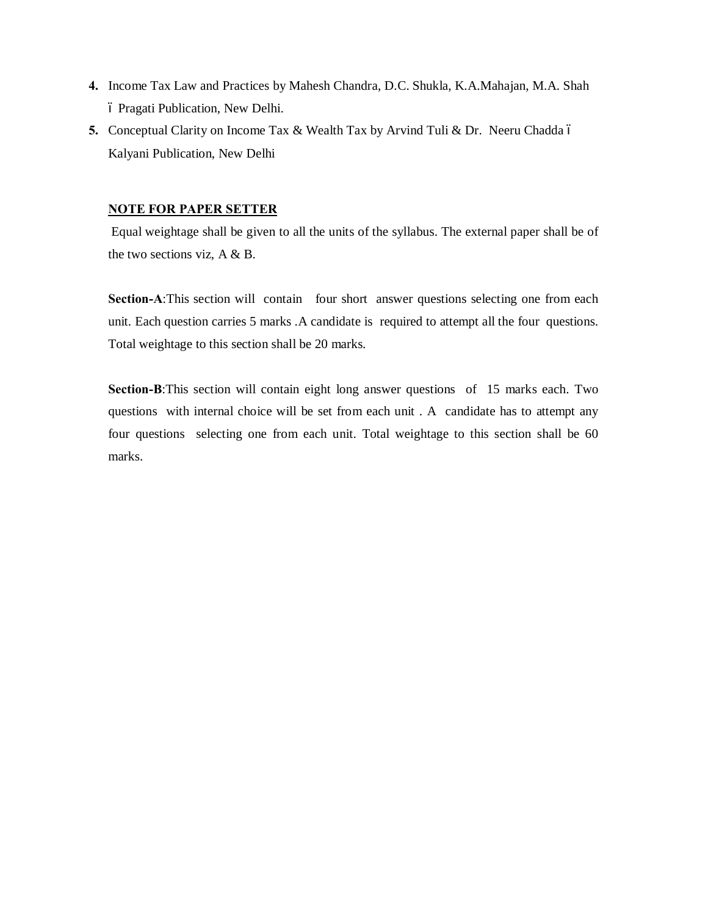- **4.** Income Tax Law and Practices by Mahesh Chandra, D.C. Shukla, K.A.Mahajan, M.A. Shah ó Pragati Publication, New Delhi.
- **5.** Conceptual Clarity on Income Tax & Wealth Tax by Arvind Tuli & Dr. Neeru Chadda ó Kalyani Publication, New Delhi

#### **NOTE FOR PAPER SETTER**

Equal weightage shall be given to all the units of the syllabus. The external paper shall be of the two sections viz, A & B.

**Section-A**:This section will contain four short answer questions selecting one from each unit. Each question carries 5 marks .A candidate is required to attempt all the four questions. Total weightage to this section shall be 20 marks.

**Section-B**:This section will contain eight long answer questions of 15 marks each. Two questions with internal choice will be set from each unit . A candidate has to attempt any four questions selecting one from each unit. Total weightage to this section shall be 60 marks.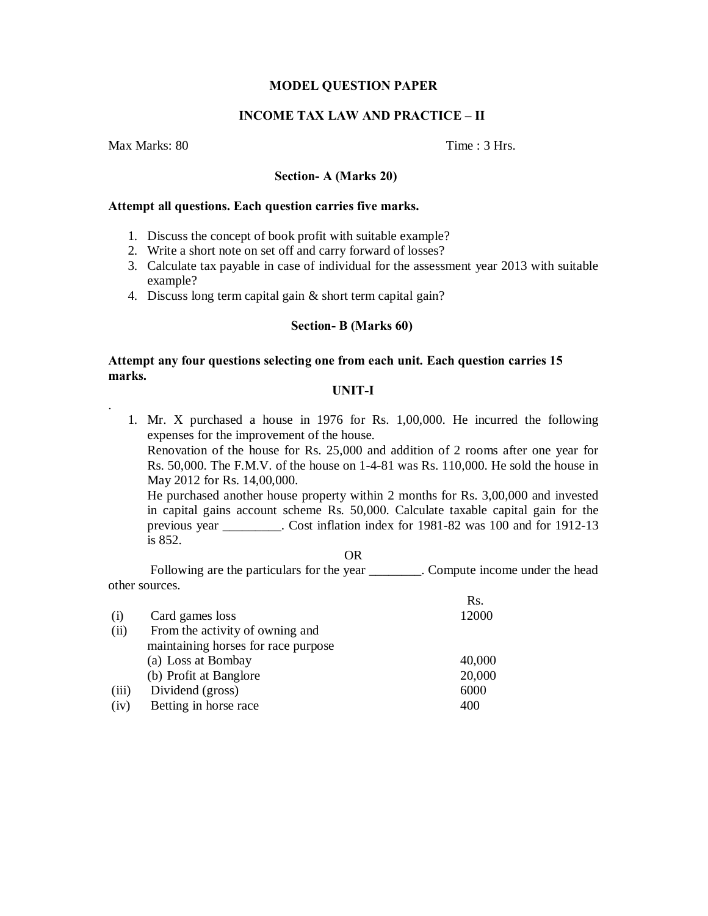#### **MODEL QUESTION PAPER**

#### **INCOME TAX LAW AND PRACTICE – II**

Max Marks: 80 Time : 3 Hrs.

.

#### **Section- A (Marks 20)**

#### **Attempt all questions. Each question carries five marks.**

- 1. Discuss the concept of book profit with suitable example?
- 2. Write a short note on set off and carry forward of losses?
- 3. Calculate tax payable in case of individual for the assessment year 2013 with suitable example?
- 4. Discuss long term capital gain & short term capital gain?

#### **Section- B (Marks 60)**

#### **Attempt any four questions selecting one from each unit. Each question carries 15 marks.**

#### **UNIT-I**

1. Mr. X purchased a house in 1976 for Rs. 1,00,000. He incurred the following expenses for the improvement of the house.

Renovation of the house for Rs. 25,000 and addition of 2 rooms after one year for Rs. 50,000. The F.M.V. of the house on 1-4-81 was Rs. 110,000. He sold the house in May 2012 for Rs. 14,00,000.

He purchased another house property within 2 months for Rs. 3,00,000 and invested in capital gains account scheme Rs. 50,000. Calculate taxable capital gain for the previous year \_\_\_\_\_\_\_\_\_. Cost inflation index for 1981-82 was 100 and for 1912-13 is 852.

OR

Following are the particulars for the year compute income under the head other sources.  $\mathbf{r}$ 

|       |                                     | KS.    |
|-------|-------------------------------------|--------|
| (i)   | Card games loss                     | 12000  |
| (ii)  | From the activity of owning and     |        |
|       | maintaining horses for race purpose |        |
|       | (a) Loss at Bombay                  | 40,000 |
|       | (b) Profit at Banglore              | 20,000 |
| (iii) | Dividend (gross)                    | 6000   |
| (iv)  | Betting in horse race               | 400    |
|       |                                     |        |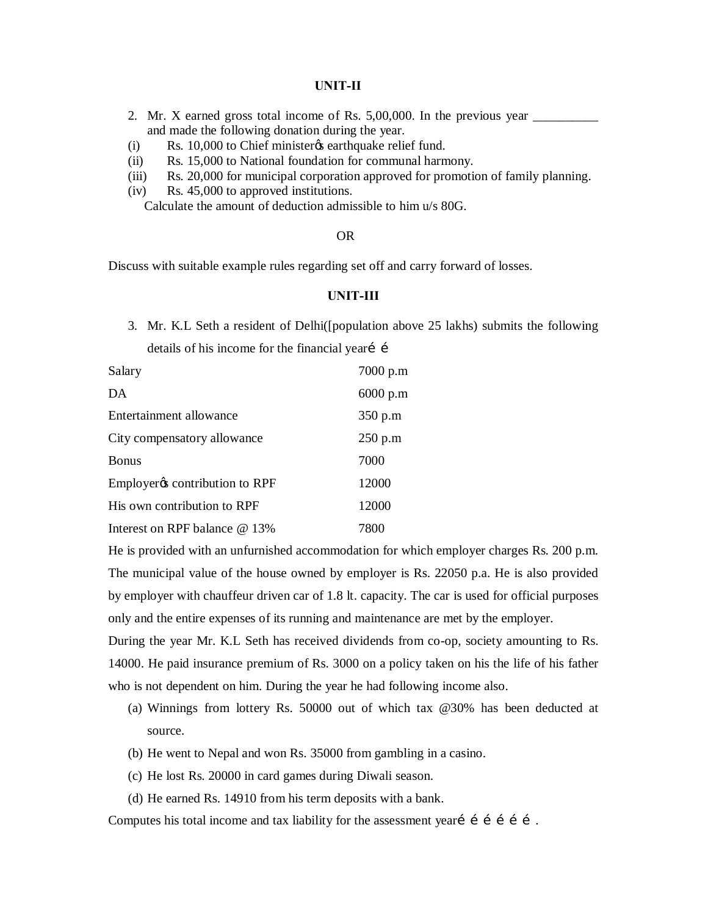#### **UNIT-II**

- 2. Mr. X earned gross total income of Rs.  $5,00,000$ . In the previous year and made the following donation during the year.
- (i) Rs. 10,000 to Chief minister *(i)* earthquake relief fund.
- (ii) Rs. 15,000 to National foundation for communal harmony.
- (iii) Rs. 20,000 for municipal corporation approved for promotion of family planning.
- (iv) Rs. 45,000 to approved institutions.

Calculate the amount of deduction admissible to him u/s 80G.

#### OR

Discuss with suitable example rules regarding set off and carry forward of losses.

#### **UNIT-III**

3. Mr. K.L Seth a resident of Delhi([population above 25 lakhs) submits the following details of his income for the financial yeari í

| Salary                         | 7000 p.m |
|--------------------------------|----------|
| DA                             | 6000 p.m |
| Entertainment allowance        | 350 p.m  |
| City compensatory allowance    | 250 p.m  |
| <b>Bonus</b>                   | 7000     |
| Employer & contribution to RPF | 12000    |
| His own contribution to RPF    | 12000    |
| Interest on RPF balance @ 13%  | 7800     |

He is provided with an unfurnished accommodation for which employer charges Rs. 200 p.m. The municipal value of the house owned by employer is Rs. 22050 p.a. He is also provided by employer with chauffeur driven car of 1.8 lt. capacity. The car is used for official purposes only and the entire expenses of its running and maintenance are met by the employer.

During the year Mr. K.L Seth has received dividends from co-op, society amounting to Rs. 14000. He paid insurance premium of Rs. 3000 on a policy taken on his the life of his father who is not dependent on him. During the year he had following income also.

- (a) Winnings from lottery Rs. 50000 out of which tax @30% has been deducted at source.
- (b) He went to Nepal and won Rs. 35000 from gambling in a casino.
- (c) He lost Rs. 20000 in card games during Diwali season.
- (d) He earned Rs. 14910 from his term deposits with a bank.

Computes his total income and tax liability for the assessment year  $i$  i i i i i.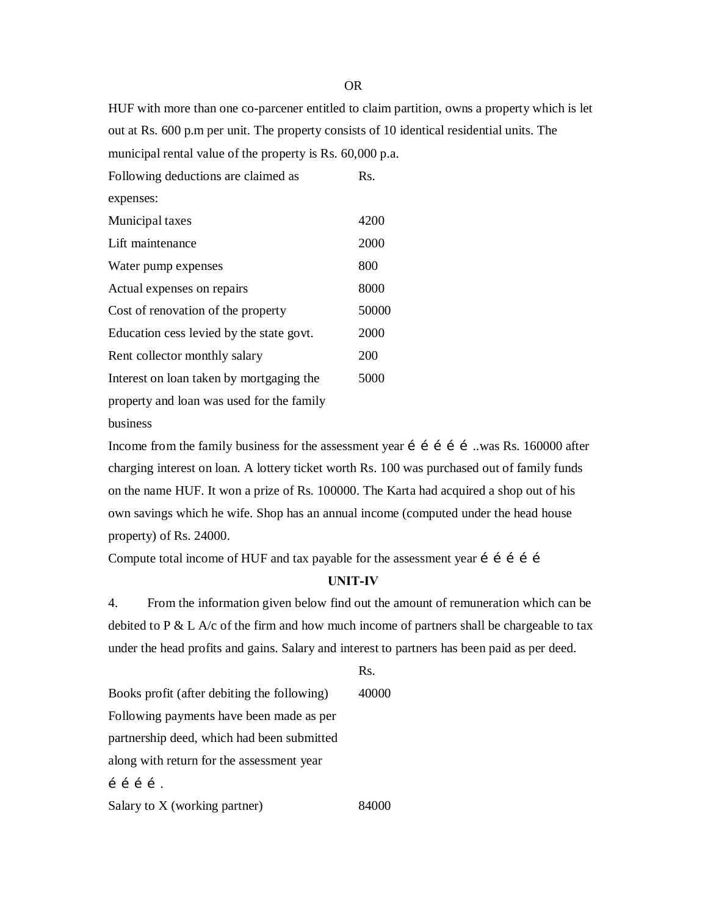HUF with more than one co-parcener entitled to claim partition, owns a property which is let out at Rs. 600 p.m per unit. The property consists of 10 identical residential units. The municipal rental value of the property is Rs. 60,000 p.a.

| Following deductions are claimed as       | $\mathbf{R}$ s. |
|-------------------------------------------|-----------------|
| expenses:                                 |                 |
| Municipal taxes                           | 4200            |
| Lift maintenance                          | 2000            |
| Water pump expenses                       | 800             |
| Actual expenses on repairs                | 8000            |
| Cost of renovation of the property        | 50000           |
| Education cess levied by the state govt.  | 2000            |
| Rent collector monthly salary             | 200             |
| Interest on loan taken by mortgaging the  | 5000            |
| property and loan was used for the family |                 |
|                                           |                 |

business

Income from the family business for the assessment year  $\tilde{i}$  i i i i was Rs. 160000 after charging interest on loan. A lottery ticket worth Rs. 100 was purchased out of family funds on the name HUF. It won a prize of Rs. 100000. The Karta had acquired a shop out of his own savings which he wife. Shop has an annual income (computed under the head house property) of Rs. 24000.

Compute total income of HUF and tax payable for the assessment year  $i$  i i i i

#### **UNIT-IV**

4. From the information given below find out the amount of remuneration which can be debited to P & L  $A/c$  of the firm and how much income of partners shall be chargeable to tax under the head profits and gains. Salary and interest to partners has been paid as per deed.

Rs. Books profit (after debiting the following) 40000 Following payments have been made as per partnership deed, which had been submitted along with return for the assessment year  $i$  i i i . Salary to X (working partner) 84000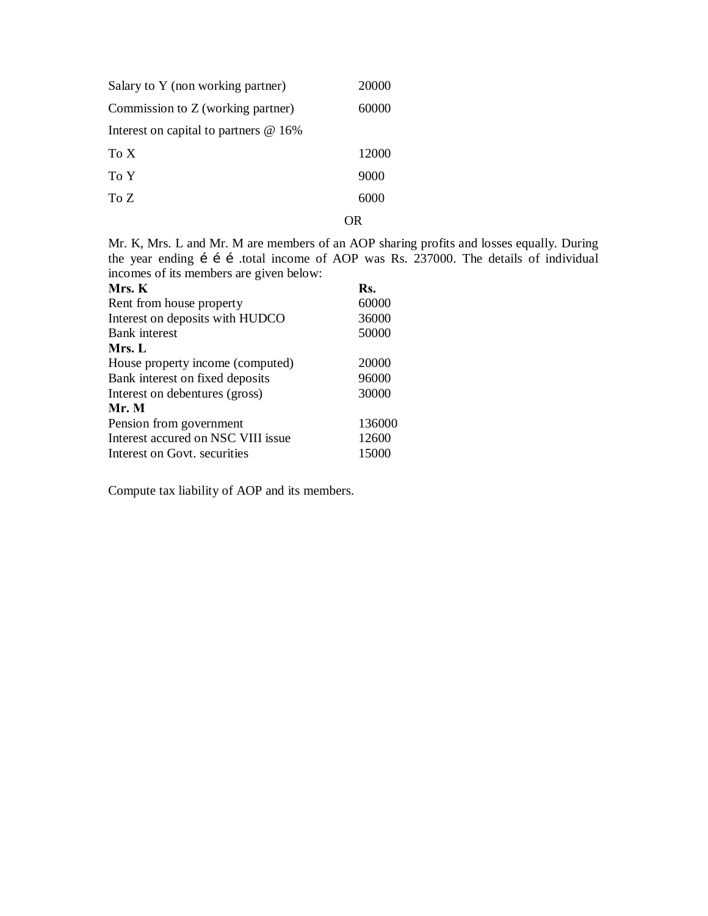| Salary to Y (non working partner)     | 20000 |
|---------------------------------------|-------|
| Commission to Z (working partner)     | 60000 |
| Interest on capital to partners @ 16% |       |
| To X                                  | 12000 |
| To Y                                  | 9000  |
| To Z                                  | 6000  |
|                                       |       |

Mr. K, Mrs. L and Mr. M are members of an AOP sharing profits and losses equally. During the year ending i i i total income of AOP was Rs. 237000. The details of individual incomes of its members are given below:

| Mrs. K                             | Rs.    |
|------------------------------------|--------|
| Rent from house property           | 60000  |
| Interest on deposits with HUDCO    | 36000  |
| <b>Bank</b> interest               | 50000  |
| Mrs. L                             |        |
| House property income (computed)   | 20000  |
| Bank interest on fixed deposits    | 96000  |
| Interest on debentures (gross)     | 30000  |
| Mr. M                              |        |
| Pension from government            | 136000 |
| Interest accured on NSC VIII issue | 12600  |
| Interest on Govt. securities       | 15000  |

Compute tax liability of AOP and its members.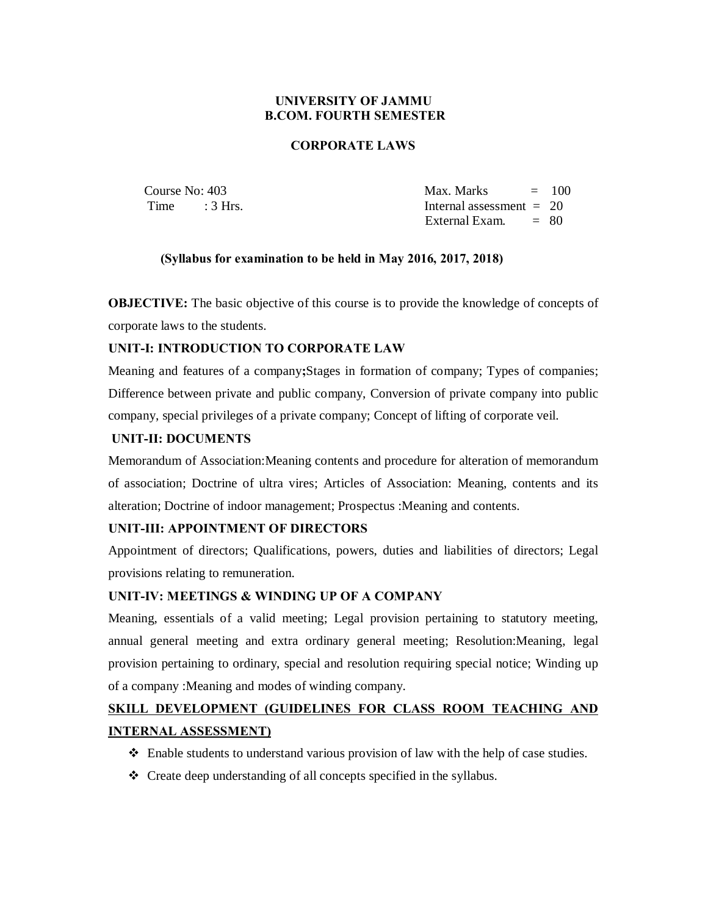#### **UNIVERSITY OF JAMMU B.COM. FOURTH SEMESTER**

#### **CORPORATE LAWS**

 $\text{Course No: } 403$  Max. Marks  $= 100$ Time : 3 Hrs. Internal assessment = 20 External Exam.  $= 80$ 

#### **(Syllabus for examination to be held in May 2016, 2017, 2018)**

**OBJECTIVE:** The basic objective of this course is to provide the knowledge of concepts of corporate laws to the students.

#### **UNIT-I: INTRODUCTION TO CORPORATE LAW**

Meaning and features of a company**;**Stages in formation of company; Types of companies; Difference between private and public company, Conversion of private company into public company, special privileges of a private company; Concept of lifting of corporate veil.

#### **UNIT-II: DOCUMENTS**

Memorandum of Association:Meaning contents and procedure for alteration of memorandum of association; Doctrine of ultra vires; Articles of Association: Meaning, contents and its alteration; Doctrine of indoor management; Prospectus :Meaning and contents.

#### **UNIT-III: APPOINTMENT OF DIRECTORS**

Appointment of directors; Qualifications, powers, duties and liabilities of directors; Legal provisions relating to remuneration.

#### **UNIT-IV: MEETINGS & WINDING UP OF A COMPANY**

Meaning, essentials of a valid meeting; Legal provision pertaining to statutory meeting, annual general meeting and extra ordinary general meeting; Resolution:Meaning, legal provision pertaining to ordinary, special and resolution requiring special notice; Winding up of a company :Meaning and modes of winding company.

# **SKILL DEVELOPMENT (GUIDELINES FOR CLASS ROOM TEACHING AND INTERNAL ASSESSMENT)**

- $\div$  Enable students to understand various provision of law with the help of case studies.
- Create deep understanding of all concepts specified in the syllabus.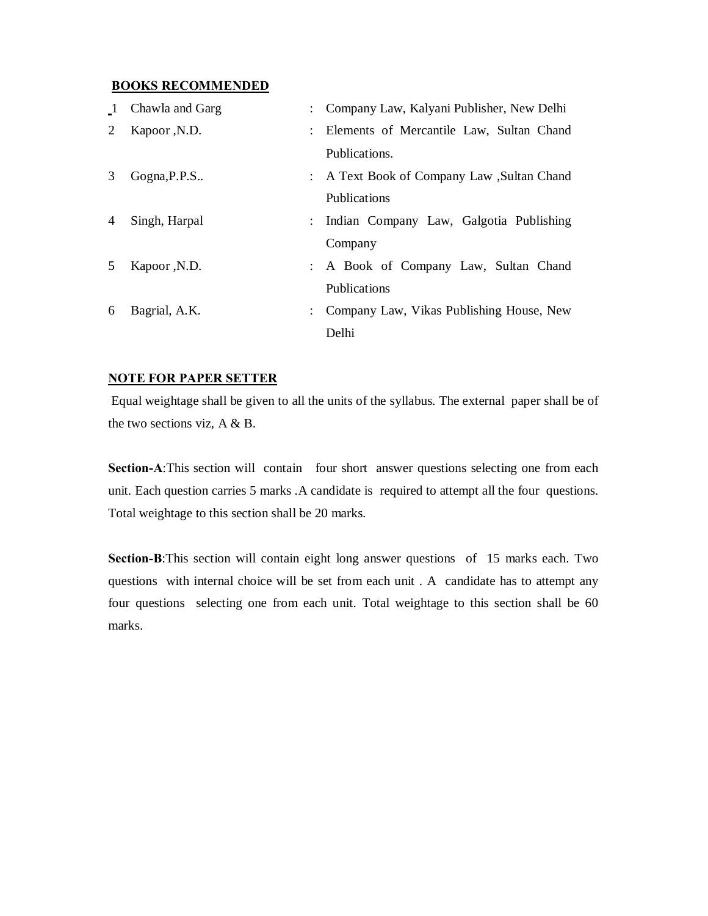| $\lfloor 1 \rfloor$ | Chawla and Garg | $\mathcal{L}$ | Company Law, Kalyani Publisher, New Delhi  |
|---------------------|-----------------|---------------|--------------------------------------------|
| 2                   | Kapoor , N.D.   | ÷             | Elements of Mercantile Law, Sultan Chand   |
|                     |                 |               | Publications.                              |
| 3                   | Gogna, P.P.S    |               | : A Text Book of Company Law, Sultan Chand |
|                     |                 |               | Publications                               |
| 4                   | Singh, Harpal   |               | : Indian Company Law, Galgotia Publishing  |
|                     |                 |               | Company                                    |
| 5                   | Kapoor , N.D.   |               | : A Book of Company Law, Sultan Chand      |
|                     |                 |               | Publications                               |
| 6                   | Bagrial, A.K.   | ÷             | Company Law, Vikas Publishing House, New   |
|                     |                 |               | Delhi                                      |

#### **NOTE FOR PAPER SETTER**

Equal weightage shall be given to all the units of the syllabus. The external paper shall be of the two sections viz, A & B.

**Section-A**:This section will contain four short answer questions selecting one from each unit. Each question carries 5 marks .A candidate is required to attempt all the four questions. Total weightage to this section shall be 20 marks.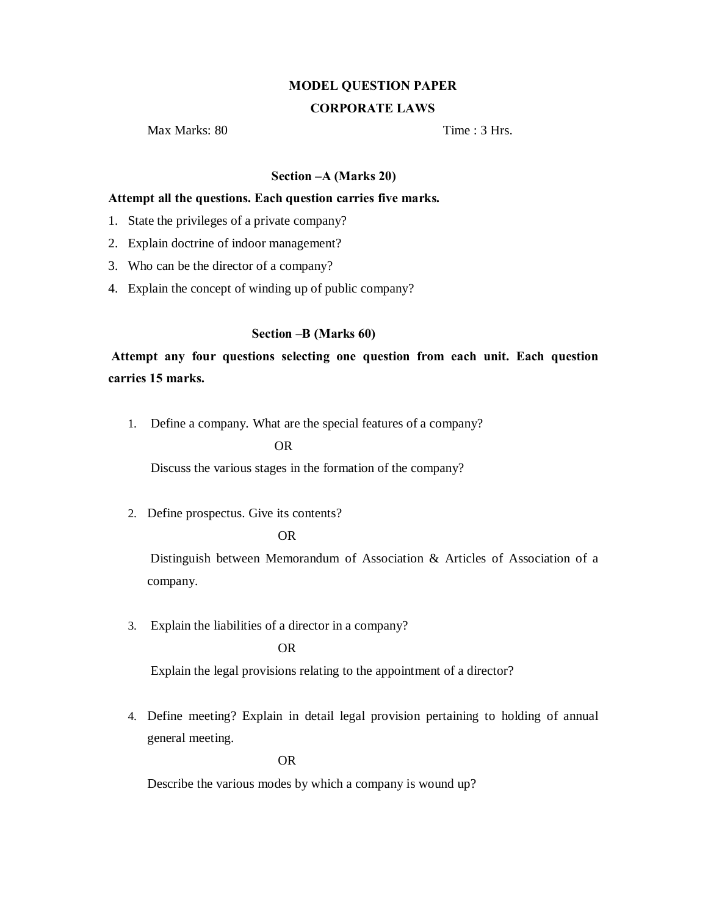#### **MODEL QUESTION PAPER**

### **CORPORATE LAWS**

Max Marks: 80 Time : 3 Hrs.

#### **Section –A (Marks 20)**

#### **Attempt all the questions. Each question carries five marks.**

- 1. State the privileges of a private company?
- 2. Explain doctrine of indoor management?
- 3. Who can be the director of a company?
- 4. Explain the concept of winding up of public company?

#### **Section –B (Marks 60)**

# **Attempt any four questions selecting one question from each unit. Each question carries 15 marks.**

1. Define a company. What are the special features of a company?

#### OR

Discuss the various stages in the formation of the company?

2. Define prospectus. Give its contents?

#### OR

Distinguish between Memorandum of Association & Articles of Association of a company.

3. Explain the liabilities of a director in a company?

*OR* 

Explain the legal provisions relating to the appointment of a director?

4. Define meeting? Explain in detail legal provision pertaining to holding of annual general meeting.

OR

Describe the various modes by which a company is wound up?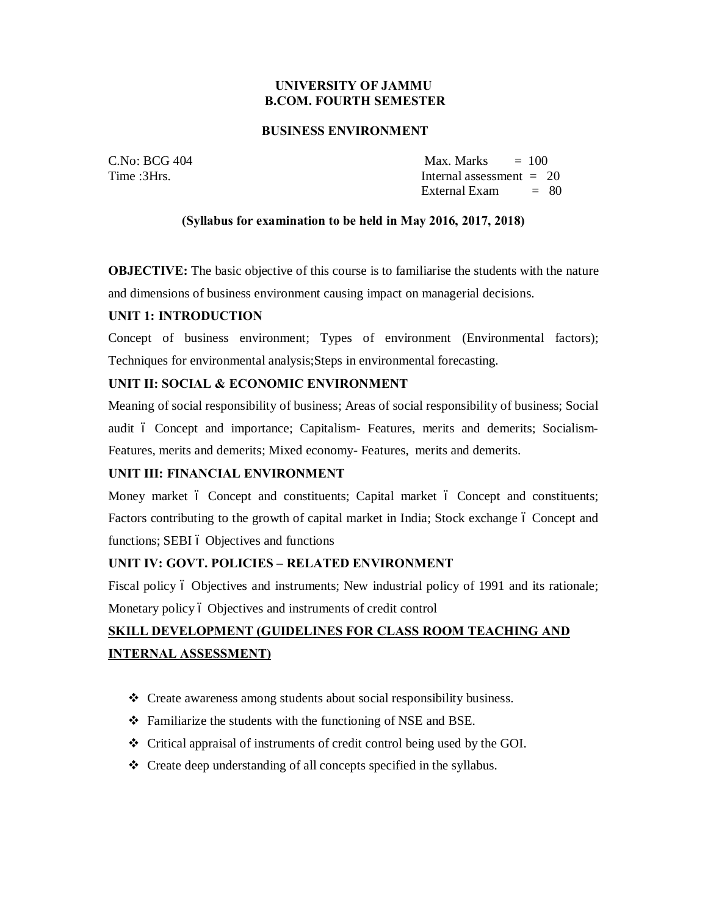### **UNIVERSITY OF JAMMU B.COM. FOURTH SEMESTER**

#### **BUSINESS ENVIRONMENT**

 $C.No: BCG 404$  Max. Marks  $= 100$ Time :3Hrs. Internal assessment = 20 External Exam  $= 80$ 

### **(Syllabus for examination to be held in May 2016, 2017, 2018)**

**OBJECTIVE:** The basic objective of this course is to familiarise the students with the nature and dimensions of business environment causing impact on managerial decisions.

#### **UNIT 1: INTRODUCTION**

Concept of business environment; Types of environment (Environmental factors); Techniques for environmental analysis;Steps in environmental forecasting.

## **UNIT II: SOCIAL & ECONOMIC ENVIRONMENT**

Meaning of social responsibility of business; Areas of social responsibility of business; Social audit 6 Concept and importance; Capitalism- Features, merits and demerits; Socialism-Features, merits and demerits; Mixed economy- Features, merits and demerits.

# **UNIT III: FINANCIAL ENVIRONMENT**

Money market 6 Concept and constituents; Capital market 6 Concept and constituents; Factors contributing to the growth of capital market in India; Stock exchange 6 Concept and functions; SEBI 6 Objectives and functions

# **UNIT IV: GOVT. POLICIES – RELATED ENVIRONMENT**

Fiscal policy 6 Objectives and instruments; New industrial policy of 1991 and its rationale; Monetary policy ó Objectives and instruments of credit control

# **SKILL DEVELOPMENT (GUIDELINES FOR CLASS ROOM TEACHING AND INTERNAL ASSESSMENT)**

- Create awareness among students about social responsibility business.
- $\div$  Familiarize the students with the functioning of NSE and BSE.
- v Critical appraisal of instruments of credit control being used by the GOI.
- $\triangleleft$  Create deep understanding of all concepts specified in the syllabus.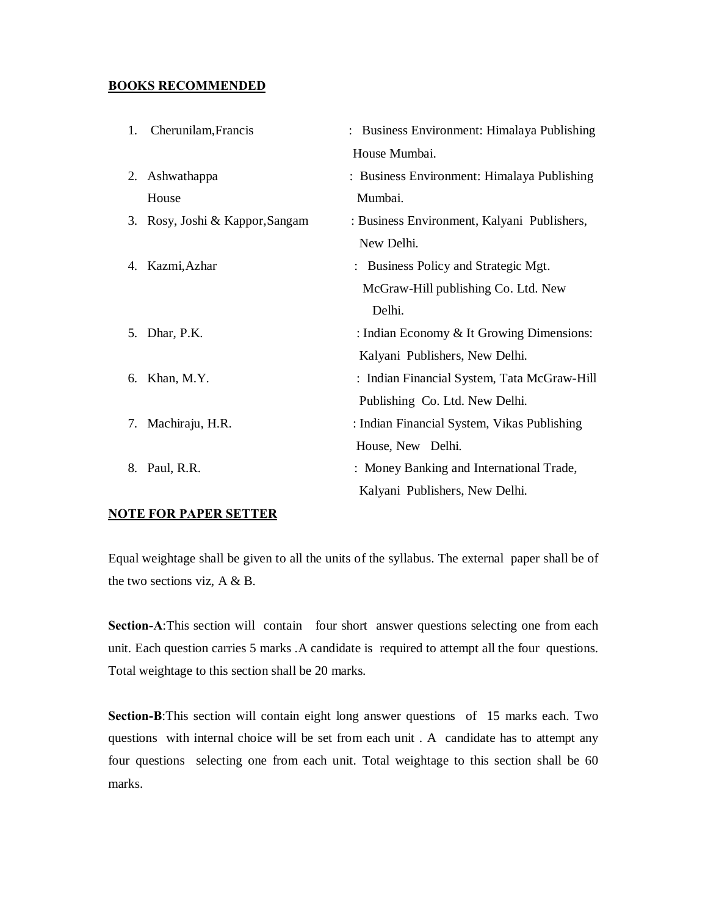| 1. | Cherunilam, Francis             | : Business Environment: Himalaya Publishing |
|----|---------------------------------|---------------------------------------------|
|    |                                 | House Mumbai.                               |
|    | 2. Ashwathappa                  | : Business Environment: Himalaya Publishing |
|    | House                           | Mumbai.                                     |
|    | 3. Rosy, Joshi & Kappor, Sangam | : Business Environment, Kalyani Publishers, |
|    |                                 | New Delhi.                                  |
| 4. | Kazmi, Azhar                    | : Business Policy and Strategic Mgt.        |
|    |                                 | McGraw-Hill publishing Co. Ltd. New         |
|    |                                 | Delhi.                                      |
|    | 5. Dhar, P.K.                   | : Indian Economy & It Growing Dimensions:   |
|    |                                 | Kalyani Publishers, New Delhi.              |
| 6. | Khan, M.Y.                      | : Indian Financial System, Tata McGraw-Hill |
|    |                                 | Publishing Co. Ltd. New Delhi.              |
|    | 7. Machiraju, H.R.              | : Indian Financial System, Vikas Publishing |
|    |                                 | House, New Delhi.                           |
|    | 8. Paul, R.R.                   | : Money Banking and International Trade,    |
|    |                                 | Kalyani Publishers, New Delhi.              |

#### **NOTE FOR PAPER SETTER**

Equal weightage shall be given to all the units of the syllabus. The external paper shall be of the two sections viz, A & B.

**Section-A**:This section will contain four short answer questions selecting one from each unit. Each question carries 5 marks .A candidate is required to attempt all the four questions. Total weightage to this section shall be 20 marks.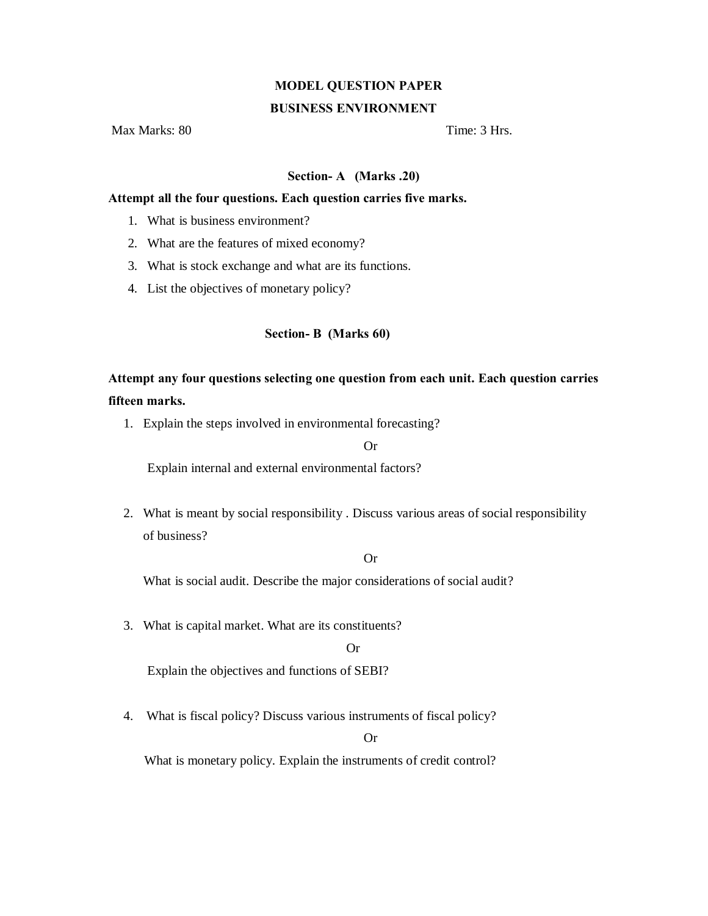# **MODEL QUESTION PAPER**

# **BUSINESS ENVIRONMENT**

Max Marks: 80 Time: 3 Hrs.

#### **Section- A (Marks .20)**

#### **Attempt all the four questions. Each question carries five marks.**

- 1. What is business environment?
- 2. What are the features of mixed economy?
- 3. What is stock exchange and what are its functions.
- 4. List the objectives of monetary policy?

#### **Section- B (Marks 60)**

**Attempt any four questions selecting one question from each unit. Each question carries fifteen marks.**

1. Explain the steps involved in environmental forecasting?

Or

Explain internal and external environmental factors?

2. What is meant by social responsibility . Discuss various areas of social responsibility of business?

Or

What is social audit. Describe the major considerations of social audit?

3. What is capital market. What are its constituents?

Or

Explain the objectives and functions of SEBI?

4. What is fiscal policy? Discuss various instruments of fiscal policy?

Or

What is monetary policy. Explain the instruments of credit control?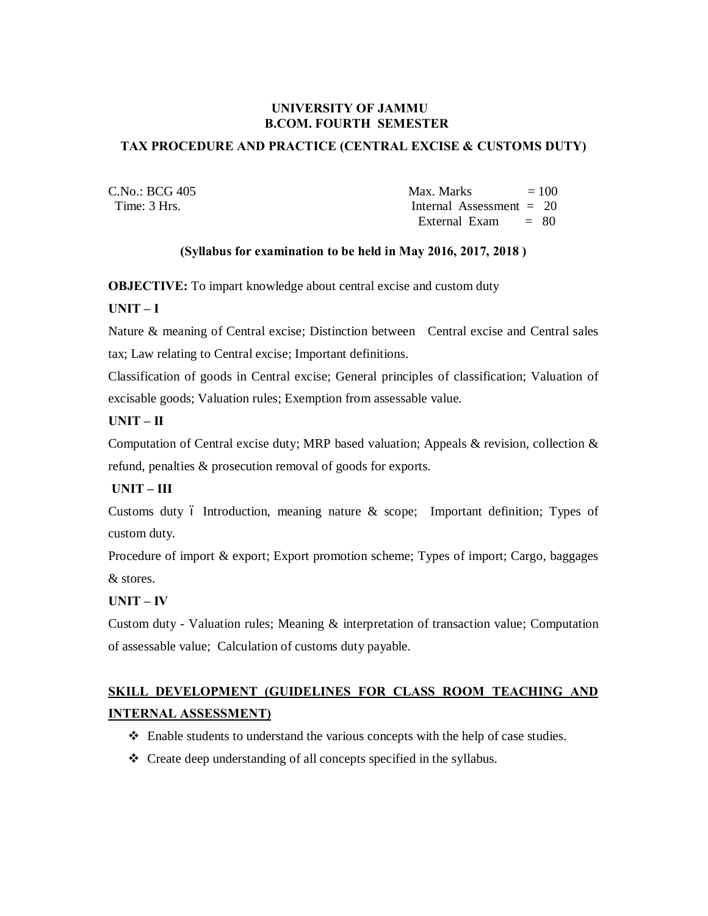# **UNIVERSITY OF JAMMU B.COM. FOURTH SEMESTER TAX PROCEDURE AND PRACTICE (CENTRAL EXCISE & CUSTOMS DUTY)**

 $C. No.: BCG 405 = 100$ Time: 3 Hrs. Internal Assessment = 20 External Exam  $= 80$ 

# **(Syllabus for examination to be held in May 2016, 2017, 2018 )**

**OBJECTIVE:** To impart knowledge about central excise and custom duty

## **UNIT – I**

Nature & meaning of Central excise; Distinction between Central excise and Central sales tax; Law relating to Central excise; Important definitions.

Classification of goods in Central excise; General principles of classification; Valuation of excisable goods; Valuation rules; Exemption from assessable value.

# **UNIT – II**

Computation of Central excise duty; MRP based valuation; Appeals & revision, collection  $\&$ refund, penalties & prosecution removal of goods for exports.

# **UNIT – III**

Customs duty 6 Introduction, meaning nature  $\&$  scope; Important definition; Types of custom duty.

Procedure of import & export; Export promotion scheme; Types of import; Cargo, baggages & stores.

# **UNIT – IV**

Custom duty - Valuation rules; Meaning & interpretation of transaction value; Computation of assessable value; Calculation of customs duty payable.

# **SKILL DEVELOPMENT (GUIDELINES FOR CLASS ROOM TEACHING AND INTERNAL ASSESSMENT)**

- $\div$  Enable students to understand the various concepts with the help of case studies.
- $\triangle$  Create deep understanding of all concepts specified in the syllabus.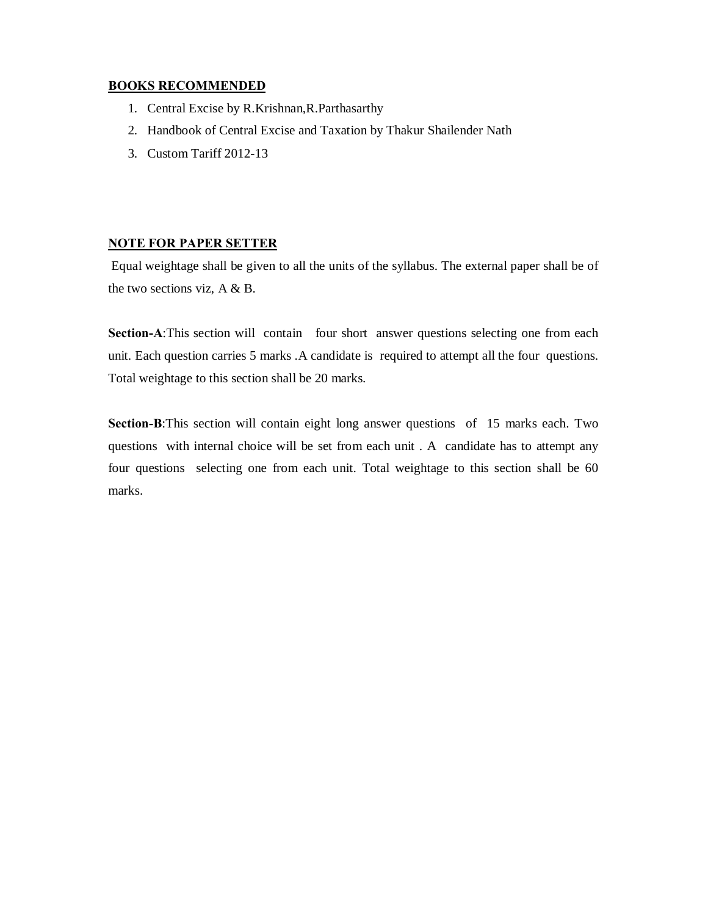- 1. Central Excise by R.Krishnan,R.Parthasarthy
- 2. Handbook of Central Excise and Taxation by Thakur Shailender Nath
- 3. Custom Tariff 2012-13

## **NOTE FOR PAPER SETTER**

Equal weightage shall be given to all the units of the syllabus. The external paper shall be of the two sections viz, A & B.

**Section-A:**This section will contain four short answer questions selecting one from each unit. Each question carries 5 marks .A candidate is required to attempt all the four questions. Total weightage to this section shall be 20 marks.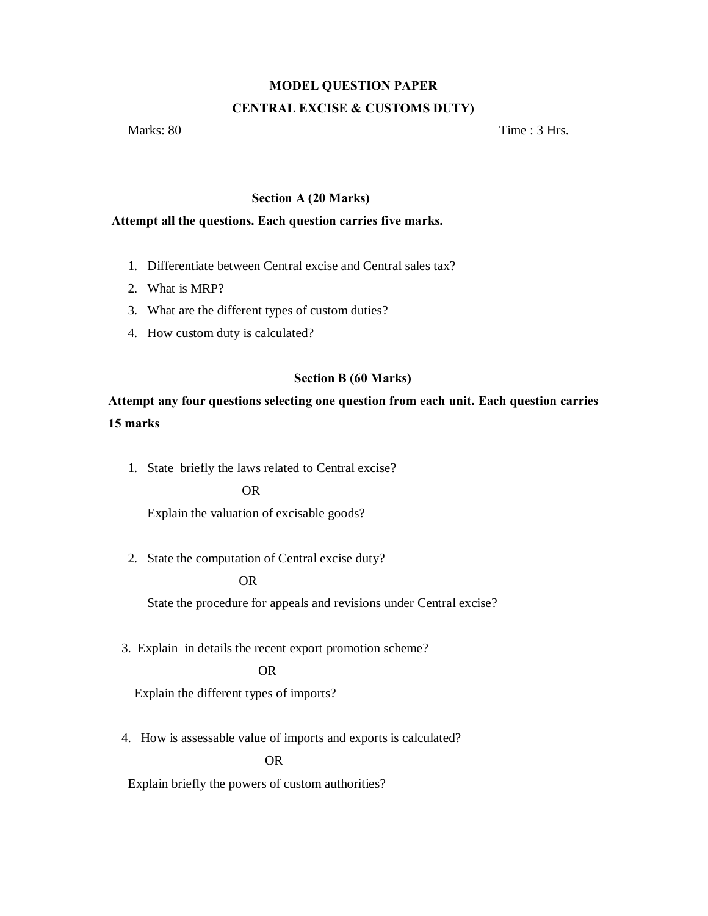# **MODEL QUESTION PAPER CENTRAL EXCISE & CUSTOMS DUTY)**

Marks: 80 Time : 3 Hrs.

#### **Section A (20 Marks)**

#### **Attempt all the questions. Each question carries five marks.**

- 1. Differentiate between Central excise and Central sales tax?
- 2. What is MRP?
- 3. What are the different types of custom duties?
- 4. How custom duty is calculated?

#### **Section B (60 Marks)**

**Attempt any four questions selecting one question from each unit. Each question carries 15 marks**

1. State briefly the laws related to Central excise?

#### OR

Explain the valuation of excisable goods?

2. State the computation of Central excise duty?

### OR

State the procedure for appeals and revisions under Central excise?

3. Explain in details the recent export promotion scheme?

#### OR

Explain the different types of imports?

4. How is assessable value of imports and exports is calculated?

#### OR

Explain briefly the powers of custom authorities?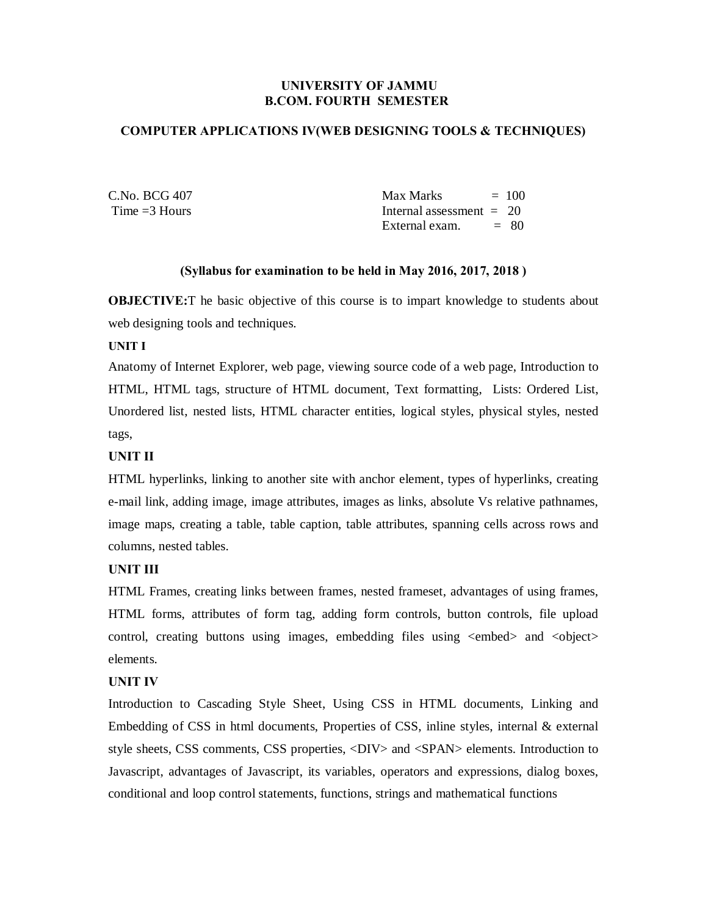## **UNIVERSITY OF JAMMU B.COM. FOURTH SEMESTER**

# **COMPUTER APPLICATIONS IV(WEB DESIGNING TOOLS & TECHNIQUES)**

 $C.No. BCG 407$  Max Marks  $= 100$ Time =3 Hours Internal assessment = 20 External exam  $= 80$ 

## **(Syllabus for examination to be held in May 2016, 2017, 2018 )**

**OBJECTIVE:** The basic objective of this course is to impart knowledge to students about web designing tools and techniques.

## **UNIT I**

Anatomy of Internet Explorer, web page, viewing source code of a web page, Introduction to HTML, HTML tags, structure of HTML document, Text formatting, Lists: Ordered List, Unordered list, nested lists, HTML character entities, logical styles, physical styles, nested tags,

## **UNIT II**

HTML hyperlinks, linking to another site with anchor element, types of hyperlinks, creating e-mail link, adding image, image attributes, images as links, absolute Vs relative pathnames, image maps, creating a table, table caption, table attributes, spanning cells across rows and columns, nested tables.

# **UNIT III**

HTML Frames, creating links between frames, nested frameset, advantages of using frames, HTML forms, attributes of form tag, adding form controls, button controls, file upload control, creating buttons using images, embedding files using <embed> and <object> elements.

# **UNIT IV**

Introduction to Cascading Style Sheet, Using CSS in HTML documents, Linking and Embedding of CSS in html documents, Properties of CSS, inline styles, internal & external style sheets, CSS comments, CSS properties, <DIV> and <SPAN> elements. Introduction to Javascript, advantages of Javascript, its variables, operators and expressions, dialog boxes, conditional and loop control statements, functions, strings and mathematical functions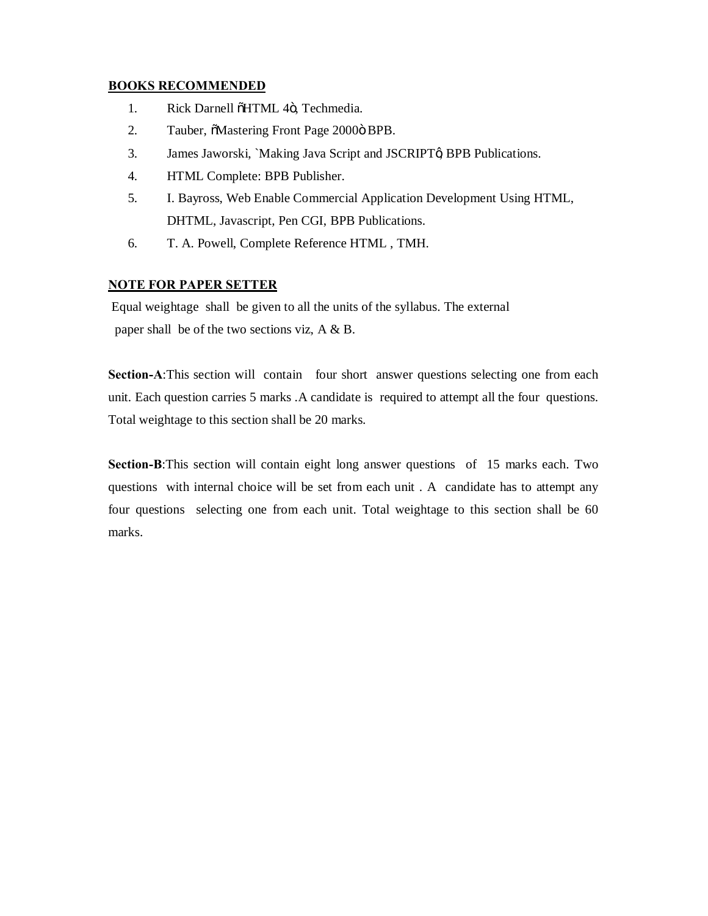- 1. Rick Darnell  $\delta$ HTML 4ö, Techmedia.
- 2. Tauber,  $\delta$ Mastering Front Page 2000 $\ddot{o}$  BPB.
- 3. James Jaworski, `Making Java Script and JSCRIPT& BPB Publications.
- 4. HTML Complete: BPB Publisher.
- 5. I. Bayross, Web Enable Commercial Application Development Using HTML, DHTML, Javascript, Pen CGI, BPB Publications.
- 6. T. A. Powell, Complete Reference HTML , TMH.

# **NOTE FOR PAPER SETTER**

Equal weightage shall be given to all the units of the syllabus. The external paper shall be of the two sections viz, A & B.

**Section-A**:This section will contain four short answer questions selecting one from each unit. Each question carries 5 marks .A candidate is required to attempt all the four questions. Total weightage to this section shall be 20 marks.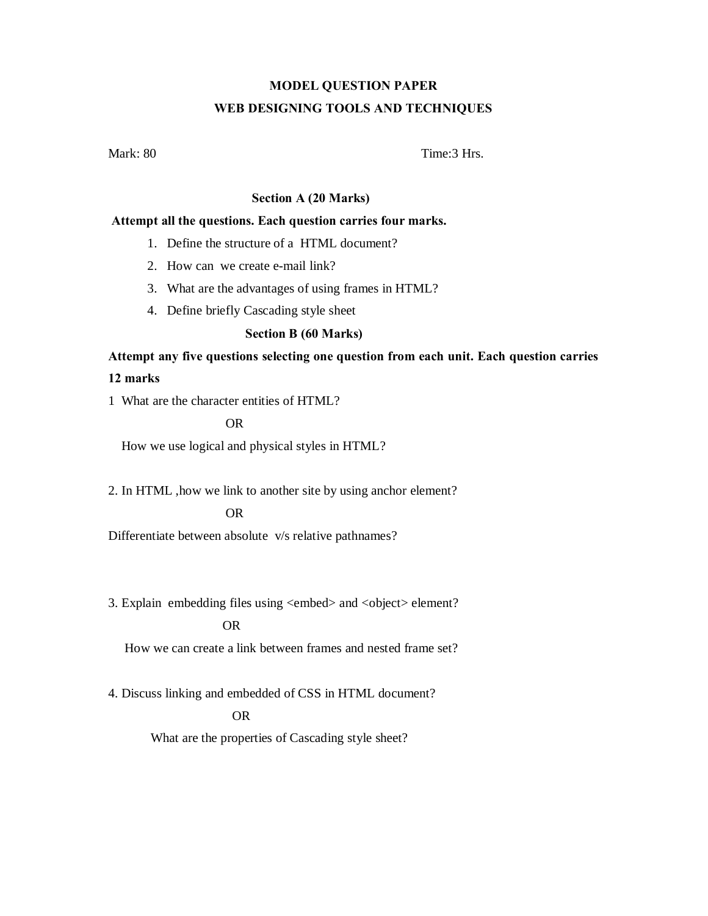# **MODEL QUESTION PAPER WEB DESIGNING TOOLS AND TECHNIQUES**

Mark: 80 Time: 3 Hrs.

#### **Section A (20 Marks)**

#### **Attempt all the questions. Each question carries four marks.**

- 1. Define the structure of a HTML document?
- 2. How can we create e-mail link?
- 3. What are the advantages of using frames in HTML?
- 4. Define briefly Cascading style sheet

#### **Section B (60 Marks)**

# **Attempt any five questions selecting one question from each unit. Each question carries 12 marks**

1 What are the character entities of HTML?

OR

How we use logical and physical styles in HTML?

2. In HTML ,how we link to another site by using anchor element?

#### OR

Differentiate between absolute v/s relative pathnames?

3. Explain embedding files using <embed> and <object> element?

# OR

How we can create a link between frames and nested frame set?

4. Discuss linking and embedded of CSS in HTML document?

#### OR

What are the properties of Cascading style sheet?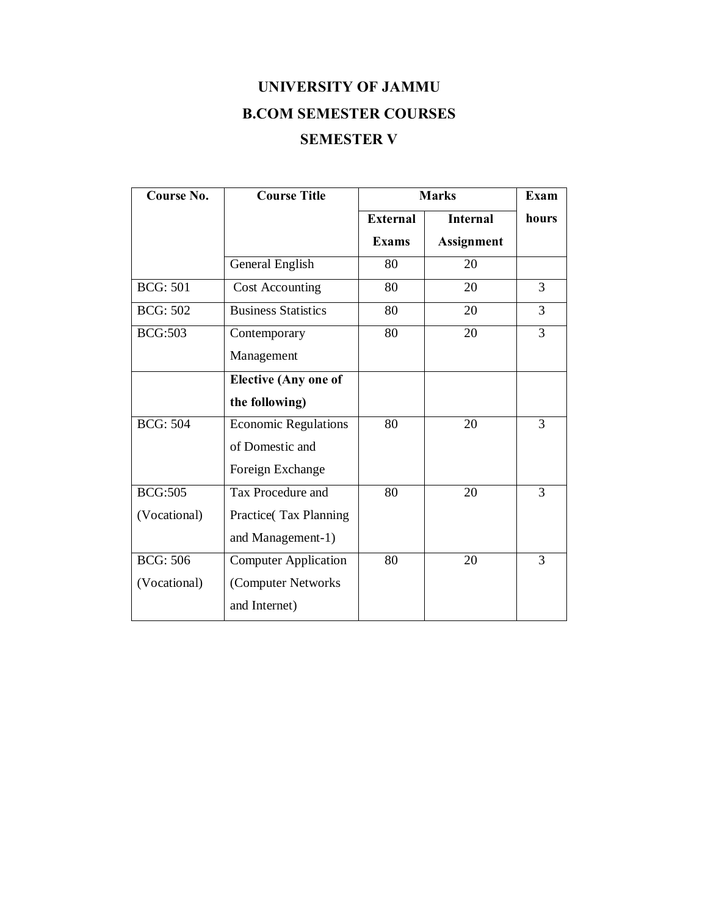# **UNIVERSITY OF JAMMU B.COM SEMESTER COURSES SEMESTER V**

| <b>Course No.</b> | <b>Course Title</b>         | <b>Marks</b>    |                   | Exam          |
|-------------------|-----------------------------|-----------------|-------------------|---------------|
|                   |                             | <b>External</b> | <b>Internal</b>   | hours         |
|                   |                             | <b>Exams</b>    | <b>Assignment</b> |               |
|                   | General English             | 80              | 20                |               |
| <b>BCG: 501</b>   | <b>Cost Accounting</b>      | 80              | 20                | 3             |
| <b>BCG: 502</b>   | <b>Business Statistics</b>  | 80              | 20                | 3             |
| <b>BCG:503</b>    | Contemporary                | 80              | 20                | 3             |
|                   | Management                  |                 |                   |               |
|                   | <b>Elective (Any one of</b> |                 |                   |               |
|                   | the following)              |                 |                   |               |
| <b>BCG: 504</b>   | <b>Economic Regulations</b> | 80              | 20                | 3             |
|                   | of Domestic and             |                 |                   |               |
|                   | Foreign Exchange            |                 |                   |               |
| <b>BCG:505</b>    | Tax Procedure and           | 80              | 20                | $\mathcal{R}$ |
| (Vocational)      | Practice(Tax Planning)      |                 |                   |               |
|                   | and Management-1)           |                 |                   |               |
| <b>BCG: 506</b>   | <b>Computer Application</b> | 80              | 20                | 3             |
| (Vocational)      | (Computer Networks          |                 |                   |               |
|                   | and Internet)               |                 |                   |               |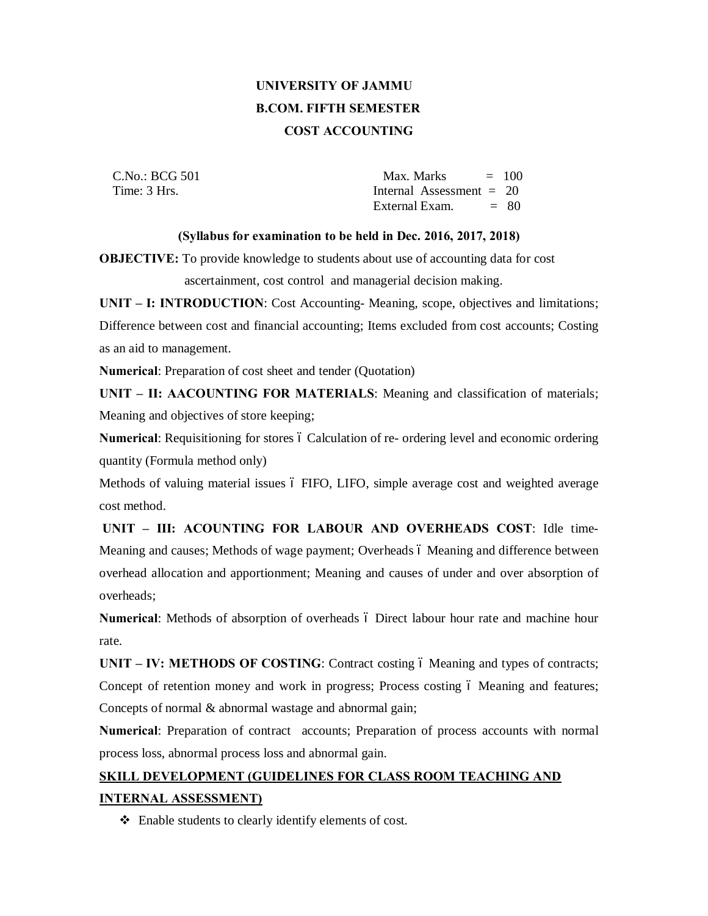# **UNIVERSITY OF JAMMU B.COM. FIFTH SEMESTER COST ACCOUNTING**

| C.No.: BCG 501 | Max. Marks<br>$= 100$      |  |
|----------------|----------------------------|--|
| Time: 3 Hrs.   | Internal Assessment $= 20$ |  |
|                | $= 80$<br>External Exam.   |  |

#### **(Syllabus for examination to be held in Dec. 2016, 2017, 2018)**

**OBJECTIVE:** To provide knowledge to students about use of accounting data for cost ascertainment, cost control and managerial decision making.

**UNIT – I: INTRODUCTION**: Cost Accounting- Meaning, scope, objectives and limitations; Difference between cost and financial accounting; Items excluded from cost accounts; Costing as an aid to management.

**Numerical**: Preparation of cost sheet and tender (Quotation)

**UNIT – II: AACOUNTING FOR MATERIALS**: Meaning and classification of materials; Meaning and objectives of store keeping;

Numerical: Requisitioning for stores 6 Calculation of re- ordering level and economic ordering quantity (Formula method only)

Methods of valuing material issues 6 FIFO, LIFO, simple average cost and weighted average cost method.

**UNIT – III: ACOUNTING FOR LABOUR AND OVERHEADS COST**: Idle time-Meaning and causes; Methods of wage payment; Overheads 6 Meaning and difference between overhead allocation and apportionment; Meaning and causes of under and over absorption of overheads;

**Numerical:** Methods of absorption of overheads 6 Direct labour hour rate and machine hour rate.

**UNIT – IV: METHODS OF COSTING:** Contract costing 6 Meaning and types of contracts; Concept of retention money and work in progress; Process costing 6 Meaning and features; Concepts of normal & abnormal wastage and abnormal gain;

**Numerical**: Preparation of contract accounts; Preparation of process accounts with normal process loss, abnormal process loss and abnormal gain.

# **SKILL DEVELOPMENT (GUIDELINES FOR CLASS ROOM TEACHING AND INTERNAL ASSESSMENT)**

v Enable students to clearly identify elements of cost.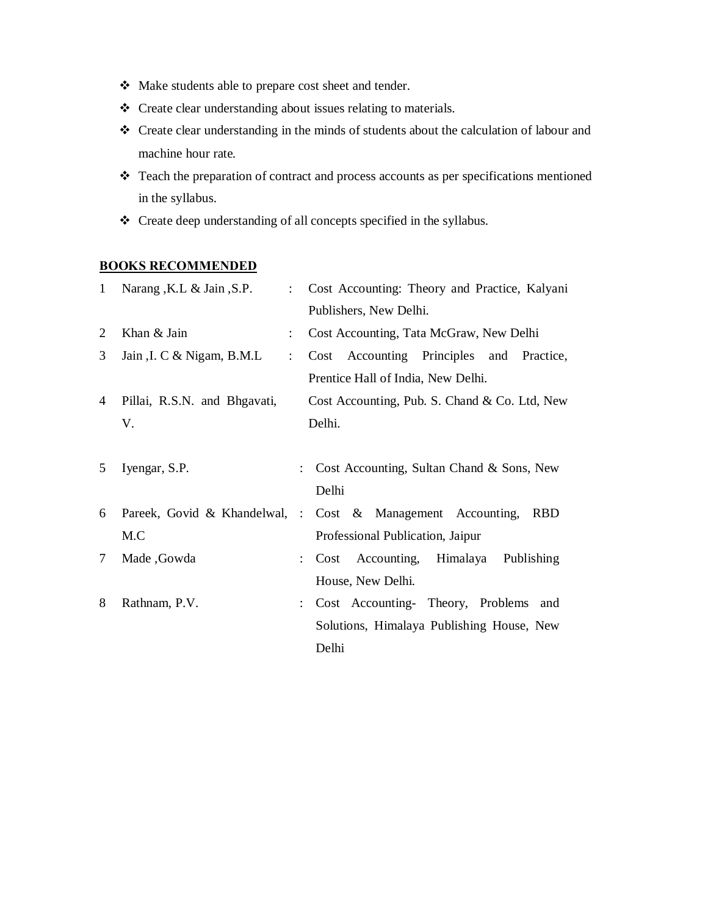- \* Make students able to prepare cost sheet and tender.
- Create clear understanding about issues relating to materials.
- v Create clear understanding in the minds of students about the calculation of labour and machine hour rate.
- \* Teach the preparation of contract and process accounts as per specifications mentioned in the syllabus.
- v Create deep understanding of all concepts specified in the syllabus.

| $\mathbf{1}$ | Narang, K.L $&$ Jain, S.P.                   | $\mathbb{R}^{\mathbb{Z}}$ | Cost Accounting: Theory and Practice, Kalyani                             |
|--------------|----------------------------------------------|---------------------------|---------------------------------------------------------------------------|
|              |                                              |                           | Publishers, New Delhi.                                                    |
| 2            | Khan & Jain<br>$\ddot{\cdot}$                |                           | Cost Accounting, Tata McGraw, New Delhi                                   |
| 3            | Jain , I. C & Nigam, B.M.L<br>$\ddot{\cdot}$ |                           | Cost Accounting Principles and Practice,                                  |
|              |                                              |                           | Prentice Hall of India, New Delhi.                                        |
| 4            | Pillai, R.S.N. and Bhgavati,                 |                           | Cost Accounting, Pub. S. Chand & Co. Ltd, New                             |
|              | V.                                           |                           | Delhi.                                                                    |
|              |                                              |                           |                                                                           |
| 5            | Iyengar, S.P.                                |                           | Cost Accounting, Sultan Chand & Sons, New                                 |
|              |                                              |                           | Delhi                                                                     |
| 6            |                                              |                           | Pareek, Govid & Khandelwal, : Cost & Management Accounting,<br><b>RBD</b> |
|              | M.C                                          |                           | Professional Publication, Jaipur                                          |
| 7            | Made, Gowda                                  | ÷                         | Cost Accounting, Himalaya Publishing                                      |
|              |                                              |                           | House, New Delhi.                                                         |
| 8            | Rathnam, P.V.                                |                           | Cost Accounting- Theory, Problems and                                     |
|              |                                              |                           | Solutions, Himalaya Publishing House, New                                 |
|              |                                              |                           | Delhi                                                                     |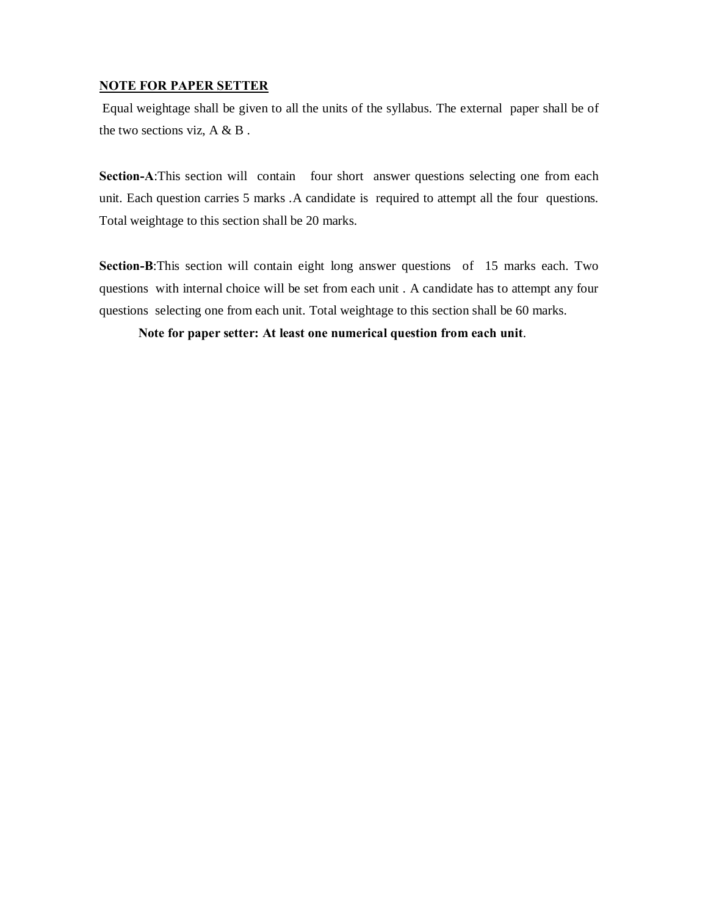## **NOTE FOR PAPER SETTER**

Equal weightage shall be given to all the units of the syllabus. The external paper shall be of the two sections viz,  $A \& B$ .

**Section-A:**This section will contain four short answer questions selecting one from each unit. Each question carries 5 marks .A candidate is required to attempt all the four questions. Total weightage to this section shall be 20 marks.

**Section-B**:This section will contain eight long answer questions of 15 marks each. Two questions with internal choice will be set from each unit . A candidate has to attempt any four questions selecting one from each unit. Total weightage to this section shall be 60 marks.

**Note for paper setter: At least one numerical question from each unit**.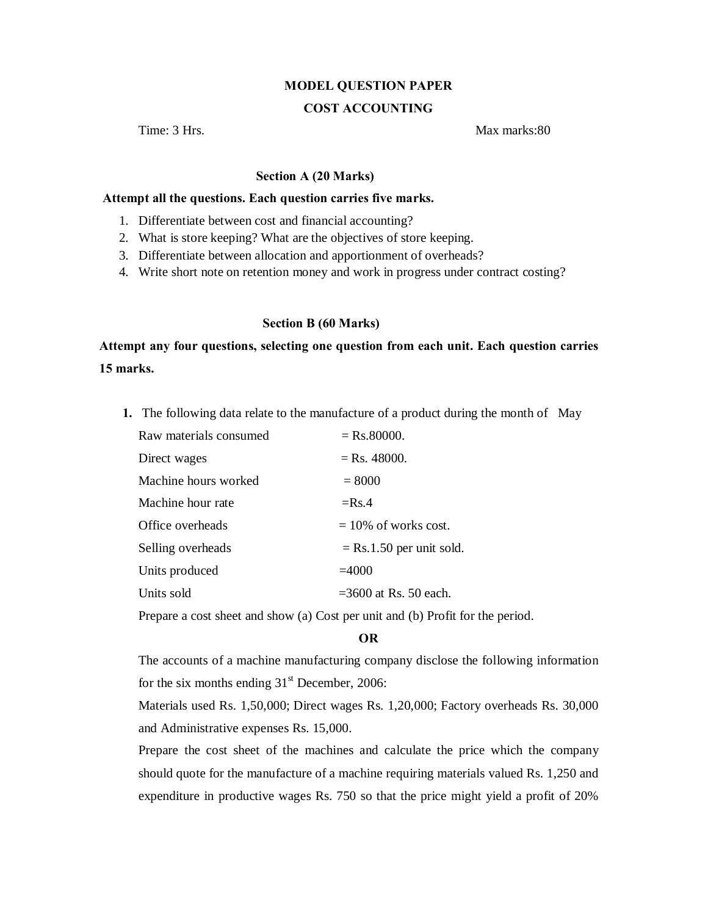# **MODEL QUESTION PAPER COST ACCOUNTING**

Time: 3 Hrs. Max marks: 80

#### **Section A (20 Marks)**

#### **Attempt all the questions. Each question carries five marks.**

- 1. Differentiate between cost and financial accounting?
- 2. What is store keeping? What are the objectives of store keeping.
- 3. Differentiate between allocation and apportionment of overheads?
- 4. Write short note on retention money and work in progress under contract costing?

#### **Section B (60 Marks)**

# **Attempt any four questions, selecting one question from each unit. Each question carries 15 marks.**

**1.** The following data relate to the manufacture of a product during the month of May

| Raw materials consumed | $=$ Rs.80000.              |
|------------------------|----------------------------|
| Direct wages           | $=$ Rs. 48000.             |
| Machine hours worked   | $= 8000$                   |
| Machine hour rate      | $=$ Rs.4                   |
| Office overheads       | $= 10\%$ of works cost.    |
| Selling overheads      | $=$ Rs.1.50 per unit sold. |
| Units produced         | $=4000$                    |
| Units sold             | $=3600$ at Rs. 50 each.    |
|                        |                            |

Prepare a cost sheet and show (a) Cost per unit and (b) Profit for the period.

### **OR**

The accounts of a machine manufacturing company disclose the following information for the six months ending  $31<sup>st</sup>$  December, 2006:

Materials used Rs. 1,50,000; Direct wages Rs. 1,20,000; Factory overheads Rs. 30,000 and Administrative expenses Rs. 15,000.

Prepare the cost sheet of the machines and calculate the price which the company should quote for the manufacture of a machine requiring materials valued Rs. 1,250 and expenditure in productive wages Rs. 750 so that the price might yield a profit of 20%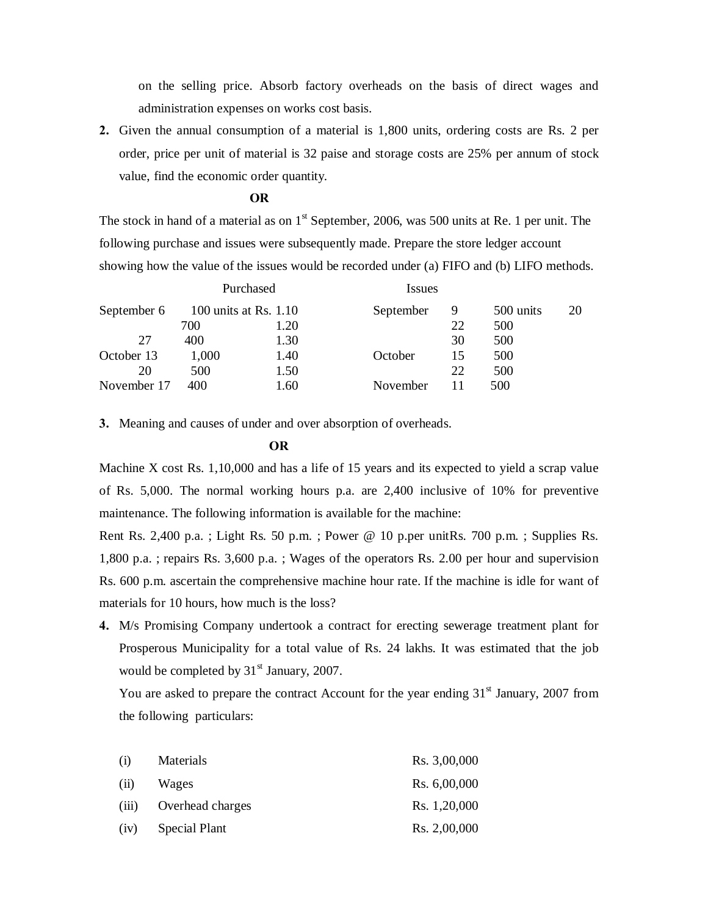on the selling price. Absorb factory overheads on the basis of direct wages and administration expenses on works cost basis.

**2.** Given the annual consumption of a material is 1,800 units, ordering costs are Rs. 2 per order, price per unit of material is 32 paise and storage costs are 25% per annum of stock value, find the economic order quantity.

#### **OR**

The stock in hand of a material as on  $1<sup>st</sup>$  September, 2006, was 500 units at Re. 1 per unit. The following purchase and issues were subsequently made. Prepare the store ledger account showing how the value of the issues would be recorded under (a) FIFO and (b) LIFO methods.

|             |       | Purchased             | Issues    |    |           |    |
|-------------|-------|-----------------------|-----------|----|-----------|----|
| September 6 |       | 100 units at Rs. 1.10 | September | 9  | 500 units | 20 |
|             | 700   | 1.20                  |           | 22 | 500       |    |
| 27          | 400   | 1.30                  |           | 30 | 500       |    |
| October 13  | 1,000 | 1.40                  | October   | 15 | 500       |    |
| 20          | 500   | 1.50                  |           | 22 | 500       |    |
| November 17 | 400   | 1.60                  | November  |    | 500       |    |

**3.** Meaning and causes of under and over absorption of overheads.

#### **OR**

Machine X cost Rs. 1,10,000 and has a life of 15 years and its expected to yield a scrap value of Rs. 5,000. The normal working hours p.a. are 2,400 inclusive of 10% for preventive maintenance. The following information is available for the machine:

Rent Rs. 2,400 p.a. ; Light Rs. 50 p.m. ; Power @ 10 p.per unitRs. 700 p.m. ; Supplies Rs. 1,800 p.a. ; repairs Rs. 3,600 p.a. ; Wages of the operators Rs. 2.00 per hour and supervision Rs. 600 p.m. ascertain the comprehensive machine hour rate. If the machine is idle for want of materials for 10 hours, how much is the loss?

**4.** M/s Promising Company undertook a contract for erecting sewerage treatment plant for Prosperous Municipality for a total value of Rs. 24 lakhs. It was estimated that the job would be completed by  $31<sup>st</sup>$  January, 2007.

You are asked to prepare the contract Account for the year ending  $31<sup>st</sup>$  January, 2007 from the following particulars:

| (i)   | Materials        | Rs. 3,00,000 |
|-------|------------------|--------------|
| (i)   | Wages            | Rs. 6,00,000 |
| (iii) | Overhead charges | Rs. 1,20,000 |
| (iv)  | Special Plant    | Rs. 2,00,000 |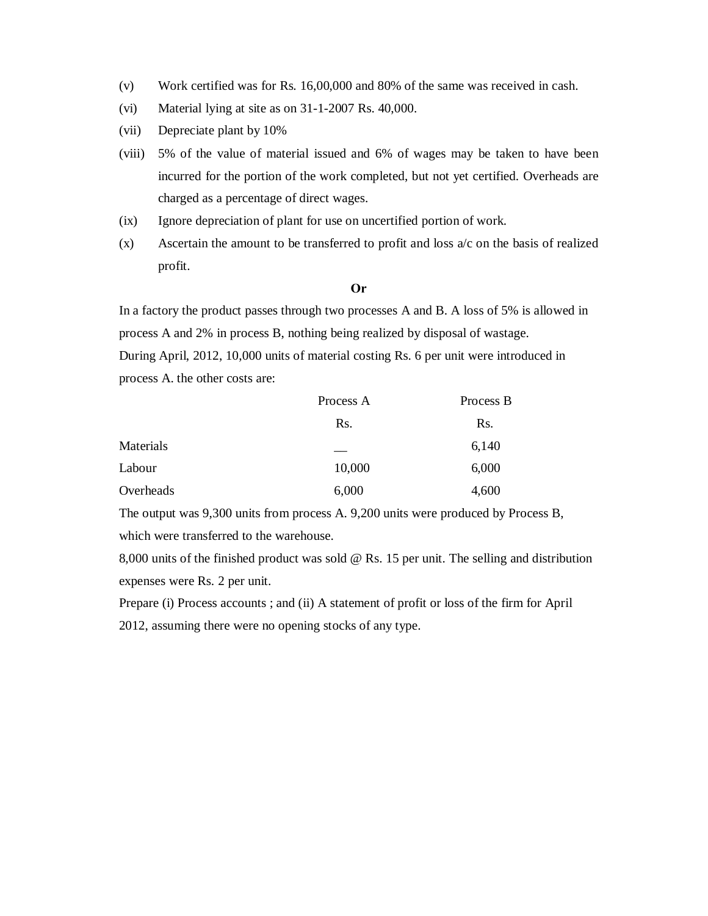- (v) Work certified was for Rs. 16,00,000 and 80% of the same was received in cash.
- (vi) Material lying at site as on 31-1-2007 Rs. 40,000.
- (vii) Depreciate plant by 10%
- (viii) 5% of the value of material issued and 6% of wages may be taken to have been incurred for the portion of the work completed, but not yet certified. Overheads are charged as a percentage of direct wages.
- (ix) Ignore depreciation of plant for use on uncertified portion of work.
- (x) Ascertain the amount to be transferred to profit and loss  $a/c$  on the basis of realized profit.

#### **Or**

In a factory the product passes through two processes A and B. A loss of 5% is allowed in process A and 2% in process B, nothing being realized by disposal of wastage. During April, 2012, 10,000 units of material costing Rs. 6 per unit were introduced in process A. the other costs are:

|           | Process A | Process B |  |
|-----------|-----------|-----------|--|
|           | Rs.       | Rs.       |  |
| Materials |           | 6,140     |  |
| Labour    | 10,000    | 6,000     |  |
| Overheads | 6,000     | 4,600     |  |

The output was 9,300 units from process A. 9,200 units were produced by Process B, which were transferred to the warehouse.

8,000 units of the finished product was sold @ Rs. 15 per unit. The selling and distribution expenses were Rs. 2 per unit.

Prepare (i) Process accounts ; and (ii) A statement of profit or loss of the firm for April 2012, assuming there were no opening stocks of any type.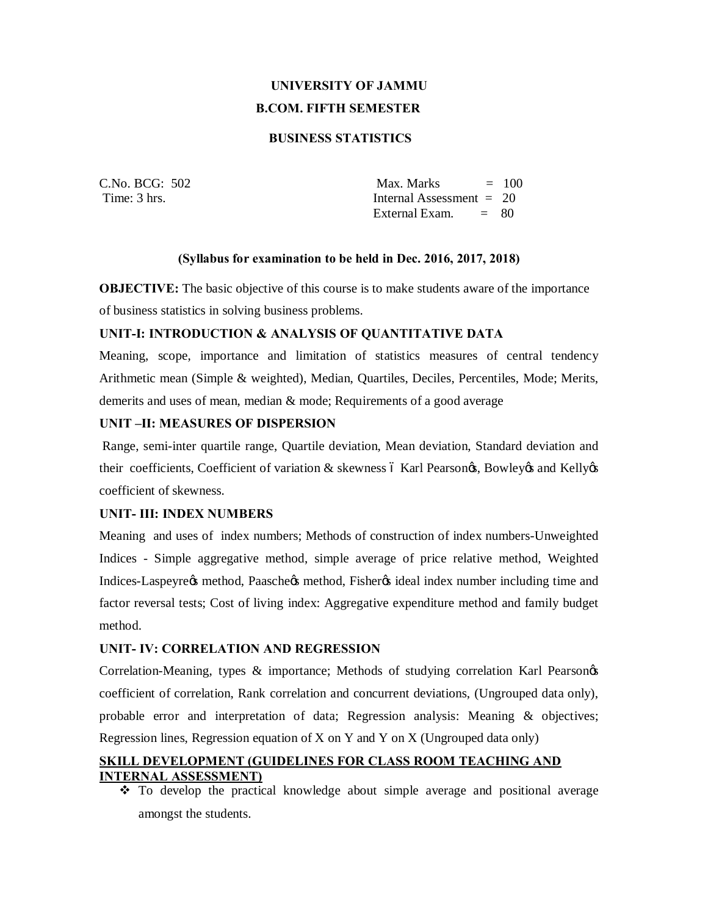# **UNIVERSITY OF JAMMU B.COM. FIFTH SEMESTER**

### **BUSINESS STATISTICS**

 $C.No. BCG: 502$  Max. Marks  $= 100$ Time: 3 hrs. Internal Assessment = 20 External Exam.  $= 80$ 

#### **(Syllabus for examination to be held in Dec. 2016, 2017, 2018)**

**OBJECTIVE:** The basic objective of this course is to make students aware of the importance of business statistics in solving business problems.

#### **UNIT-I: INTRODUCTION & ANALYSIS OF QUANTITATIVE DATA**

Meaning, scope, importance and limitation of statistics measures of central tendency Arithmetic mean (Simple & weighted), Median, Quartiles, Deciles, Percentiles, Mode; Merits, demerits and uses of mean, median & mode; Requirements of a good average

## **UNIT –II: MEASURES OF DISPERSION**

Range, semi-inter quartile range, Quartile deviation, Mean deviation, Standard deviation and their coefficients, Coefficient of variation  $\&$  skewness 6 Karl Pearson $\&$ , Bowley $\&$  and Kelly $\&$ coefficient of skewness.

#### **UNIT- III: INDEX NUMBERS**

Meaning and uses of index numbers; Methods of construction of index numbers-Unweighted Indices - Simple aggregative method, simple average of price relative method, Weighted Indices-Laspeyre $\alpha$  method, Paasche $\alpha$  method, Fisher $\alpha$  ideal index number including time and factor reversal tests; Cost of living index: Aggregative expenditure method and family budget method.

## **UNIT- IV: CORRELATION AND REGRESSION**

Correlation-Meaning, types & importance; Methods of studying correlation Karl Pearson coefficient of correlation, Rank correlation and concurrent deviations, (Ungrouped data only), probable error and interpretation of data; Regression analysis: Meaning & objectives; Regression lines, Regression equation of X on Y and Y on X (Ungrouped data only)

# **SKILL DEVELOPMENT (GUIDELINES FOR CLASS ROOM TEACHING AND INTERNAL ASSESSMENT)**

 $\div$  To develop the practical knowledge about simple average and positional average amongst the students.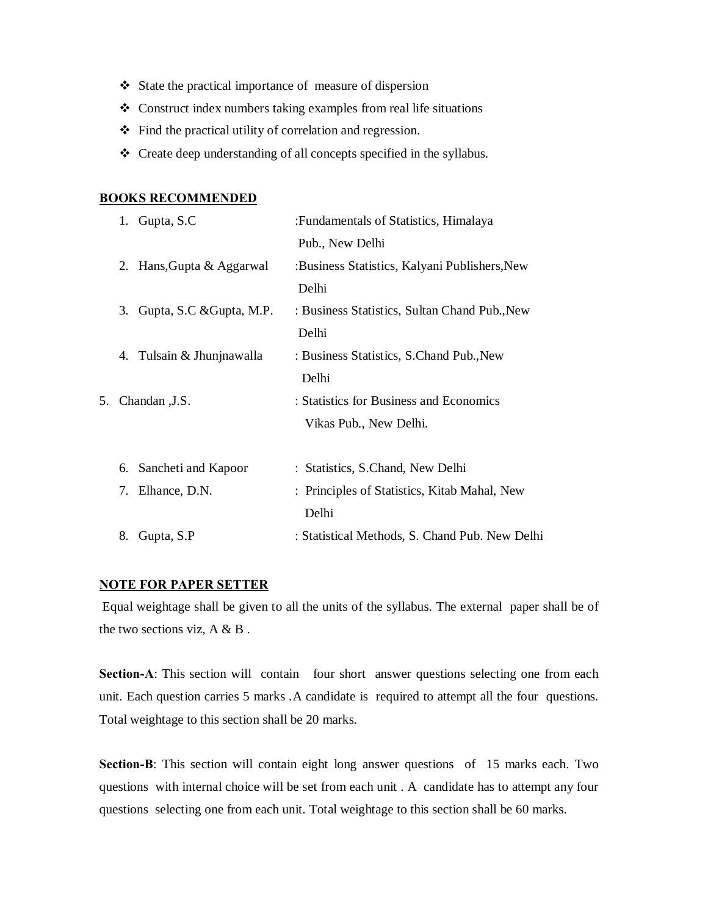- $\div$  State the practical importance of measure of dispersion
- $\triangleleft$  Construct index numbers taking examples from real life situations
- $\div$  Find the practical utility of correlation and regression.
- $\triangleleft$  Create deep understanding of all concepts specified in the syllabus.

|    | 1. Gupta, S.C.                 | : Fundamentals of Statistics, Himalaya         |
|----|--------------------------------|------------------------------------------------|
|    |                                | Pub., New Delhi                                |
|    | 2. Hans, Gupta & Aggarwal      | :Business Statistics, Kalyani Publishers, New  |
|    |                                | Delhi                                          |
|    | Gupta, S.C & Gupta, M.P.<br>3. | : Business Statistics, Sultan Chand Pub., New  |
|    |                                | Delhi                                          |
|    | 4. Tulsain & Jhunjnawalla      | : Business Statistics, S.Chand Pub., New       |
|    |                                | Delhi                                          |
| 5. | Chandan , J.S.                 | : Statistics for Business and Economics        |
|    |                                | Vikas Pub., New Delhi.                         |
|    |                                |                                                |
|    | Sancheti and Kapoor<br>6.      | : Statistics, S.Chand, New Delhi               |
|    | Elhance, D.N.<br>7.            | : Principles of Statistics, Kitab Mahal, New   |
|    |                                | Delhi                                          |
|    | 8.<br>Gupta, S.P               | : Statistical Methods, S. Chand Pub. New Delhi |

#### **NOTE FOR PAPER SETTER**

Equal weightage shall be given to all the units of the syllabus. The external paper shall be of the two sections viz, A & B .

**Section-A**: This section will contain four short answer questions selecting one from each unit. Each question carries 5 marks .A candidate is required to attempt all the four questions. Total weightage to this section shall be 20 marks.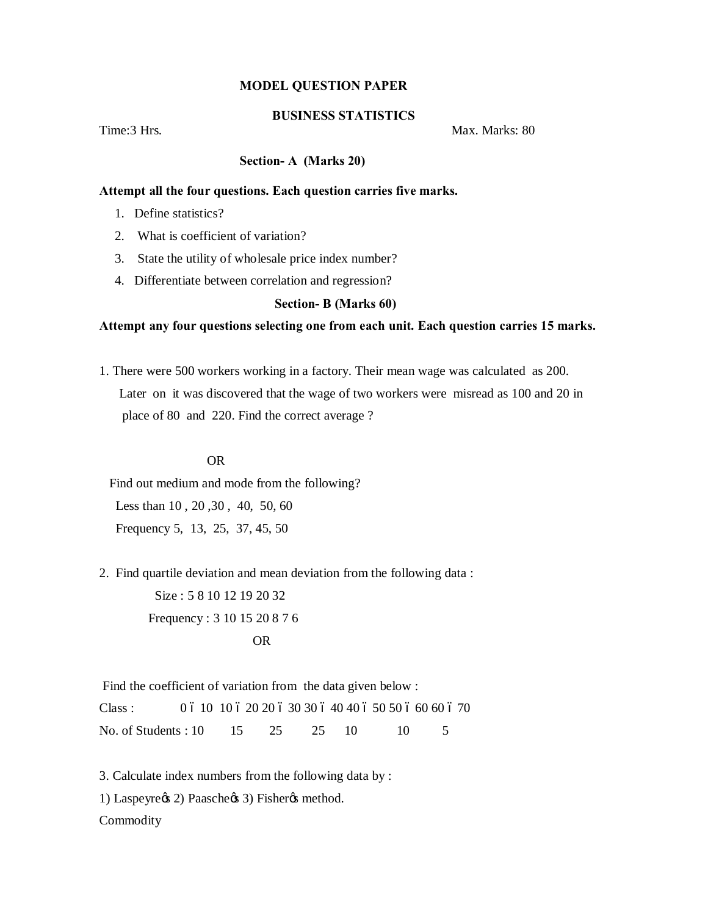#### **MODEL QUESTION PAPER**

#### **BUSINESS STATISTICS**

Time:3 Hrs. Max. Marks: 80

#### **Section- A (Marks 20)**

#### **Attempt all the four questions. Each question carries five marks.**

- 1. Define statistics?
- 2. What is coefficient of variation?
- 3. State the utility of wholesale price index number?
- 4. Differentiate between correlation and regression?

#### **Section- B (Marks 60)**

#### **Attempt any four questions selecting one from each unit. Each question carries 15 marks.**

1. There were 500 workers working in a factory. Their mean wage was calculated as 200. Later on it was discovered that the wage of two workers were misread as 100 and 20 in place of 80 and 220. Find the correct average ?

#### OR

 Find out medium and mode from the following? Less than 10 , 20 ,30 , 40, 50, 60 Frequency 5, 13, 25, 37, 45, 50

2. Find quartile deviation and mean deviation from the following data :

 Size : 5 8 10 12 19 20 32 Frequency : 3 10 15 20 8 7 6 **OR** OR

Find the coefficient of variation from the data given below : Class : 0 6 10 10 6 20 20 6 30 30 6 40 40 6 50 50 6 60 60 6 70 No. of Students : 10 15 25 25 10 10 5

3. Calculate index numbers from the following data by :

1) Laspeyre $\infty$  2) Paasche $\infty$  3) Fisher $\infty$  method.

**Commodity**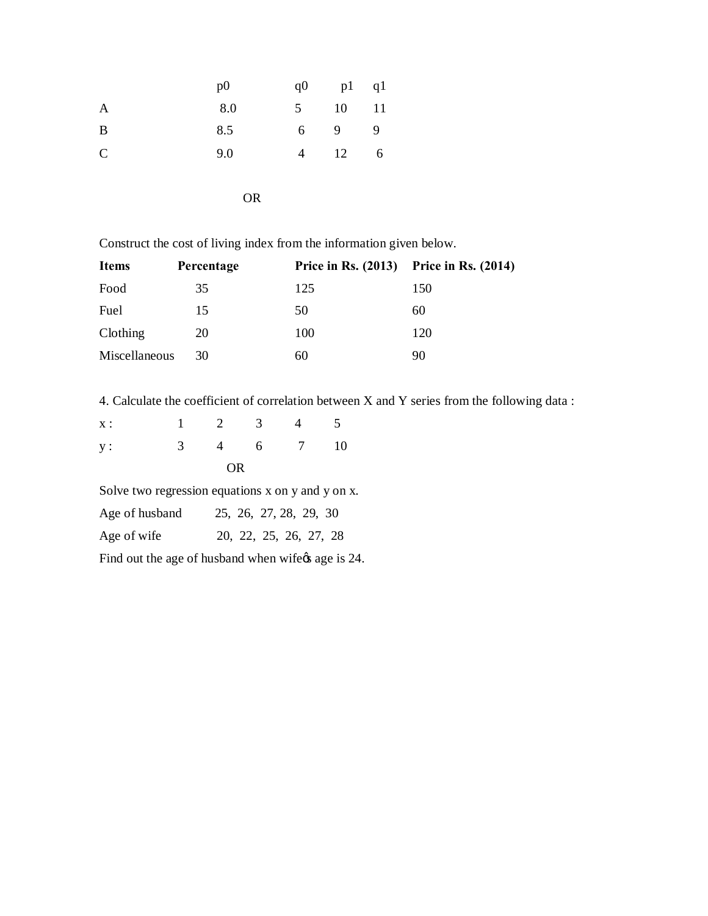|               | p <sub>0</sub> | $q0$ p1 $q1$        |  |
|---------------|----------------|---------------------|--|
| A             | - 8.0          | 5 10 11             |  |
| B             | 8.5            | $6\qquad 9\qquad 9$ |  |
| $\mathcal{C}$ | 9.0            | $4 \t 12 \t 6$      |  |

OR

Construct the cost of living index from the information given below.

| <b>Items</b>  | Percentage |     | Price in Rs. $(2013)$ Price in Rs. $(2014)$ |
|---------------|------------|-----|---------------------------------------------|
| Food          | 35         | 125 | 150                                         |
| Fuel          | 15         | 50  | 60                                          |
| Clothing      | 20         | 100 | 120                                         |
| Miscellaneous | 30         | 60  | 90                                          |

4. Calculate the coefficient of correlation between X and Y series from the following data :

x: 1 2 3 4 5 y: 3 4 6 7 10 OR

Solve two regression equations x on y and y on x.

Age of husband 25, 26, 27, 28, 29, 30

Age of wife 20, 22, 25, 26, 27, 28

Find out the age of husband when wife  $\alpha$  age is 24.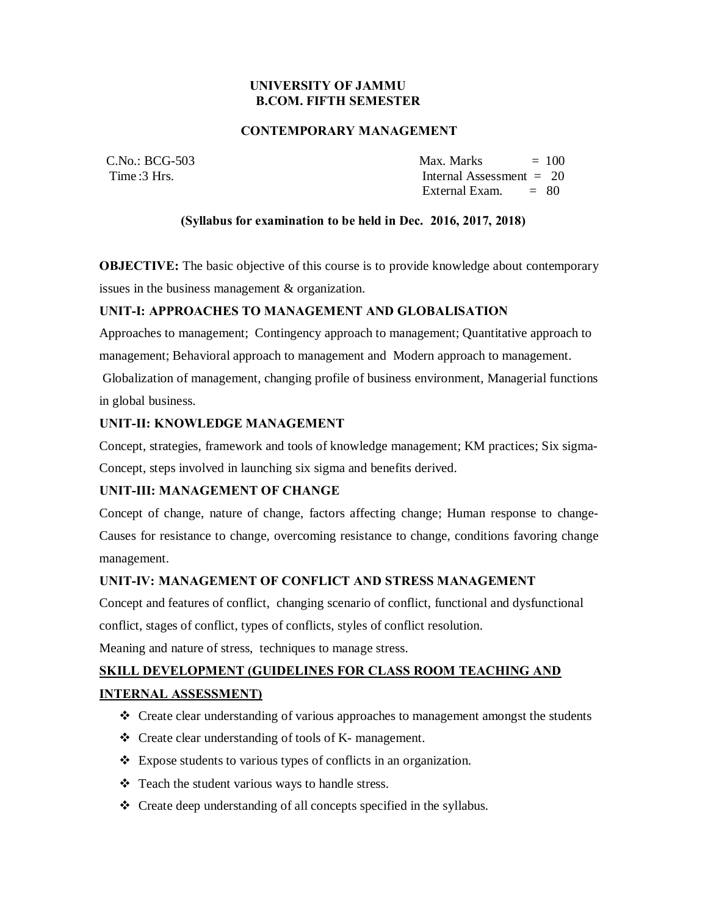## **UNIVERSITY OF JAMMU B.COM. FIFTH SEMESTER**

#### **CONTEMPORARY MANAGEMENT**

 $C. No.: BCG-503$  Max. Marks  $= 100$ Time :3 Hrs. Internal Assessment = 20 External Exam.  $= 80$ 

#### **(Syllabus for examination to be held in Dec. 2016, 2017, 2018)**

**OBJECTIVE:** The basic objective of this course is to provide knowledge about contemporary issues in the business management & organization.

#### **UNIT-I: APPROACHES TO MANAGEMENT AND GLOBALISATION**

Approaches to management; Contingency approach to management; Quantitative approach to management; Behavioral approach to management and Modern approach to management. Globalization of management, changing profile of business environment, Managerial functions in global business.

#### **UNIT-II: KNOWLEDGE MANAGEMENT**

Concept, strategies, framework and tools of knowledge management; KM practices; Six sigma-Concept, steps involved in launching six sigma and benefits derived.

#### **UNIT-III: MANAGEMENT OF CHANGE**

Concept of change, nature of change, factors affecting change; Human response to change-Causes for resistance to change, overcoming resistance to change, conditions favoring change management.

#### **UNIT-IV: MANAGEMENT OF CONFLICT AND STRESS MANAGEMENT**

Concept and features of conflict, changing scenario of conflict, functional and dysfunctional conflict, stages of conflict, types of conflicts, styles of conflict resolution.

Meaning and nature of stress, techniques to manage stress.

# **SKILL DEVELOPMENT (GUIDELINES FOR CLASS ROOM TEACHING AND INTERNAL ASSESSMENT)**

- v Create clear understanding of various approaches to management amongst the students
- $\triangleleft$  Create clear understanding of tools of K- management.
- $\triangleleft$  Expose students to various types of conflicts in an organization.
- $\triangleleft$  Teach the student various ways to handle stress.
- $\triangleleft$  Create deep understanding of all concepts specified in the syllabus.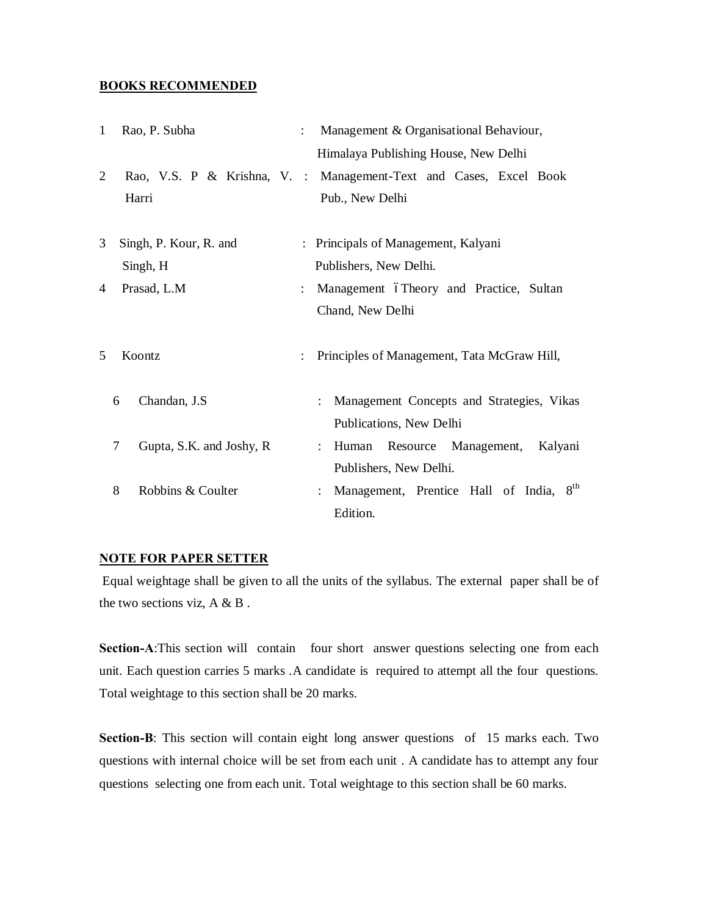| $\mathbf{1}$ |             | Rao, P. Subha             | $\ddot{\cdot}$ | Management & Organisational Behaviour,                            |
|--------------|-------------|---------------------------|----------------|-------------------------------------------------------------------|
|              |             |                           |                | Himalaya Publishing House, New Delhi                              |
| 2            |             |                           |                | Rao, V.S. P & Krishna, V. : Management-Text and Cases, Excel Book |
|              |             | Harri                     |                | Pub., New Delhi                                                   |
| 3            |             | Singh, P. Kour, R. and    |                | : Principals of Management, Kalyani                               |
|              |             | Singh, H                  |                | Publishers, New Delhi.                                            |
| 4            | Prasad, L.M |                           |                | Management óTheory and Practice, Sultan                           |
|              |             |                           |                | Chand, New Delhi                                                  |
| 5            | Koontz      |                           | $\ddot{\cdot}$ | Principles of Management, Tata McGraw Hill,                       |
|              | 6           | Chandan, J.S.             |                | Management Concepts and Strategies, Vikas                         |
|              |             |                           |                | Publications, New Delhi                                           |
|              | 7           | Gupta, S.K. and Joshy, R. |                | Resource Management,<br>Kalyani<br>Human<br>$\ddot{\cdot}$        |
|              |             |                           |                | Publishers, New Delhi.                                            |
|              | 8           | Robbins & Coulter         |                | 8 <sup>th</sup><br>Management, Prentice Hall of India,            |
|              |             |                           |                | Edition.                                                          |

#### **NOTE FOR PAPER SETTER**

Equal weightage shall be given to all the units of the syllabus. The external paper shall be of the two sections viz,  $A \& B$ .

**Section-A:**This section will contain four short answer questions selecting one from each unit. Each question carries 5 marks .A candidate is required to attempt all the four questions. Total weightage to this section shall be 20 marks.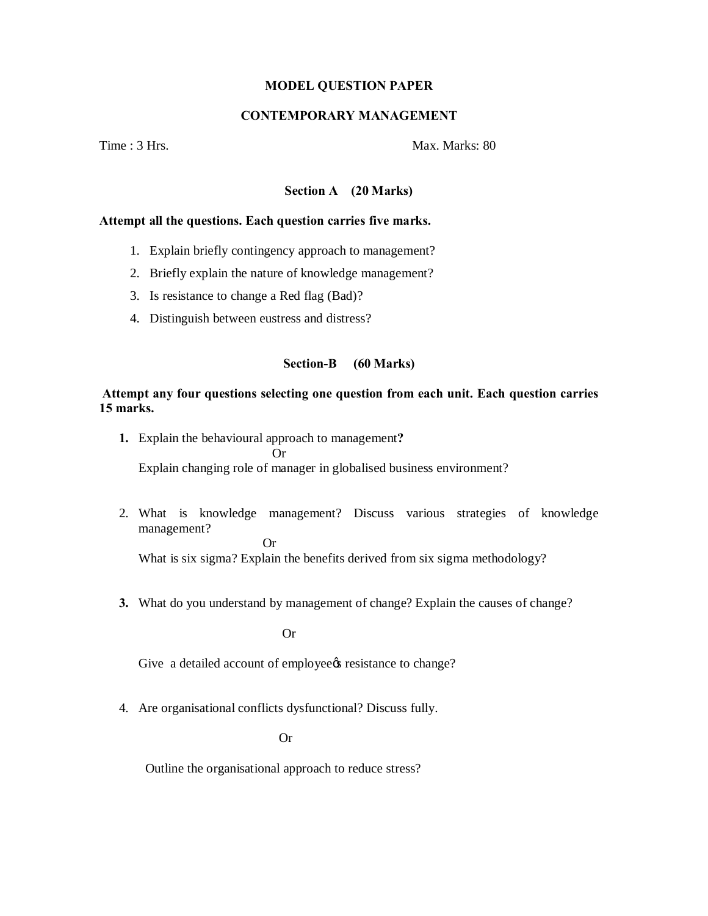#### **MODEL QUESTION PAPER**

#### **CONTEMPORARY MANAGEMENT**

Time : 3 Hrs. Max. Marks: 80

#### **Section A (20 Marks)**

#### **Attempt all the questions. Each question carries five marks.**

- 1. Explain briefly contingency approach to management?
- 2. Briefly explain the nature of knowledge management?
- 3. Is resistance to change a Red flag (Bad)?
- 4. Distinguish between eustress and distress?

#### **Section-B (60 Marks)**

**Attempt any four questions selecting one question from each unit. Each question carries 15 marks.**

**1.** Explain the behavioural approach to management**?**

*<u>Oriensis</u>* Explain changing role of manager in globalised business environment?

2. What is knowledge management? Discuss various strategies of knowledge management? Or

What is six sigma? Explain the benefits derived from six sigma methodology?

**3.** What do you understand by management of change? Explain the causes of change?

**Or** 

Give a detailed account of employee *s* resistance to change?

4. Are organisational conflicts dysfunctional? Discuss fully.

**Or** 

Outline the organisational approach to reduce stress?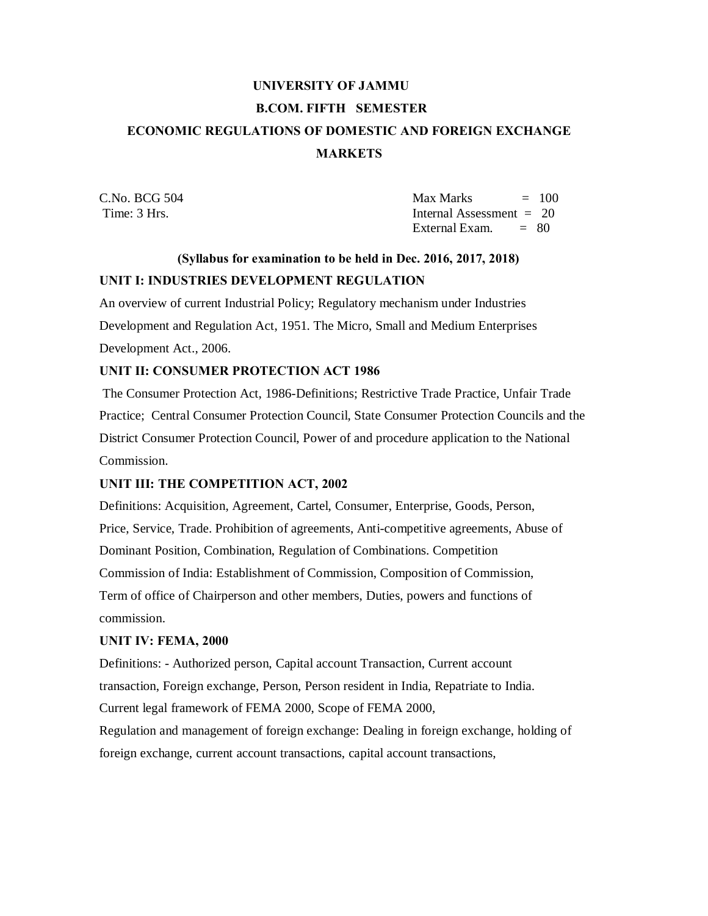# **UNIVERSITY OF JAMMU B.COM. FIFTH SEMESTER ECONOMIC REGULATIONS OF DOMESTIC AND FOREIGN EXCHANGE MARKETS**

 $C. No. BCG 504$  Max Marks  $= 100$ Time: 3 Hrs. Internal Assessment = 20 External Exam.  $= 80$ 

# **(Syllabus for examination to be held in Dec. 2016, 2017, 2018) UNIT I: INDUSTRIES DEVELOPMENT REGULATION**

An overview of current Industrial Policy; Regulatory mechanism under Industries Development and Regulation Act, 1951. The Micro, Small and Medium Enterprises Development Act., 2006.

# **UNIT II: CONSUMER PROTECTION ACT 1986**

The Consumer Protection Act, 1986-Definitions; Restrictive Trade Practice, Unfair Trade Practice; Central Consumer Protection Council, State Consumer Protection Councils and the District Consumer Protection Council, Power of and procedure application to the National Commission.

# **UNIT III: THE COMPETITION ACT, 2002**

Definitions: Acquisition, Agreement, Cartel, Consumer, Enterprise, Goods, Person, Price, Service, Trade. Prohibition of agreements, Anti-competitive agreements, Abuse of Dominant Position, Combination, Regulation of Combinations. Competition Commission of India: Establishment of Commission, Composition of Commission, Term of office of Chairperson and other members, Duties, powers and functions of commission.

# **UNIT IV: FEMA, 2000**

Definitions: - Authorized person, Capital account Transaction, Current account transaction, Foreign exchange, Person, Person resident in India, Repatriate to India. Current legal framework of FEMA 2000, Scope of FEMA 2000, Regulation and management of foreign exchange: Dealing in foreign exchange, holding of foreign exchange, current account transactions, capital account transactions,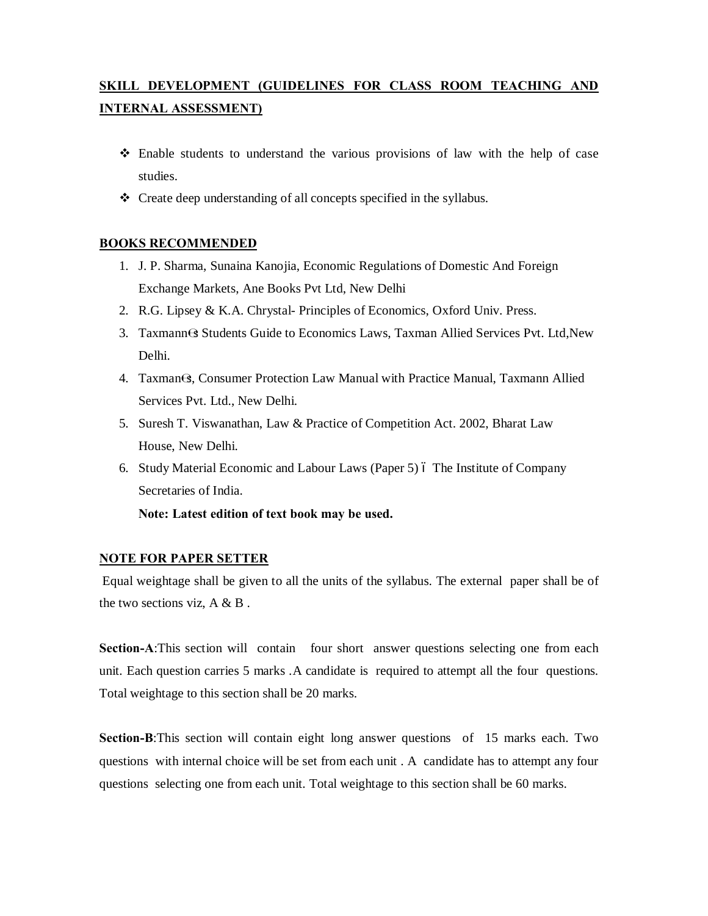# **SKILL DEVELOPMENT (GUIDELINES FOR CLASS ROOM TEACHING AND INTERNAL ASSESSMENT)**

- $\div$  Enable students to understand the various provisions of law with the help of case studies.
- $\triangle$  Create deep understanding of all concepts specified in the syllabus.

#### **BOOKS RECOMMENDED**

- 1. J. P. Sharma, Sunaina Kanojia, Economic Regulations of Domestic And Foreign Exchange Markets, Ane Books Pvt Ltd, New Delhi
- 2. R.G. Lipsey & K.A. Chrystal- Principles of Economics, Oxford Univ. Press.
- 3. Taxmann s Students Guide to Economics Laws, Taxman Allied Services Pvt. Ltd,New Delhi.
- 4. Taxman s, Consumer Protection Law Manual with Practice Manual, Taxmann Allied Services Pvt. Ltd., New Delhi.
- 5. Suresh T. Viswanathan, Law & Practice of Competition Act. 2002, Bharat Law House, New Delhi.
- 6. Study Material Economic and Labour Laws (Paper 5) The Institute of Company Secretaries of India.

**Note: Latest edition of text book may be used.**

#### **NOTE FOR PAPER SETTER**

Equal weightage shall be given to all the units of the syllabus. The external paper shall be of the two sections viz,  $A \& B$ .

**Section-A**:This section will contain four short answer questions selecting one from each unit. Each question carries 5 marks .A candidate is required to attempt all the four questions. Total weightage to this section shall be 20 marks.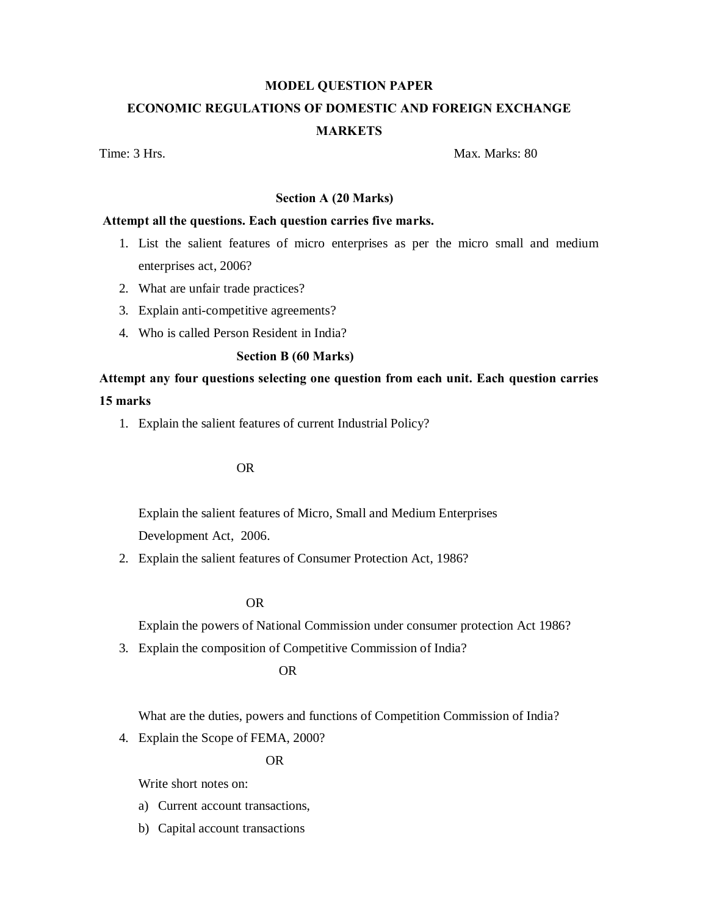# **MODEL QUESTION PAPER**

# **ECONOMIC REGULATIONS OF DOMESTIC AND FOREIGN EXCHANGE MARKETS**

Time: 3 Hrs. Max. Marks: 80

#### **Section A (20 Marks)**

#### **Attempt all the questions. Each question carries five marks.**

- 1. List the salient features of micro enterprises as per the micro small and medium enterprises act, 2006?
- 2. What are unfair trade practices?
- 3. Explain anti-competitive agreements?
- 4. Who is called Person Resident in India?

### **Section B (60 Marks)**

# **Attempt any four questions selecting one question from each unit. Each question carries 15 marks**

1. Explain the salient features of current Industrial Policy?

#### OR

Explain the salient features of Micro, Small and Medium Enterprises Development Act, 2006.

2. Explain the salient features of Consumer Protection Act, 1986?

#### OR

Explain the powers of National Commission under consumer protection Act 1986?

3. Explain the composition of Competitive Commission of India?

#### **OR** OR

What are the duties, powers and functions of Competition Commission of India?

4. Explain the Scope of FEMA, 2000?

OR

Write short notes on:

- a) Current account transactions,
- b) Capital account transactions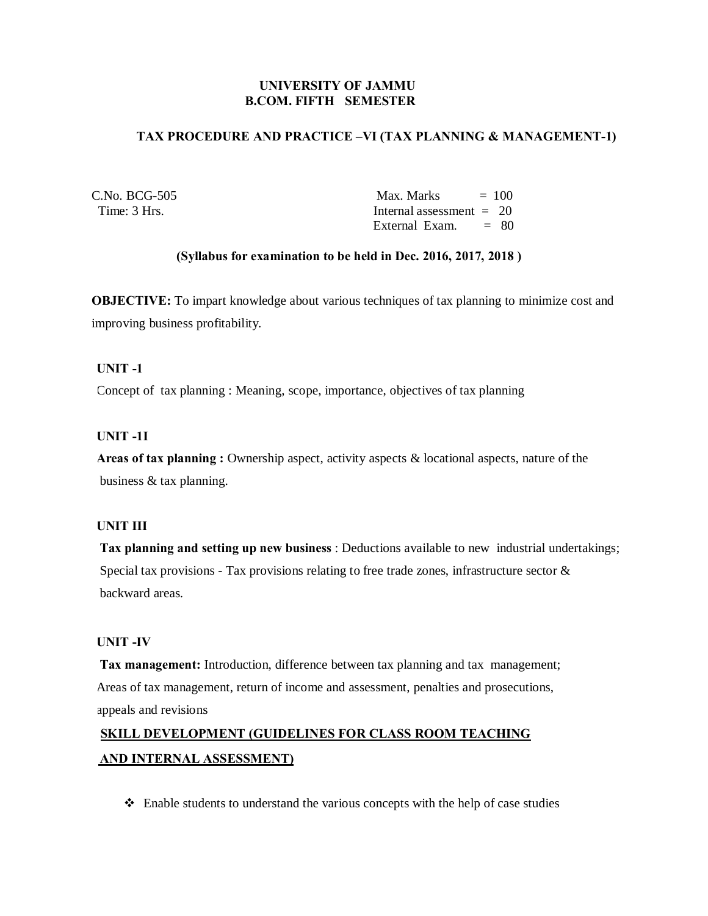### **UNIVERSITY OF JAMMU B.COM. FIFTH SEMESTER**

## **TAX PROCEDURE AND PRACTICE –VI (TAX PLANNING & MANAGEMENT-1)**

 $C.No. BCG-505$  Max. Marks  $= 100$ Time:  $3 \text{ Hrs.}$  Internal assessment =  $20$ External Exam  $= 80$ 

#### **(Syllabus for examination to be held in Dec. 2016, 2017, 2018 )**

**OBJECTIVE:** To impart knowledge about various techniques of tax planning to minimize cost and improving business profitability.

## **UNIT -1**

Concept of tax planning : Meaning, scope, importance, objectives of tax planning

## **UNIT -1I**

**Areas of tax planning :** Ownership aspect, activity aspects & locational aspects, nature of the business & tax planning.

#### **UNIT III**

**Tax planning and setting up new business** : Deductions available to new industrial undertakings; Special tax provisions - Tax provisions relating to free trade zones, infrastructure sector  $\&$ backward areas.

#### **UNIT -IV**

**Tax management:** Introduction, difference between tax planning and tax management; Areas of tax management, return of income and assessment, penalties and prosecutions, appeals and revisions

# **SKILL DEVELOPMENT (GUIDELINES FOR CLASS ROOM TEACHING AND INTERNAL ASSESSMENT)**

 $\div$  Enable students to understand the various concepts with the help of case studies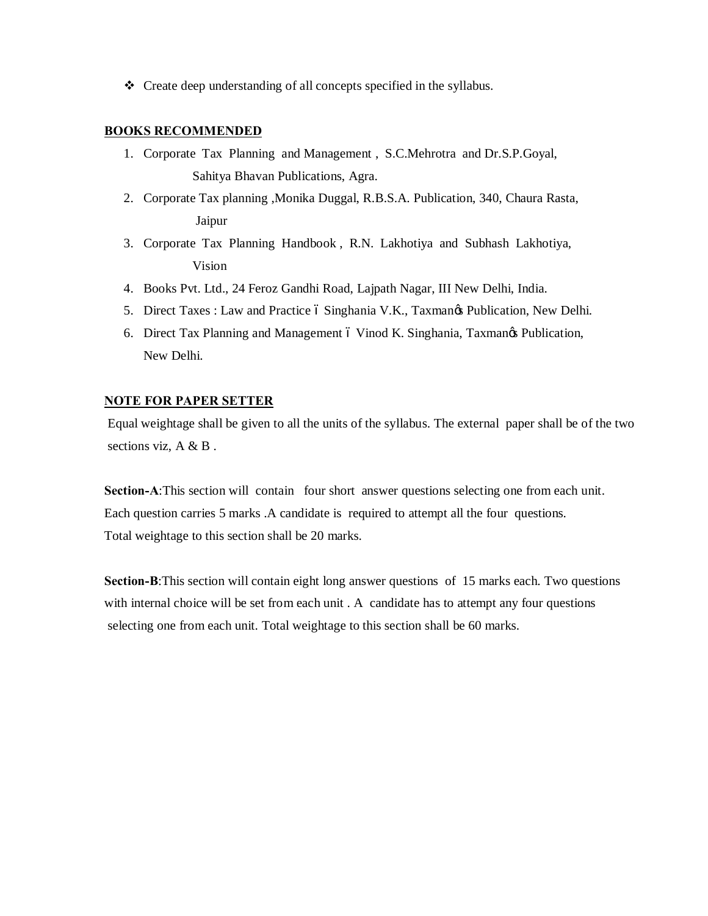$\triangleleft$  Create deep understanding of all concepts specified in the syllabus.

#### **BOOKS RECOMMENDED**

- 1. Corporate Tax Planning and Management , S.C.Mehrotra and Dr.S.P.Goyal, Sahitya Bhavan Publications, Agra.
- 2. Corporate Tax planning ,Monika Duggal, R.B.S.A. Publication, 340, Chaura Rasta, Jaipur
- 3. Corporate Tax Planning Handbook , R.N. Lakhotiya and Subhash Lakhotiya, Vision
- 4. Books Pvt. Ltd., 24 Feroz Gandhi Road, Lajpath Nagar, III New Delhi, India.
- 5. Direct Taxes : Law and Practice ó Singhania V.K., Taxman $\alpha$  Publication, New Delhi.
- 6. Direct Tax Planning and Management 6 Vinod K. Singhania, Taxman $\alpha$  Publication, New Delhi.

### **NOTE FOR PAPER SETTER**

Equal weightage shall be given to all the units of the syllabus. The external paper shall be of the two sections viz, A & B .

**Section-A:**This section will contain four short answer questions selecting one from each unit. Each question carries 5 marks .A candidate is required to attempt all the four questions. Total weightage to this section shall be 20 marks.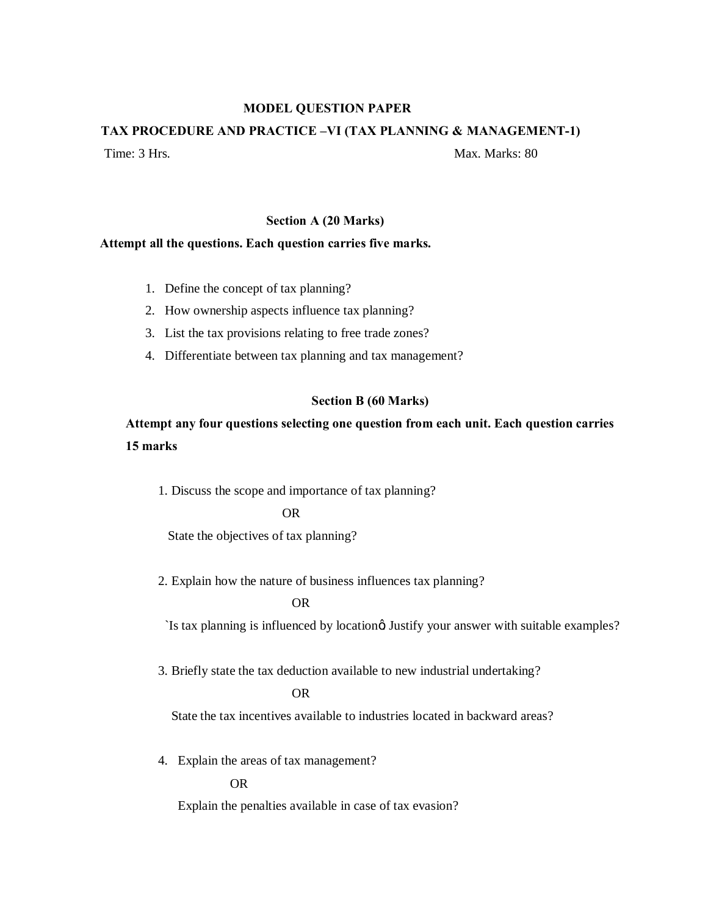#### **MODEL QUESTION PAPER**

#### **TAX PROCEDURE AND PRACTICE –VI (TAX PLANNING & MANAGEMENT-1)**

Time: 3 Hrs. Max. Marks: 80

#### **Section A (20 Marks)**

#### **Attempt all the questions. Each question carries five marks.**

- 1. Define the concept of tax planning?
- 2. How ownership aspects influence tax planning?
- 3. List the tax provisions relating to free trade zones?
- 4. Differentiate between tax planning and tax management?

#### **Section B (60 Marks)**

# **Attempt any four questions selecting one question from each unit. Each question carries 15 marks**

1. Discuss the scope and importance of tax planning?

#### OR

State the objectives of tax planning?

2. Explain how the nature of business influences tax planning?

#### **OR** OR

`Is tax planning is influenced by locationg Justify your answer with suitable examples?

3. Briefly state the tax deduction available to new industrial undertaking?

#### **OR** OR

State the tax incentives available to industries located in backward areas?

4. Explain the areas of tax management?

#### OR

Explain the penalties available in case of tax evasion?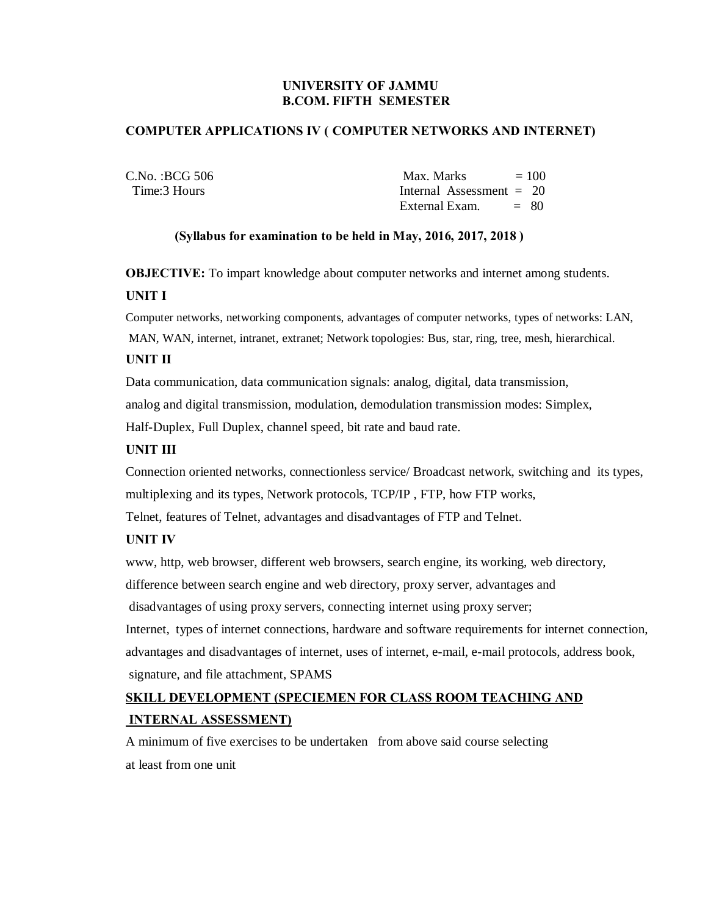# **UNIVERSITY OF JAMMU B.COM. FIFTH SEMESTER**

#### **COMPUTER APPLICATIONS IV ( COMPUTER NETWORKS AND INTERNET)**

 $C.No. : BCG 506$  Max. Marks  $= 100$ Time:3 Hours Internal Assessment = 20 External Exam.  $= 80$ 

# **(Syllabus for examination to be held in May, 2016, 2017, 2018 )**

**OBJECTIVE:** To impart knowledge about computer networks and internet among students. **UNIT I**

Computer networks, networking components, advantages of computer networks, types of networks: LAN, MAN, WAN, internet, intranet, extranet; Network topologies: Bus, star, ring, tree, mesh, hierarchical.

# **UNIT II**

Data communication, data communication signals: analog, digital, data transmission, analog and digital transmission, modulation, demodulation transmission modes: Simplex, Half-Duplex, Full Duplex, channel speed, bit rate and baud rate.

# **UNIT III**

Connection oriented networks, connectionless service/ Broadcast network, switching and its types, multiplexing and its types, Network protocols, TCP/IP , FTP, how FTP works,

Telnet, features of Telnet, advantages and disadvantages of FTP and Telnet.

# **UNIT IV**

www, http, web browser, different web browsers, search engine, its working, web directory,

difference between search engine and web directory, proxy server, advantages and

disadvantages of using proxy servers, connecting internet using proxy server;

Internet, types of internet connections, hardware and software requirements for internet connection, advantages and disadvantages of internet, uses of internet, e-mail, e-mail protocols, address book, signature, and file attachment, SPAMS

# **SKILL DEVELOPMENT (SPECIEMEN FOR CLASS ROOM TEACHING AND INTERNAL ASSESSMENT)**

A minimum of five exercises to be undertaken from above said course selecting at least from one unit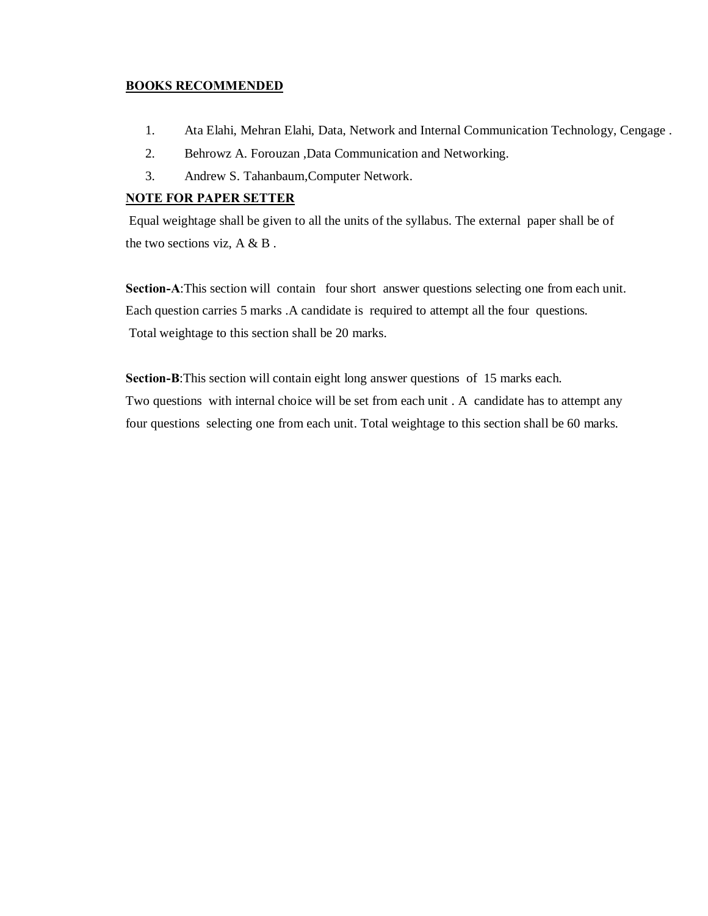- 1. Ata Elahi, Mehran Elahi, Data, Network and Internal Communication Technology, Cengage .
- 2. Behrowz A. Forouzan ,Data Communication and Networking.
- 3. Andrew S. Tahanbaum,Computer Network.

### **NOTE FOR PAPER SETTER**

Equal weightage shall be given to all the units of the syllabus. The external paper shall be of the two sections viz, A & B .

**Section-A**:This section will contain four short answer questions selecting one from each unit. Each question carries 5 marks .A candidate is required to attempt all the four questions. Total weightage to this section shall be 20 marks.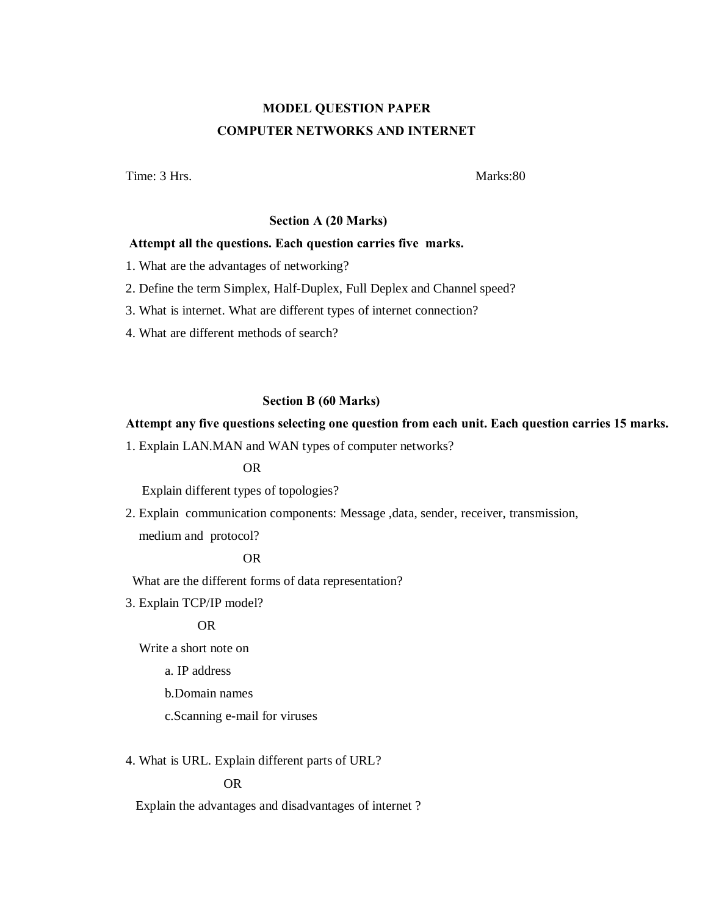# **MODEL QUESTION PAPER COMPUTER NETWORKS AND INTERNET**

Time: 3 Hrs. Marks:80

#### **Section A (20 Marks)**

#### **Attempt all the questions. Each question carries five marks.**

- 1. What are the advantages of networking?
- 2. Define the term Simplex, Half-Duplex, Full Deplex and Channel speed?
- 3. What is internet. What are different types of internet connection?
- 4. What are different methods of search?

#### **Section B (60 Marks)**

#### **Attempt any five questions selecting one question from each unit. Each question carries 15 marks.**

1. Explain LAN.MAN and WAN types of computer networks?

OR

Explain different types of topologies?

2. Explain communication components: Message ,data, sender, receiver, transmission,

medium and protocol?

#### OR

What are the different forms of data representation?

3. Explain TCP/IP model?

#### OR

Write a short note on

a. IP address

b.Domain names

c.Scanning e-mail for viruses

4. What is URL. Explain different parts of URL?

#### OR

Explain the advantages and disadvantages of internet ?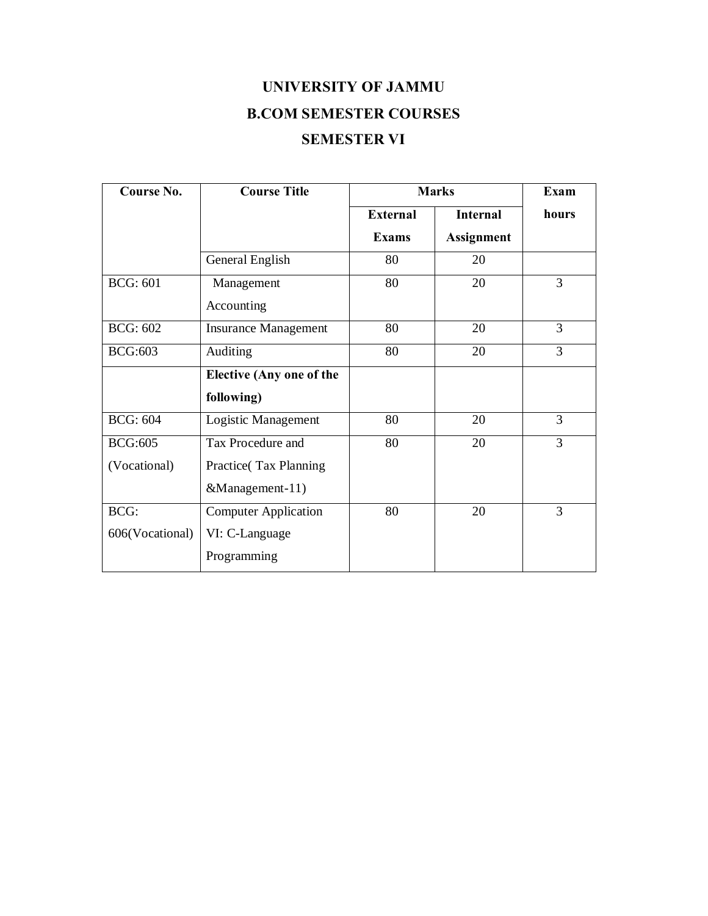# **UNIVERSITY OF JAMMU B.COM SEMESTER COURSES SEMESTER VI**

# **Course No. Course Title Marks Exam External hours Internal Exams Assignment** General English 80 20 BCG: 601 Management Accounting 80 20 3 BCG: 602 Insurance Management 80 20 3 BCG:603 Auditing 80 20 3 **Elective (Any one of the following)** BCG: 604 Logistic Management 80 20 3 BCG:605 (Vocational) Tax Procedure and Practice( Tax Planning &Management-11) 80 20 3 BCG: 606(Vocational) Computer Application VI: C-Language Programming 80 20 3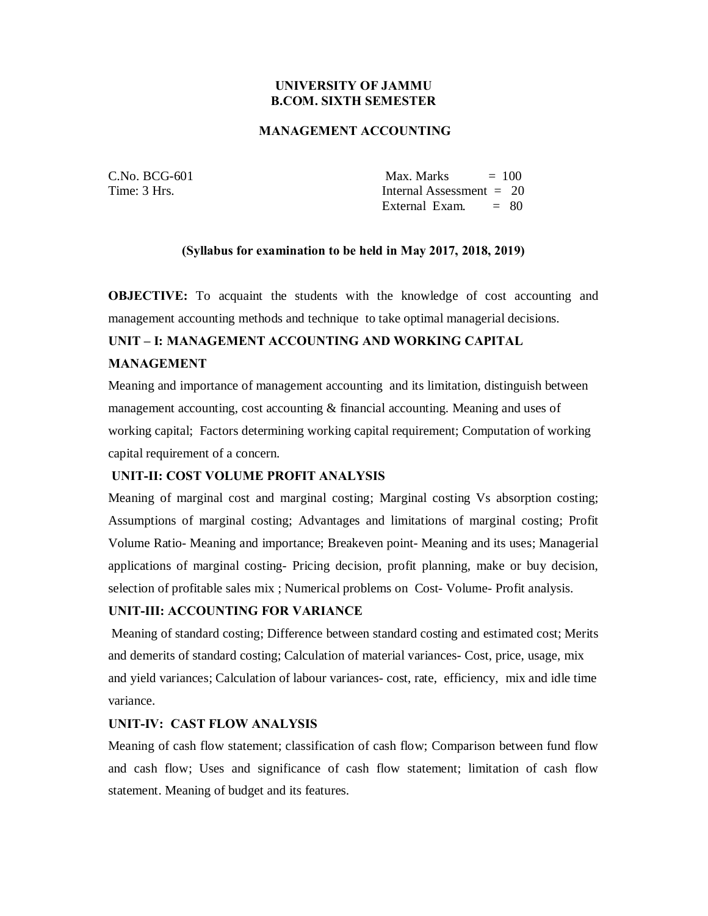#### **MANAGEMENT ACCOUNTING**

 $C.No. BCG-601$  Max. Marks  $= 100$ Time: 3 Hrs. Internal Assessment = 20 External Exam.  $= 80$ 

#### **(Syllabus for examination to be held in May 2017, 2018, 2019)**

**OBJECTIVE:** To acquaint the students with the knowledge of cost accounting and management accounting methods and technique to take optimal managerial decisions.

## **UNIT – I: MANAGEMENT ACCOUNTING AND WORKING CAPITAL**

#### **MANAGEMENT**

Meaning and importance of management accounting and its limitation, distinguish between management accounting, cost accounting & financial accounting. Meaning and uses of working capital; Factors determining working capital requirement; Computation of working capital requirement of a concern.

## **UNIT-II: COST VOLUME PROFIT ANALYSIS**

Meaning of marginal cost and marginal costing; Marginal costing Vs absorption costing; Assumptions of marginal costing; Advantages and limitations of marginal costing; Profit Volume Ratio- Meaning and importance; Breakeven point- Meaning and its uses; Managerial applications of marginal costing- Pricing decision, profit planning, make or buy decision, selection of profitable sales mix ; Numerical problems on Cost- Volume- Profit analysis.

## **UNIT-III: ACCOUNTING FOR VARIANCE**

Meaning of standard costing; Difference between standard costing and estimated cost; Merits and demerits of standard costing; Calculation of material variances- Cost, price, usage, mix and yield variances; Calculation of labour variances- cost, rate, efficiency, mix and idle time variance.

#### **UNIT-IV: CAST FLOW ANALYSIS**

Meaning of cash flow statement; classification of cash flow; Comparison between fund flow and cash flow; Uses and significance of cash flow statement; limitation of cash flow statement. Meaning of budget and its features.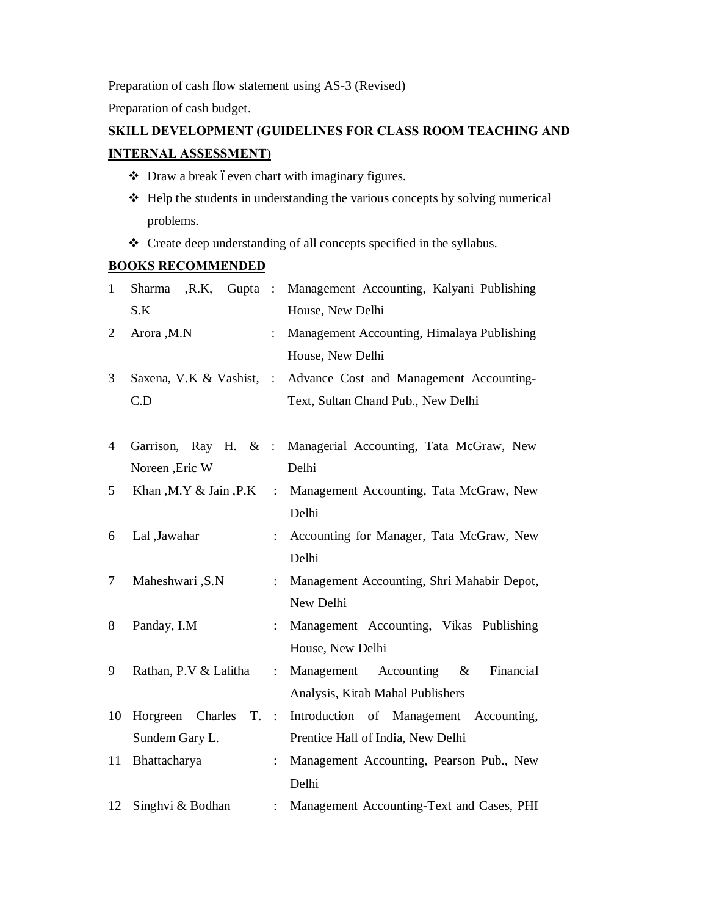Preparation of cash flow statement using AS-3 (Revised)

Preparation of cash budget.

# **SKILL DEVELOPMENT (GUIDELINES FOR CLASS ROOM TEACHING AND INTERNAL ASSESSMENT)**

- $\bullet$  Draw a break óeven chart with imaginary figures.
- $\div$  Help the students in understanding the various concepts by solving numerical problems.
- \* Create deep understanding of all concepts specified in the syllabus.

## **BOOKS RECOMMENDED**

| $\mathbf{1}$   | ,R.K<br>Gupta :<br>Sharma  |                      | Management Accounting, Kalyani Publishing                    |
|----------------|----------------------------|----------------------|--------------------------------------------------------------|
|                | S.K                        |                      | House, New Delhi                                             |
| $\overline{2}$ | Arora, M.N.                | $\ddot{\cdot}$       | Management Accounting, Himalaya Publishing                   |
|                |                            |                      | House, New Delhi                                             |
| 3              | Saxena, V.K & Vashist, :   |                      | Advance Cost and Management Accounting-                      |
|                | C.D                        |                      | Text, Sultan Chand Pub., New Delhi                           |
| 4              |                            |                      | Garrison, Ray H. & : Managerial Accounting, Tata McGraw, New |
|                | Noreen , Eric W            |                      | Delhi                                                        |
| 5              | Khan, M.Y & Jain, P.K      |                      | : Management Accounting, Tata McGraw, New                    |
|                |                            |                      | Delhi                                                        |
| 6              | Lal , Jawahar              |                      | Accounting for Manager, Tata McGraw, New                     |
|                |                            |                      | Delhi                                                        |
| 7              | Maheshwari, S.N            |                      | : Management Accounting, Shri Mahabir Depot,                 |
|                |                            |                      | New Delhi                                                    |
| 8              | Panday, I.M                | $\ddot{\cdot}$       | Management Accounting, Vikas Publishing                      |
|                |                            |                      | House, New Delhi                                             |
| 9              | Rathan, P.V & Lalitha      | ÷.                   | Accounting<br>Financial<br>Management<br>$\&$                |
|                |                            |                      | Analysis, Kitab Mahal Publishers                             |
| 10             | Horgreen Charles<br>$T.$ : |                      | Introduction of Management Accounting,                       |
|                | Sundem Gary L.             |                      | Prentice Hall of India, New Delhi                            |
| 11             | Bhattacharya               | $\ddot{\phantom{0}}$ | Management Accounting, Pearson Pub., New                     |
|                |                            |                      | Delhi                                                        |
| 12             | Singhvi & Bodhan           | $\ddot{\phantom{a}}$ | Management Accounting-Text and Cases, PHI                    |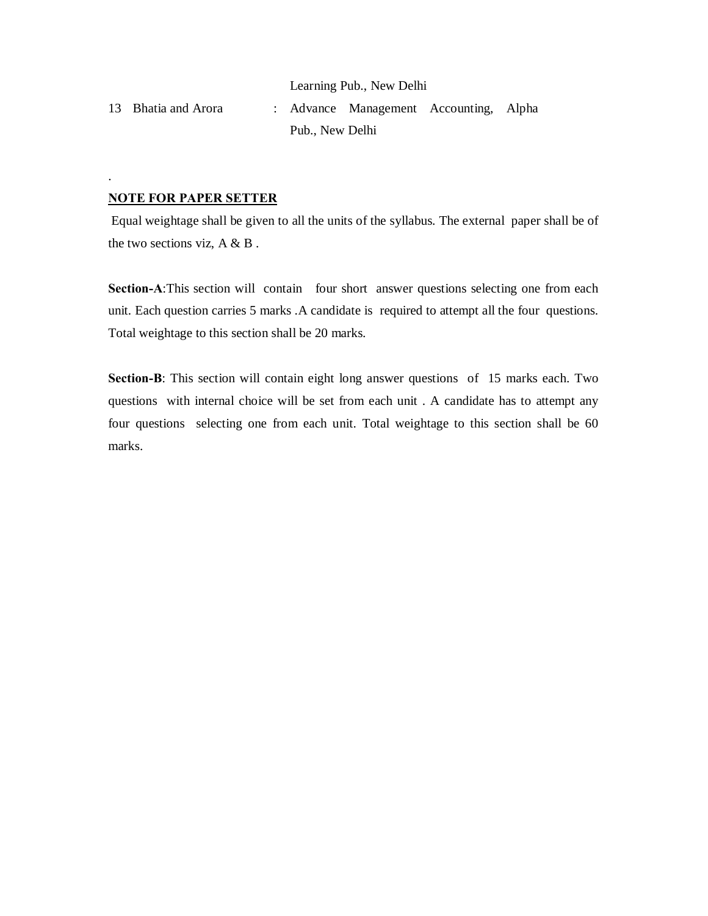Learning Pub., New Delhi

13 Bhatia and Arora : Advance Management Accounting, Alpha Pub., New Delhi

#### **NOTE FOR PAPER SETTER**

.

Equal weightage shall be given to all the units of the syllabus. The external paper shall be of the two sections viz,  $A \& B$ .

**Section-A**:This section will contain four short answer questions selecting one from each unit. Each question carries 5 marks .A candidate is required to attempt all the four questions. Total weightage to this section shall be 20 marks.

**Section-B**: This section will contain eight long answer questions of 15 marks each. Two questions with internal choice will be set from each unit . A candidate has to attempt any four questions selecting one from each unit. Total weightage to this section shall be 60 marks.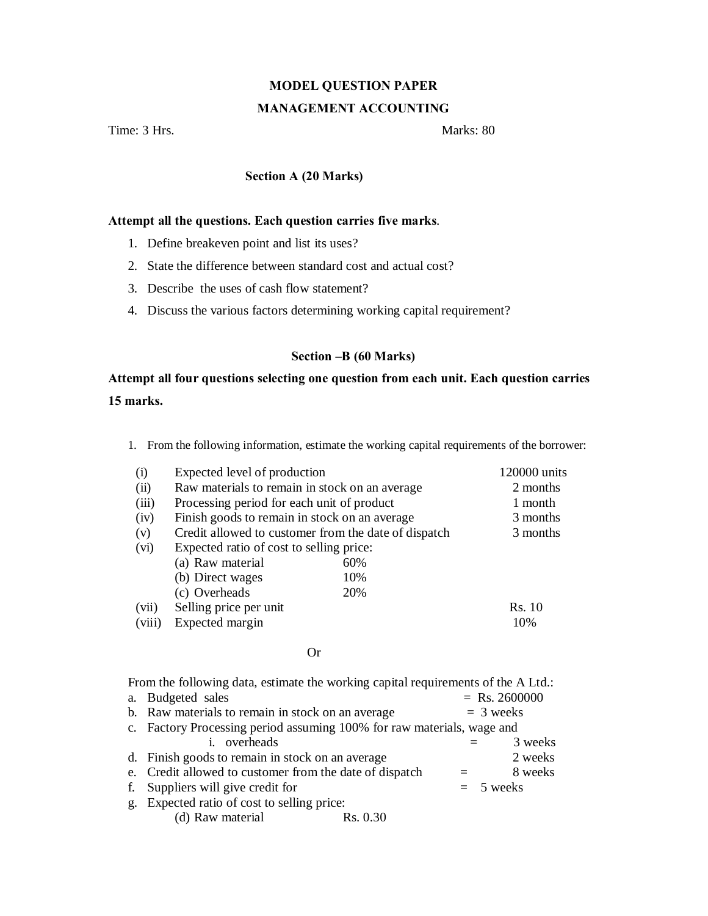# **MODEL QUESTION PAPER MANAGEMENT ACCOUNTING**

Time: 3 Hrs. Marks: 80

## **Section A (20 Marks)**

### **Attempt all the questions. Each question carries five marks**.

- 1. Define breakeven point and list its uses?
- 2. State the difference between standard cost and actual cost?
- 3. Describe the uses of cash flow statement?
- 4. Discuss the various factors determining working capital requirement?

## **Section –B (60 Marks)**

## **Attempt all four questions selecting one question from each unit. Each question carries 15 marks.**

1. From the following information, estimate the working capital requirements of the borrower:

| (i)    | Expected level of production                         | 120000 units |          |
|--------|------------------------------------------------------|--------------|----------|
| (ii)   | Raw materials to remain in stock on an average       | 2 months     |          |
| (iii)  | Processing period for each unit of product           |              | 1 month  |
| (iv)   | Finish goods to remain in stock on an average        |              | 3 months |
| (v)    | Credit allowed to customer from the date of dispatch |              | 3 months |
| (vi)   | Expected ratio of cost to selling price:             |              |          |
|        | (a) Raw material                                     | 60%          |          |
|        | (b) Direct wages                                     | 10%          |          |
|        | (c) Overheads                                        | 20%          |          |
| (vii)  | Selling price per unit                               |              | Rs. 10   |
| (viii) | Expected margin                                      |              | 10%      |
|        |                                                      |              |          |

### Or

From the following data, estimate the working capital requirements of the A Ltd.:

| a. Budgeted sales                                                      | $=$ Rs. 2600000 |
|------------------------------------------------------------------------|-----------------|
| b. Raw materials to remain in stock on an average                      | $=$ 3 weeks     |
| c. Factory Processing period assuming 100% for raw materials, wage and |                 |
| <i>i.</i> overheads                                                    | 3 weeks         |
| d. Finish goods to remain in stock on an average                       | 2 weeks         |
| e. Credit allowed to customer from the date of dispatch                | 8 weeks         |
| f. Suppliers will give credit for                                      | $= 5$ weeks     |
| g. Expected ratio of cost to selling price:                            |                 |
| (d) Raw material<br>Rs. 0.30                                           |                 |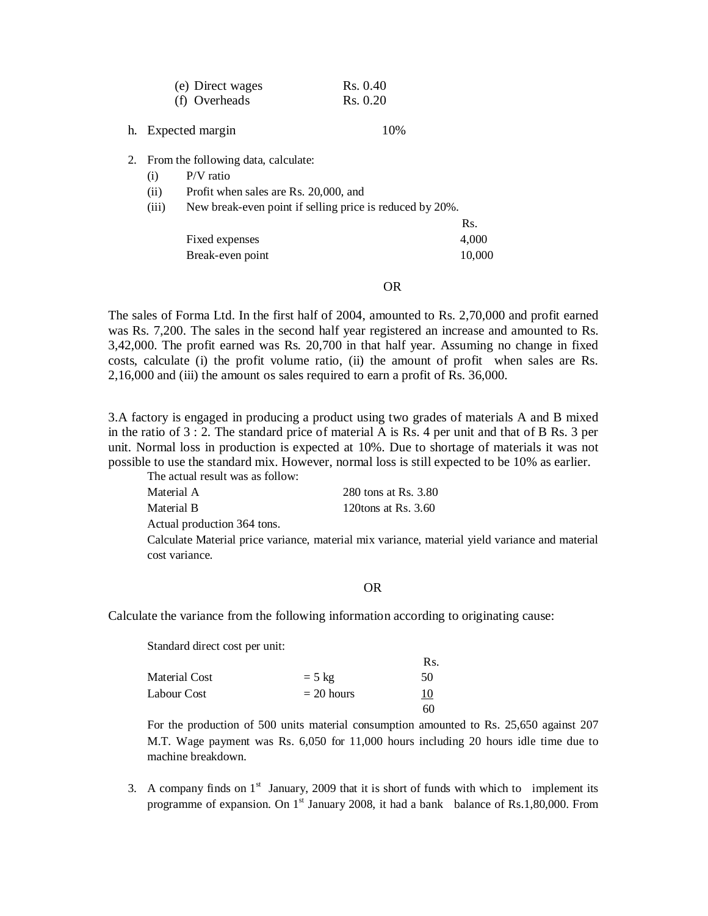| (e) Direct wages | Rs. 0.40 |
|------------------|----------|
| (f) Overheads    | Rs. 0.20 |

h. Expected margin 10%

- 2. From the following data, calculate:
	- (i) P/V ratio
	- (ii) Profit when sales are Rs. 20,000, and
	- (iii) New break-even point if selling price is reduced by 20%.

|                  | Rs.    |
|------------------|--------|
| Fixed expenses   | 4.000  |
| Break-even point | 10,000 |

#### OR

The sales of Forma Ltd. In the first half of 2004, amounted to Rs. 2,70,000 and profit earned was Rs. 7,200. The sales in the second half year registered an increase and amounted to Rs. 3,42,000. The profit earned was Rs. 20,700 in that half year. Assuming no change in fixed costs, calculate (i) the profit volume ratio, (ii) the amount of profit when sales are Rs. 2,16,000 and (iii) the amount os sales required to earn a profit of Rs. 36,000.

3.A factory is engaged in producing a product using two grades of materials A and B mixed in the ratio of 3 : 2. The standard price of material A is Rs. 4 per unit and that of B Rs. 3 per unit. Normal loss in production is expected at 10%. Due to shortage of materials it was not possible to use the standard mix. However, normal loss is still expected to be 10% as earlier. The actual result was as follow:

| The actual result was as follow.                                                               |                       |  |  |  |
|------------------------------------------------------------------------------------------------|-----------------------|--|--|--|
| Material A                                                                                     | 280 tons at Rs. 3.80  |  |  |  |
| Material B                                                                                     | 120tons at Rs. $3.60$ |  |  |  |
| Actual production 364 tons.                                                                    |                       |  |  |  |
| Calculate Material price variance, material mix variance, material yield variance and material |                       |  |  |  |
| cost variance.                                                                                 |                       |  |  |  |

#### OR

Calculate the variance from the following information according to originating cause:

Standard direct cost per unit:

|               |                  | Rs.       |
|---------------|------------------|-----------|
| Material Cost | $= 5 \text{ kg}$ | 50        |
| Labour Cost   | $= 20$ hours     | <u>10</u> |
|               |                  |           |

For the production of 500 units material consumption amounted to Rs. 25,650 against 207 M.T. Wage payment was Rs. 6,050 for 11,000 hours including 20 hours idle time due to machine breakdown.

3. A company finds on  $1<sup>st</sup>$  January, 2009 that it is short of funds with which to implement its programme of expansion. On  $1<sup>st</sup>$  January 2008, it had a bank balance of Rs.1,80,000. From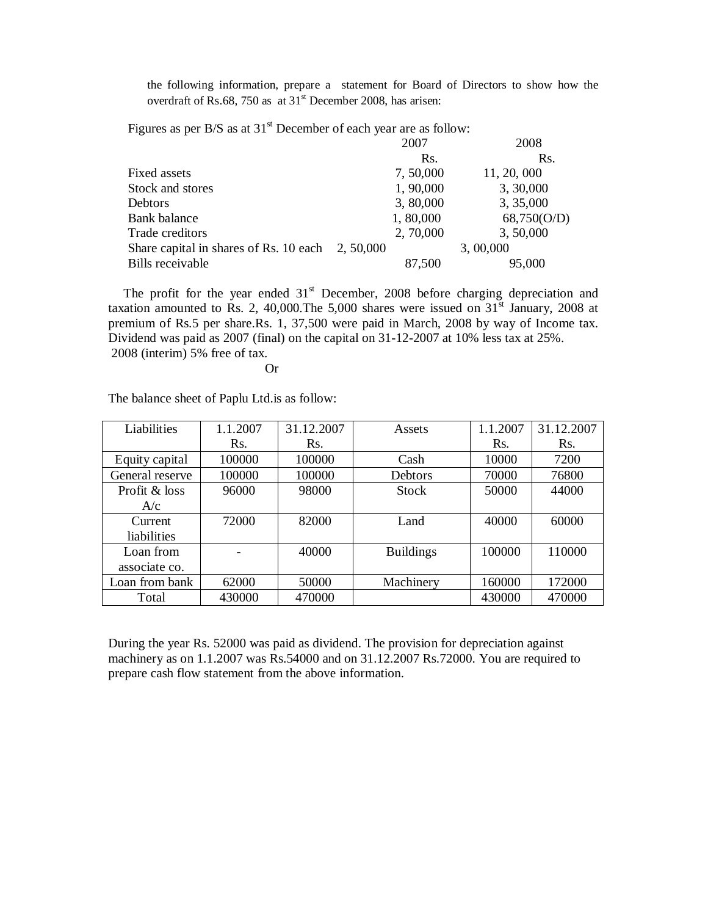the following information, prepare a statement for Board of Directors to show how the overdraft of Rs.68, 750 as at  $31<sup>st</sup>$  December 2008, has arisen:

Figures as per B/S as at 31<sup>st</sup> December of each year are as follow:

|                                                    | 2007      | 2008        |     |
|----------------------------------------------------|-----------|-------------|-----|
|                                                    | Rs.       |             | Rs. |
| Fixed assets                                       | 7,50,000  | 11, 20, 000 |     |
| Stock and stores                                   | 1,90,000  | 3, 30,000   |     |
| Debtors                                            | 3,80,000  | 3, 35,000   |     |
| <b>Bank</b> balance                                | 1,80,000  | 68,750(O/D) |     |
| Trade creditors                                    | 2, 70,000 | 3,50,000    |     |
| Share capital in shares of Rs. 10 each $2, 50,000$ |           | 3,00,000    |     |
| Bills receivable                                   | 87,500    | 95,000      |     |

The profit for the year ended  $31<sup>st</sup>$  December, 2008 before charging depreciation and taxation amounted to Rs. 2, 40,000. The 5,000 shares were issued on  $31<sup>st</sup>$  January, 2008 at premium of Rs.5 per share.Rs. 1, 37,500 were paid in March, 2008 by way of Income tax. Dividend was paid as 2007 (final) on the capital on 31-12-2007 at 10% less tax at 25%. 2008 (interim) 5% free of tax.

**Or** Order to the state of the state of the state of the state of the state of the state of the state of the state of the state of the state of the state of the state of the state of the state of the state of the state of

The balance sheet of Paplu Ltd.is as follow:

| Liabilities      | 1.1.2007 | 31.12.2007 | Assets           | 1.1.2007 | 31.12.2007           |
|------------------|----------|------------|------------------|----------|----------------------|
|                  | Rs.      | Rs.        |                  | Rs.      | $\operatorname{Rs.}$ |
| Equity capital   | 100000   | 100000     | Cash             | 10000    | 7200                 |
| General reserve  | 100000   | 100000     | <b>Debtors</b>   | 70000    | 76800                |
| Profit $\&$ loss | 96000    | 98000      | Stock            | 50000    | 44000                |
| A/c              |          |            |                  |          |                      |
| Current          | 72000    | 82000      | Land             | 40000    | 60000                |
| liabilities      |          |            |                  |          |                      |
| Loan from        |          | 40000      | <b>Buildings</b> | 100000   | 110000               |
| associate co.    |          |            |                  |          |                      |
| Loan from bank   | 62000    | 50000      | Machinery        | 160000   | 172000               |
| Total            | 430000   | 470000     |                  | 430000   | 470000               |

During the year Rs. 52000 was paid as dividend. The provision for depreciation against machinery as on 1.1.2007 was Rs.54000 and on 31.12.2007 Rs.72000. You are required to prepare cash flow statement from the above information.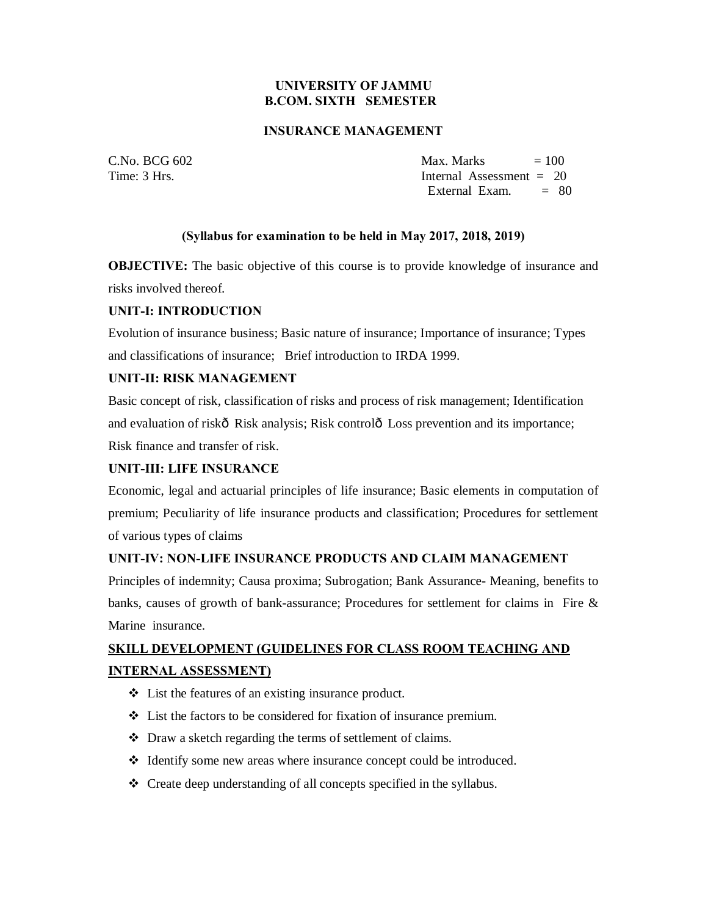## **INSURANCE MANAGEMENT**

 $C. No. BCG 602$  Max. Marks  $= 100$ Time: 3 Hrs. Internal Assessment = 20 External Exam.  $= 80$ 

## **(Syllabus for examination to be held in May 2017, 2018, 2019)**

**OBJECTIVE:** The basic objective of this course is to provide knowledge of insurance and risks involved thereof.

## **UNIT-I: INTRODUCTION**

Evolution of insurance business; Basic nature of insurance; Importance of insurance; Types and classifications of insurance; Brief introduction to IRDA 1999.

## **UNIT-II: RISK MANAGEMENT**

Basic concept of risk, classification of risks and process of risk management; Identification and evaluation of riskô Risk analysis; Risk controlô Loss prevention and its importance; Risk finance and transfer of risk.

## **UNIT-III: LIFE INSURANCE**

Economic, legal and actuarial principles of life insurance; Basic elements in computation of premium; Peculiarity of life insurance products and classification; Procedures for settlement of various types of claims

## **UNIT-IV: NON-LIFE INSURANCE PRODUCTS AND CLAIM MANAGEMENT**

Principles of indemnity; Causa proxima; Subrogation; Bank Assurance- Meaning, benefits to banks, causes of growth of bank-assurance; Procedures for settlement for claims in Fire & Marine insurance.

## **SKILL DEVELOPMENT (GUIDELINES FOR CLASS ROOM TEACHING AND INTERNAL ASSESSMENT)**

- $\triangle$  List the features of an existing insurance product.
- $\triangle$  List the factors to be considered for fixation of insurance premium.
- $\triangle$  Draw a sketch regarding the terms of settlement of claims.
- Identify some new areas where insurance concept could be introduced.
- $\triangleleft$  Create deep understanding of all concepts specified in the syllabus.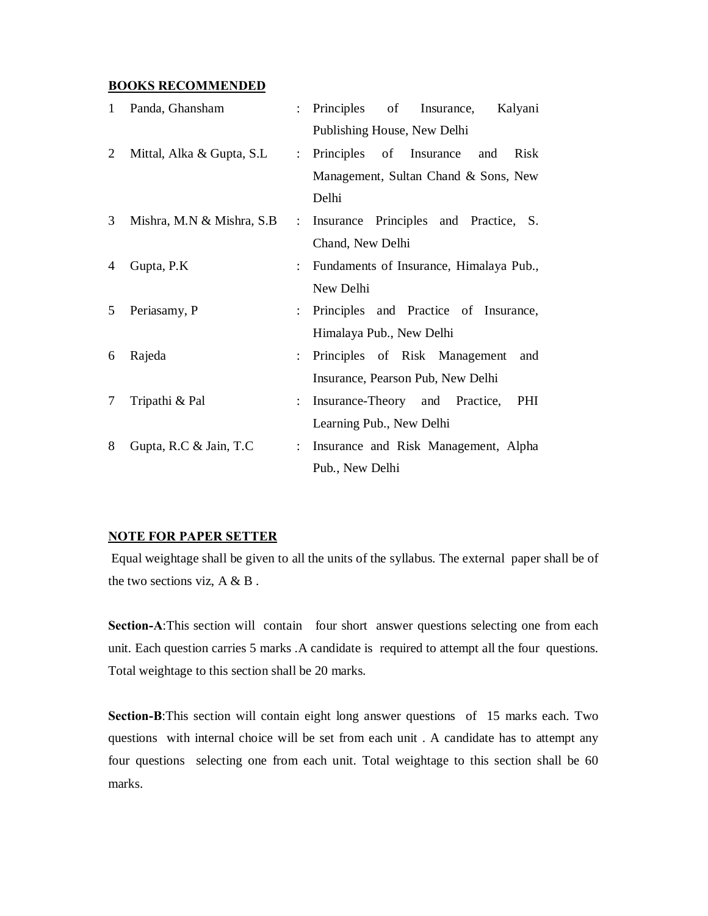### **BOOKS RECOMMENDED**

| 1 | Panda, Ghansham            |                      | : Principles<br>of<br>Insurance,<br>Kalyani        |
|---|----------------------------|----------------------|----------------------------------------------------|
|   |                            |                      | Publishing House, New Delhi                        |
| 2 | Mittal, Alka & Gupta, S.L. |                      | : Principles<br>of Insurance<br><b>Risk</b><br>and |
|   |                            |                      | Management, Sultan Chand & Sons, New               |
|   |                            |                      | Delhi                                              |
| 3 | Mishra, M.N & Mishra, S.B  |                      | : Insurance Principles and Practice, S.            |
|   |                            |                      | Chand, New Delhi                                   |
| 4 | Gupta, P.K.                | $\ddot{\phantom{0}}$ | Fundaments of Insurance, Himalaya Pub.,            |
|   |                            |                      | New Delhi                                          |
| 5 | Periasamy, P               | $\ddot{\phantom{0}}$ | Principles and Practice of Insurance,              |
|   |                            |                      | Himalaya Pub., New Delhi                           |
| 6 | Rajeda                     | $\ddot{\phantom{0}}$ | Principles of Risk Management<br>and               |
|   |                            |                      | Insurance, Pearson Pub, New Delhi                  |
| 7 | Tripathi & Pal             | $\ddot{\phantom{0}}$ | Insurance-Theory and Practice,<br>PHI              |
|   |                            |                      | Learning Pub., New Delhi                           |
| 8 | Gupta, R.C & Jain, T.C     | $\ddot{\phantom{0}}$ | Insurance and Risk Management, Alpha               |
|   |                            |                      | Pub., New Delhi                                    |

#### **NOTE FOR PAPER SETTER**

Equal weightage shall be given to all the units of the syllabus. The external paper shall be of the two sections viz, A & B .

**Section-A**:This section will contain four short answer questions selecting one from each unit. Each question carries 5 marks .A candidate is required to attempt all the four questions. Total weightage to this section shall be 20 marks.

**Section-B**:This section will contain eight long answer questions of 15 marks each. Two questions with internal choice will be set from each unit . A candidate has to attempt any four questions selecting one from each unit. Total weightage to this section shall be 60 marks.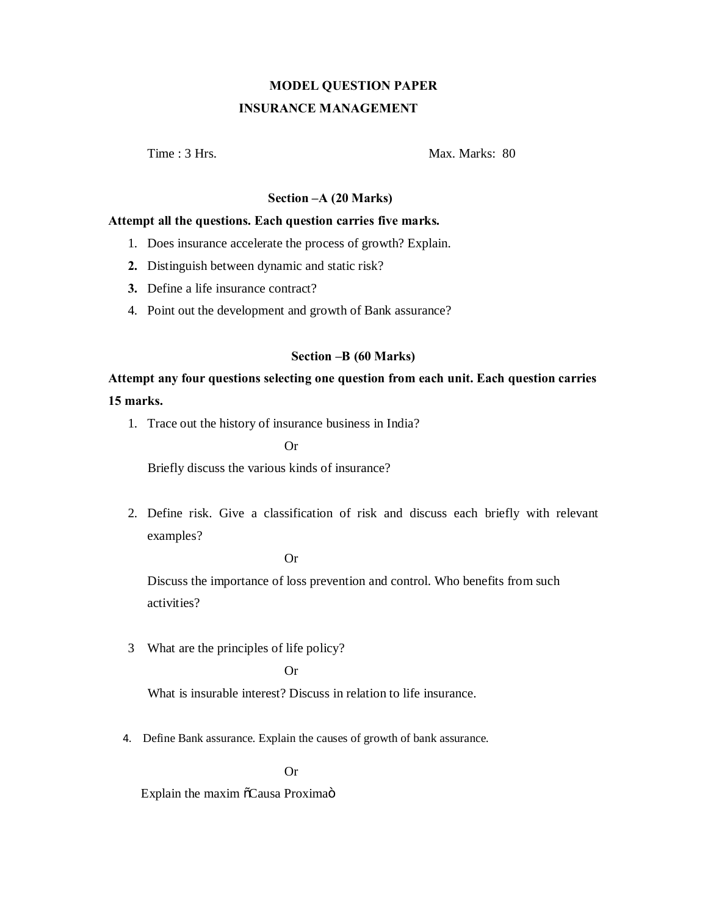## **MODEL QUESTION PAPER INSURANCE MANAGEMENT**

Time : 3 Hrs. Max. Marks: 80

#### **Section –A (20 Marks)**

### **Attempt all the questions. Each question carries five marks.**

- 1. Does insurance accelerate the process of growth? Explain.
- **2.** Distinguish between dynamic and static risk?
- **3.** Define a life insurance contract?
- 4. Point out the development and growth of Bank assurance?

## **Section –B (60 Marks)**

# **Attempt any four questions selecting one question from each unit. Each question carries**

## **15 marks.**

1. Trace out the history of insurance business in India?

#### Or

Briefly discuss the various kinds of insurance?

2. Define risk. Give a classification of risk and discuss each briefly with relevant examples?

#### Or

Discuss the importance of loss prevention and control. Who benefits from such activities?

3 What are the principles of life policy?

## Or

What is insurable interest? Discuss in relation to life insurance.

4. Define Bank assurance. Explain the causes of growth of bank assurance.

**Or** Or

Explain the maxim  $\tilde{c}$ Causa Proximaö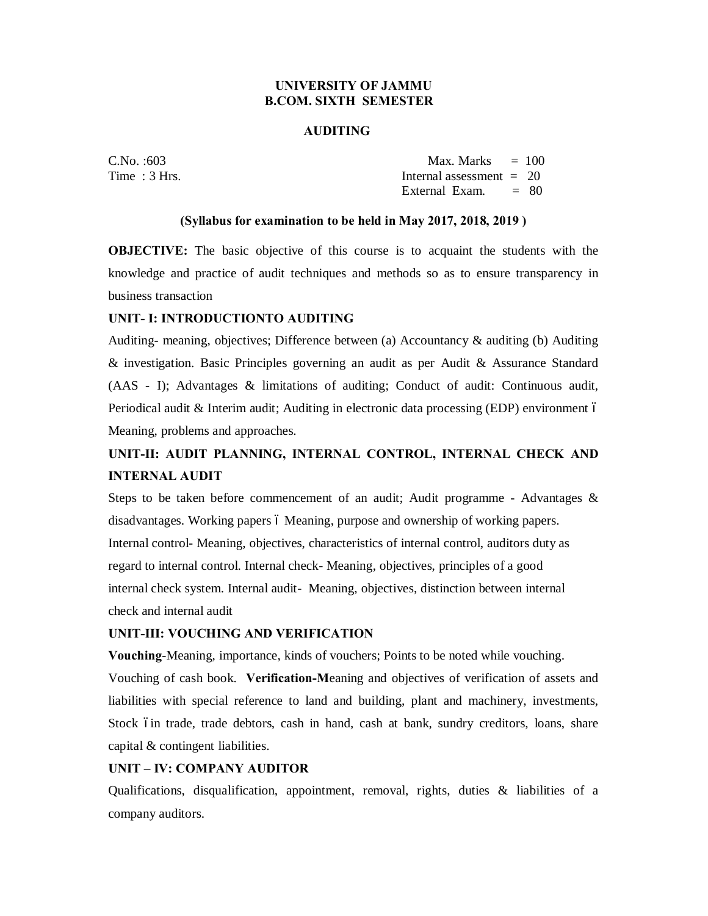#### **AUDITING**

 $C.No. : 603$  Max. Marks  $= 100$ Time : 3 Hrs. Internal assessment = 20 External Exam.  $= 80$ 

#### **(Syllabus for examination to be held in May 2017, 2018, 2019 )**

**OBJECTIVE:** The basic objective of this course is to acquaint the students with the knowledge and practice of audit techniques and methods so as to ensure transparency in business transaction

#### **UNIT- I: INTRODUCTIONTO AUDITING**

Auditing- meaning, objectives; Difference between (a) Accountancy & auditing (b) Auditing & investigation. Basic Principles governing an audit as per Audit & Assurance Standard (AAS - I); Advantages & limitations of auditing; Conduct of audit: Continuous audit, Periodical audit & Interim audit; Auditing in electronic data processing (EDP) environment – Meaning, problems and approaches.

## **UNIT-II: AUDIT PLANNING, INTERNAL CONTROL, INTERNAL CHECK AND INTERNAL AUDIT**

Steps to be taken before commencement of an audit; Audit programme - Advantages  $\&$ disadvantages. Working papers 6 Meaning, purpose and ownership of working papers. Internal control- Meaning, objectives, characteristics of internal control, auditors duty as regard to internal control. Internal check- Meaning, objectives, principles of a good internal check system. Internal audit- Meaning, objectives, distinction between internal check and internal audit

## **UNIT-III: VOUCHING AND VERIFICATION**

**Vouching**-Meaning, importance, kinds of vouchers; Points to be noted while vouching. Vouching of cash book. **Verification-M**eaning and objectives of verification of assets and liabilities with special reference to land and building, plant and machinery, investments, Stock óin trade, trade debtors, cash in hand, cash at bank, sundry creditors, loans, share capital & contingent liabilities.

#### **UNIT – IV: COMPANY AUDITOR**

Qualifications, disqualification, appointment, removal, rights, duties & liabilities of a company auditors.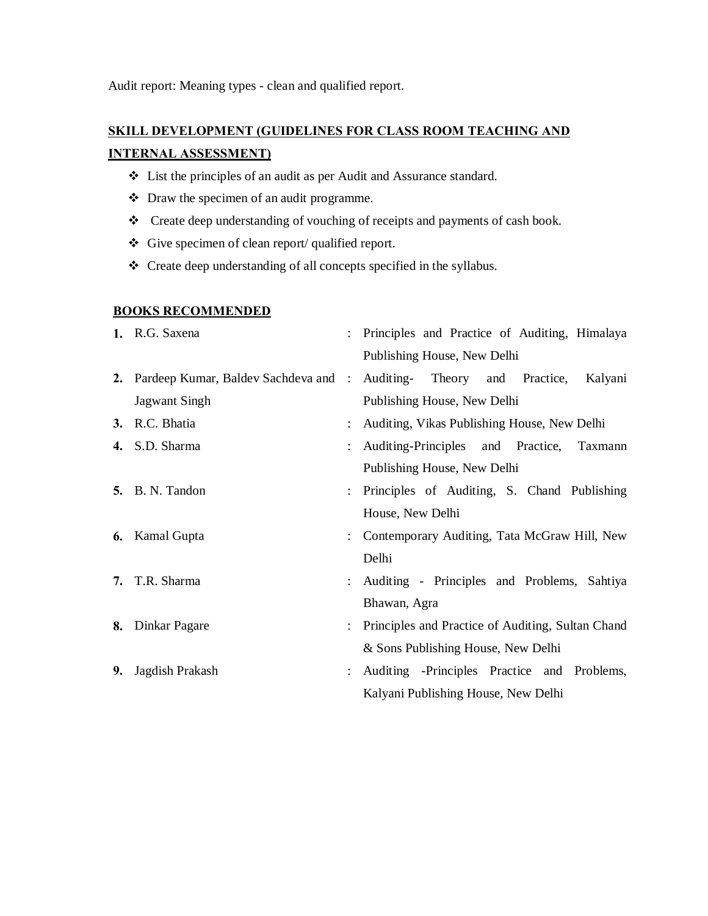Audit report: Meaning types - clean and qualified report.

# **SKILL DEVELOPMENT (GUIDELINES FOR CLASS ROOM TEACHING AND INTERNAL ASSESSMENT)**

- v List the principles of an audit as per Audit and Assurance standard.
- $\bullet$  Draw the specimen of an audit programme.
- \* Create deep understanding of vouching of receipts and payments of cash book.
- $\bullet$  Give specimen of clean report/ qualified report.
- Create deep understanding of all concepts specified in the syllabus.

## **BOOKS RECOMMENDED**

|    | 1. R.G. Saxena         | $\ddot{\phantom{a}}$ | Principles and Practice of Auditing, Himalaya                                     |
|----|------------------------|----------------------|-----------------------------------------------------------------------------------|
|    |                        |                      | Publishing House, New Delhi                                                       |
|    |                        |                      | 2. Pardeep Kumar, Baldev Sachdeva and : Auditing- Theory and Practice,<br>Kalyani |
|    | Jagwant Singh          |                      | Publishing House, New Delhi                                                       |
|    | 3. R.C. Bhatia         |                      | Auditing, Vikas Publishing House, New Delhi                                       |
|    | 4. S.D. Sharma         |                      | Auditing-Principles and Practice,<br>Taxmann                                      |
|    |                        |                      | Publishing House, New Delhi                                                       |
|    | <b>5.</b> B. N. Tandon |                      | Principles of Auditing, S. Chand Publishing                                       |
|    |                        |                      | House, New Delhi                                                                  |
|    | <b>6.</b> Kamal Gupta  |                      | Contemporary Auditing, Tata McGraw Hill, New                                      |
|    |                        |                      | Delhi                                                                             |
|    | 7. T.R. Sharma         |                      | Auditing - Principles and Problems, Sahtiya                                       |
|    |                        |                      | Bhawan, Agra                                                                      |
|    | 8. Dinkar Pagare       |                      | Principles and Practice of Auditing, Sultan Chand                                 |
|    |                        |                      | & Sons Publishing House, New Delhi                                                |
| 9. | Jagdish Prakash        |                      | Auditing -Principles Practice and Problems,                                       |
|    |                        |                      | Kalyani Publishing House, New Delhi                                               |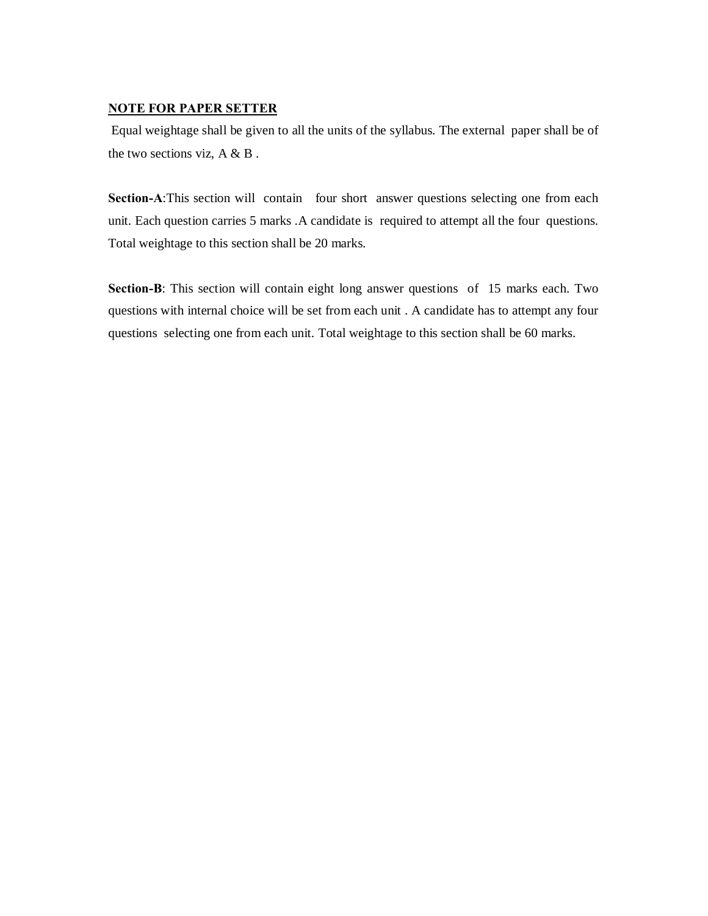## **NOTE FOR PAPER SETTER**

Equal weightage shall be given to all the units of the syllabus. The external paper shall be of the two sections viz, A & B .

**Section-A**:This section will contain four short answer questions selecting one from each unit. Each question carries 5 marks .A candidate is required to attempt all the four questions. Total weightage to this section shall be 20 marks.

**Section-B**: This section will contain eight long answer questions of 15 marks each. Two questions with internal choice will be set from each unit . A candidate has to attempt any four questions selecting one from each unit. Total weightage to this section shall be 60 marks.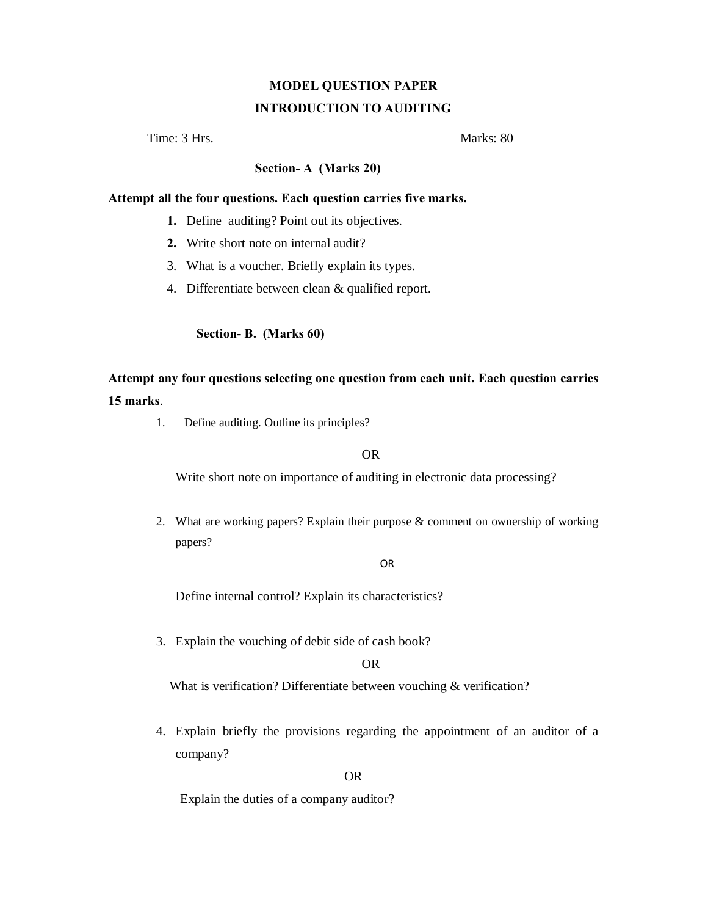## **MODEL QUESTION PAPER INTRODUCTION TO AUDITING**

Time: 3 Hrs. Marks: 80

 **Section- A (Marks 20)**

### **Attempt all the four questions. Each question carries five marks.**

- **1.** Define auditing? Point out its objectives.
- **2.** Write short note on internal audit?
- 3. What is a voucher. Briefly explain its types.
- 4. Differentiate between clean & qualified report.

#### **Section- B. (Marks 60)**

**Attempt any four questions selecting one question from each unit. Each question carries 15 marks**.

1. Define auditing. Outline its principles?

#### OR

Write short note on importance of auditing in electronic data processing?

2. What are working papers? Explain their purpose & comment on ownership of working papers?

OR

Define internal control? Explain its characteristics?

3. Explain the vouching of debit side of cash book?

OR

What is verification? Differentiate between vouching & verification?

4. Explain briefly the provisions regarding the appointment of an auditor of a company?

Explain the duties of a company auditor?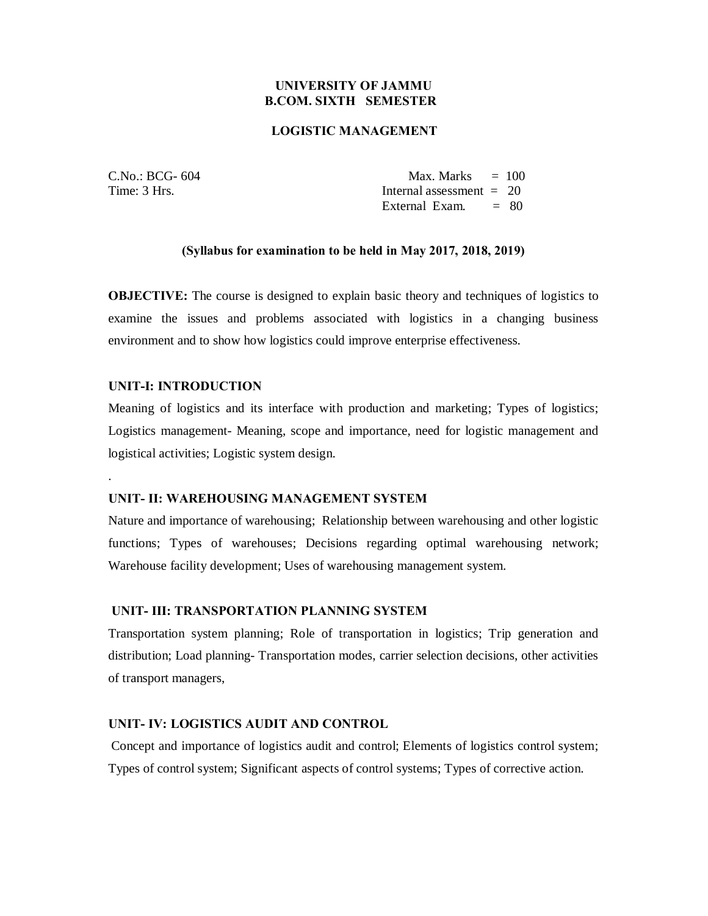#### **LOGISTIC MANAGEMENT**

 $C. No.: BCG-604$  Max. Marks = 100 Time: 3 Hrs. Internal assessment = 20 External Exam.  $= 80$ 

### **(Syllabus for examination to be held in May 2017, 2018, 2019)**

**OBJECTIVE:** The course is designed to explain basic theory and techniques of logistics to examine the issues and problems associated with logistics in a changing business environment and to show how logistics could improve enterprise effectiveness.

#### **UNIT-I: INTRODUCTION**

Meaning of logistics and its interface with production and marketing; Types of logistics; Logistics management- Meaning, scope and importance, need for logistic management and logistical activities; Logistic system design.

## .

## **UNIT- II: WAREHOUSING MANAGEMENT SYSTEM**

Nature and importance of warehousing; Relationship between warehousing and other logistic functions; Types of warehouses; Decisions regarding optimal warehousing network; Warehouse facility development; Uses of warehousing management system.

### **UNIT- III: TRANSPORTATION PLANNING SYSTEM**

Transportation system planning; Role of transportation in logistics; Trip generation and distribution; Load planning- Transportation modes, carrier selection decisions, other activities of transport managers,

#### **UNIT- IV: LOGISTICS AUDIT AND CONTROL**

Concept and importance of logistics audit and control; Elements of logistics control system; Types of control system; Significant aspects of control systems; Types of corrective action.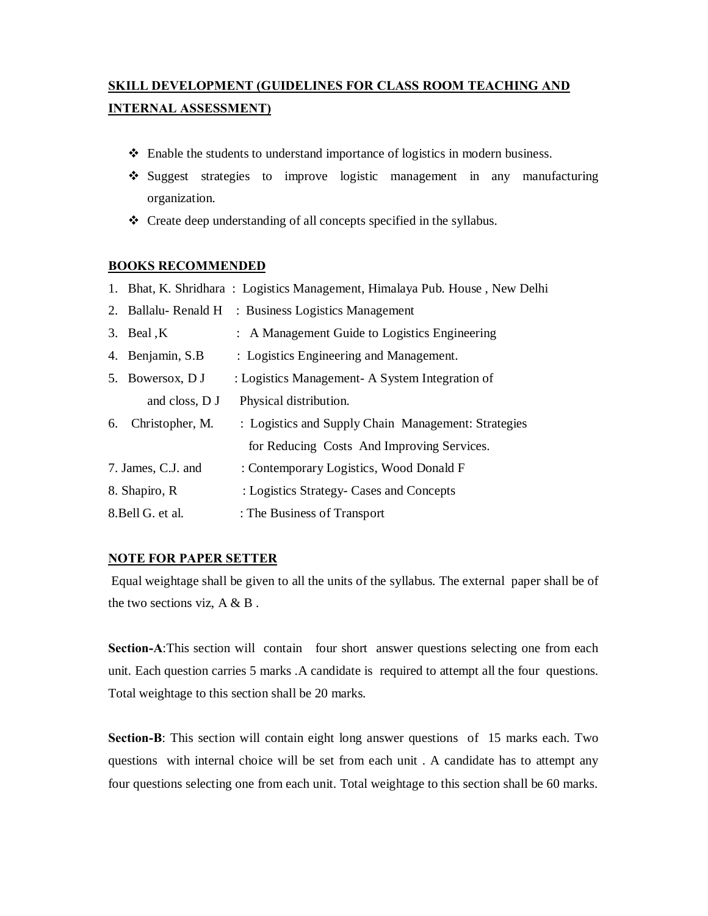## **SKILL DEVELOPMENT (GUIDELINES FOR CLASS ROOM TEACHING AND INTERNAL ASSESSMENT)**

- $\triangle$  Enable the students to understand importance of logistics in modern business.
- Suggest strategies to improve logistic management in any manufacturing organization.
- Create deep understanding of all concepts specified in the syllabus.

### **BOOKS RECOMMENDED**

1. Bhat, K. Shridhara : Logistics Management, Himalaya Pub. House , New Delhi

|                   |                    | 2. Ballalu-Renald H : Business Logistics Management |  |  |
|-------------------|--------------------|-----------------------------------------------------|--|--|
|                   | 3. Beal, K         | : A Management Guide to Logistics Engineering       |  |  |
|                   | 4. Benjamin, S.B.  | : Logistics Engineering and Management.             |  |  |
|                   | 5. Bowersox, DJ    | : Logistics Management- A System Integration of     |  |  |
|                   | and closs, D J     | Physical distribution.                              |  |  |
| 6.                | Christopher, M.    | : Logistics and Supply Chain Management: Strategies |  |  |
|                   |                    | for Reducing Costs And Improving Services.          |  |  |
|                   | 7. James, C.J. and | : Contemporary Logistics, Wood Donald F             |  |  |
|                   | 8. Shapiro, R      | : Logistics Strategy- Cases and Concepts            |  |  |
| 8. Bell G. et al. |                    | : The Business of Transport                         |  |  |

## **NOTE FOR PAPER SETTER**

Equal weightage shall be given to all the units of the syllabus. The external paper shall be of the two sections viz, A & B .

**Section-A**:This section will contain four short answer questions selecting one from each unit. Each question carries 5 marks .A candidate is required to attempt all the four questions. Total weightage to this section shall be 20 marks.

**Section-B**: This section will contain eight long answer questions of 15 marks each. Two questions with internal choice will be set from each unit . A candidate has to attempt any four questions selecting one from each unit. Total weightage to this section shall be 60 marks.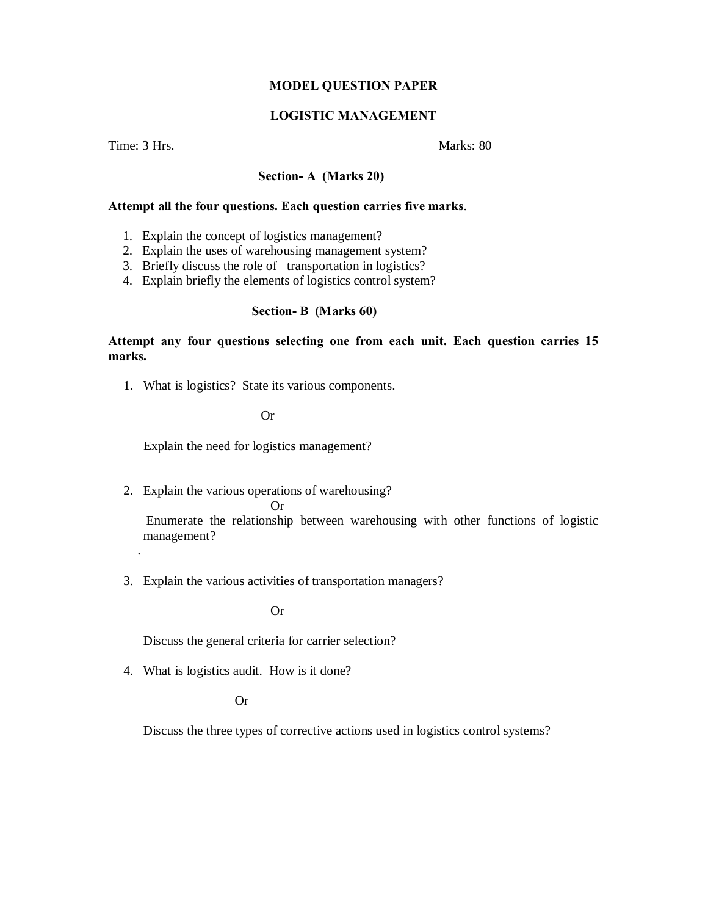#### **MODEL QUESTION PAPER**

#### **LOGISTIC MANAGEMENT**

Time: 3 Hrs. Marks: 80

.

#### **Section- A (Marks 20)**

### **Attempt all the four questions. Each question carries five marks**.

- 1. Explain the concept of logistics management?
- 2. Explain the uses of warehousing management system?
- 3. Briefly discuss the role of transportation in logistics?
- 4. Explain briefly the elements of logistics control system?

#### **Section- B (Marks 60)**

## **Attempt any four questions selecting one from each unit. Each question carries 15 marks.**

1. What is logistics? State its various components.

#### **Or** Or

Explain the need for logistics management?

2. Explain the various operations of warehousing?

Or

Enumerate the relationship between warehousing with other functions of logistic management?

3. Explain the various activities of transportation managers?

**Or** Or

Discuss the general criteria for carrier selection?

4. What is logistics audit. How is it done?

Or

Discuss the three types of corrective actions used in logistics control systems?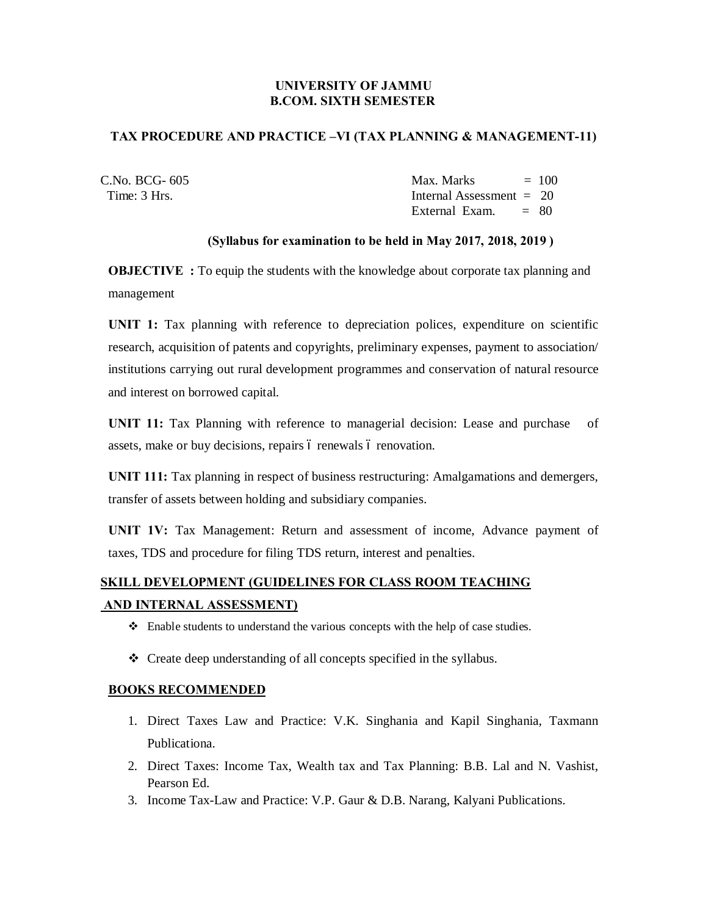## **TAX PROCEDURE AND PRACTICE –VI (TAX PLANNING & MANAGEMENT-11)**

 $C. No. BCG-605$  Max. Marks  $= 100$ Time: 3 Hrs. Internal Assessment = 20 External Exam.  $= 80$ 

## **(Syllabus for examination to be held in May 2017, 2018, 2019 )**

**OBJECTIVE** : To equip the students with the knowledge about corporate tax planning and management

**UNIT 1:** Tax planning with reference to depreciation polices, expenditure on scientific research, acquisition of patents and copyrights, preliminary expenses, payment to association/ institutions carrying out rural development programmes and conservation of natural resource and interest on borrowed capital.

**UNIT 11:** Tax Planning with reference to managerial decision: Lease and purchase of assets, make or buy decisions, repairs ó renewals ó renovation.

**UNIT 111:** Tax planning in respect of business restructuring: Amalgamations and demergers, transfer of assets between holding and subsidiary companies.

**UNIT 1V:** Tax Management: Return and assessment of income, Advance payment of taxes, TDS and procedure for filing TDS return, interest and penalties.

## **SKILL DEVELOPMENT (GUIDELINES FOR CLASS ROOM TEACHING AND INTERNAL ASSESSMENT)**

- v Enable students to understand the various concepts with the help of case studies.
- $\triangleleft$  Create deep understanding of all concepts specified in the syllabus.

## **BOOKS RECOMMENDED**

- 1. Direct Taxes Law and Practice: V.K. Singhania and Kapil Singhania, Taxmann Publicationa.
- 2. Direct Taxes: Income Tax, Wealth tax and Tax Planning: B.B. Lal and N. Vashist, Pearson Ed.
- 3. Income Tax-Law and Practice: V.P. Gaur & D.B. Narang, Kalyani Publications.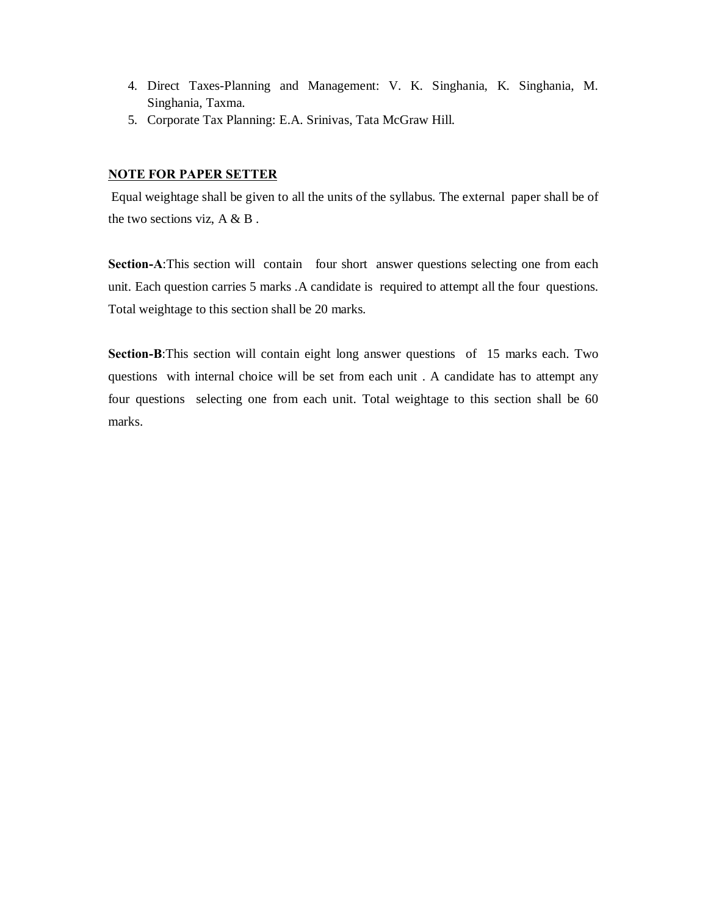- 4. Direct Taxes-Planning and Management: V. K. Singhania, K. Singhania, M. Singhania, Taxma.
- 5. Corporate Tax Planning: E.A. Srinivas, Tata McGraw Hill.

## **NOTE FOR PAPER SETTER**

Equal weightage shall be given to all the units of the syllabus. The external paper shall be of the two sections viz,  $A \& B$ .

**Section-A**:This section will contain four short answer questions selecting one from each unit. Each question carries 5 marks .A candidate is required to attempt all the four questions. Total weightage to this section shall be 20 marks.

**Section-B**:This section will contain eight long answer questions of 15 marks each. Two questions with internal choice will be set from each unit . A candidate has to attempt any four questions selecting one from each unit. Total weightage to this section shall be 60 marks.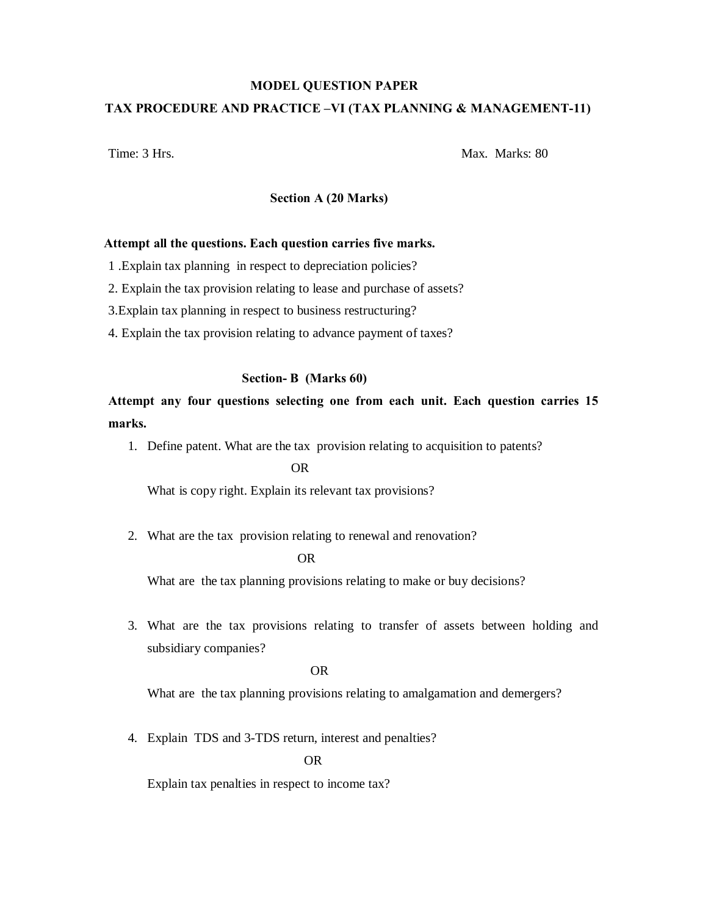## **MODEL QUESTION PAPER TAX PROCEDURE AND PRACTICE –VI (TAX PLANNING & MANAGEMENT-11)**

Time: 3 Hrs. Max. Marks: 80

#### **Section A (20 Marks)**

### **Attempt all the questions. Each question carries five marks.**

- 1 .Explain tax planning in respect to depreciation policies?
- 2. Explain the tax provision relating to lease and purchase of assets?
- 3.Explain tax planning in respect to business restructuring?
- 4. Explain the tax provision relating to advance payment of taxes?

#### **Section- B (Marks 60)**

## **Attempt any four questions selecting one from each unit. Each question carries 15 marks.**

1. Define patent. What are the tax provision relating to acquisition to patents?

#### **OR** OR

What is copy right. Explain its relevant tax provisions?

2. What are the tax provision relating to renewal and renovation?

#### **OR** OR

What are the tax planning provisions relating to make or buy decisions?

3. What are the tax provisions relating to transfer of assets between holding and subsidiary companies?

**OR** OR

What are the tax planning provisions relating to amalgamation and demergers?

4. Explain TDS and 3-TDS return, interest and penalties?

**OR** OR

Explain tax penalties in respect to income tax?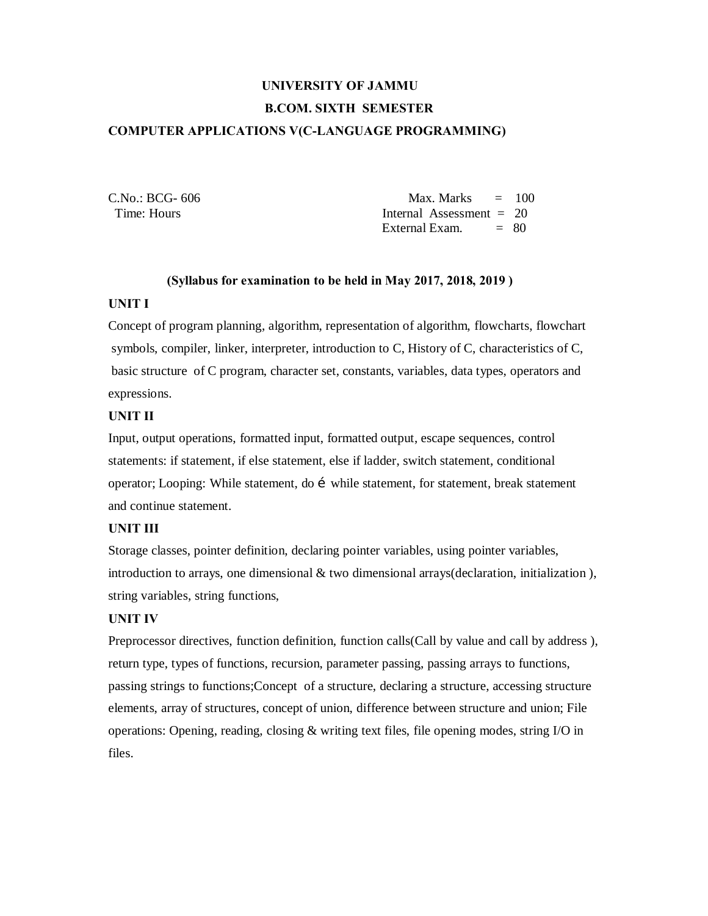## **COMPUTER APPLICATIONS V(C-LANGUAGE PROGRAMMING)**

 $C. No.: BCG-606$  Max. Marks  $= 100$ Time: Hours **Internal Assessment** = 20 External Exam.  $= 80$ 

#### **(Syllabus for examination to be held in May 2017, 2018, 2019 )**

## **UNIT I**

Concept of program planning, algorithm, representation of algorithm, flowcharts, flowchart symbols, compiler, linker, interpreter, introduction to C, History of C, characteristics of C, basic structure of C program, character set, constants, variables, data types, operators and expressions.

## **UNIT II**

Input, output operations, formatted input, formatted output, escape sequences, control statements: if statement, if else statement, else if ladder, switch statement, conditional operator; Looping: While statement, do i while statement, for statement, break statement and continue statement.

## **UNIT III**

Storage classes, pointer definition, declaring pointer variables, using pointer variables, introduction to arrays, one dimensional  $\&$  two dimensional arrays(declaration, initialization), string variables, string functions,

## **UNIT IV**

Preprocessor directives, function definition, function calls(Call by value and call by address ), return type, types of functions, recursion, parameter passing, passing arrays to functions, passing strings to functions;Concept of a structure, declaring a structure, accessing structure elements, array of structures, concept of union, difference between structure and union; File operations: Opening, reading, closing & writing text files, file opening modes, string I/O in files.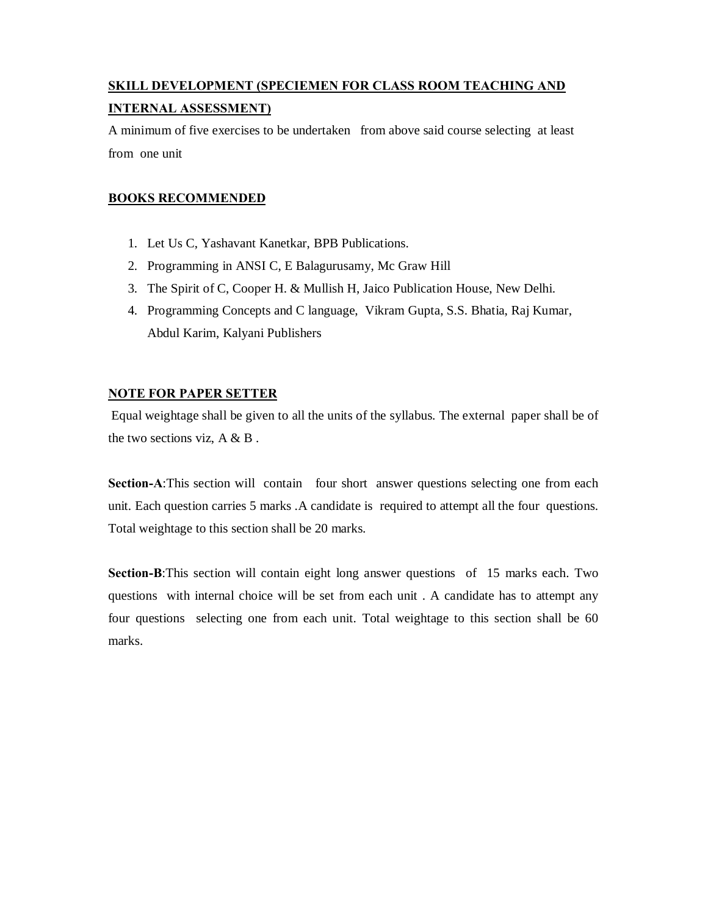# **SKILL DEVELOPMENT (SPECIEMEN FOR CLASS ROOM TEACHING AND INTERNAL ASSESSMENT)**

A minimum of five exercises to be undertaken from above said course selecting at least from one unit

## **BOOKS RECOMMENDED**

- 1. Let Us C, Yashavant Kanetkar, BPB Publications.
- 2. Programming in ANSI C, E Balagurusamy, Mc Graw Hill
- 3. The Spirit of C, Cooper H. & Mullish H, Jaico Publication House, New Delhi.
- 4. Programming Concepts and C language, Vikram Gupta, S.S. Bhatia, Raj Kumar, Abdul Karim, Kalyani Publishers

## **NOTE FOR PAPER SETTER**

Equal weightage shall be given to all the units of the syllabus. The external paper shall be of the two sections viz, A & B .

**Section-A**:This section will contain four short answer questions selecting one from each unit. Each question carries 5 marks .A candidate is required to attempt all the four questions. Total weightage to this section shall be 20 marks.

**Section-B**:This section will contain eight long answer questions of 15 marks each. Two questions with internal choice will be set from each unit . A candidate has to attempt any four questions selecting one from each unit. Total weightage to this section shall be 60 marks.